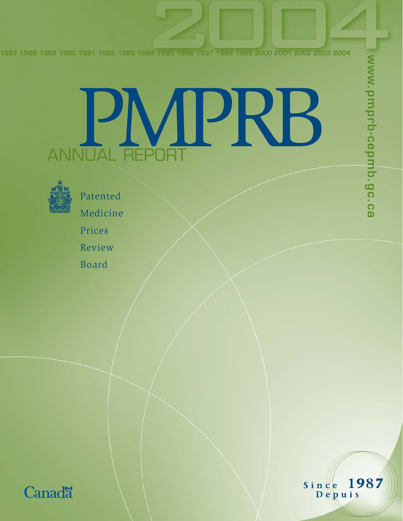**1987 1988 1989 1990 1991 1992 1993 1994 1995 1996 1997 1998 1999 2000 2001 2002 2003 2004**

# PR ANNUAL REPORT



Patented Medicine Prices Review Board



Since 1987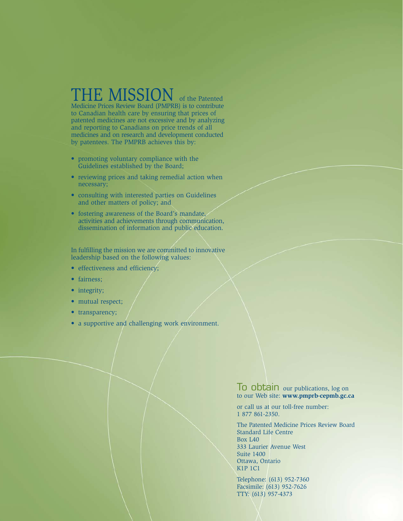### THE MISSION of the Patented

Medicine Prices Review Board (PMPRB) is to contribute to Canadian health care by ensuring that prices of patented medicines are not excessive and by analyzing and reporting to Canadians on price trends of all medicines and on research and development conducted by patentees. The PMPRB achieves this by:

- promoting voluntary compliance with the Guidelines established by the Board;
- reviewing prices and taking remedial action when necessary;
- consulting with interested parties on Guidelines and other matters of policy; and
- fostering awareness of the Board's mandate, activities and achievements through communication, dissemination of information and public education.

In fulfilling the mission we are committed to innovative leadership based on the following values:

- effectiveness and efficiency;
- fairness;
- integrity;
- mutual respect;
- transparency;
- a supportive and challenging work environment.

To obtain our publications, log on to our Web site: **www.pmprb-cepmb.gc.ca**

or call us at our toll-free number: 1 877 861-2350.

The Patented Medicine Prices Review Board Standard Life Centre Box L40 333 Laurier Avenue West Suite 1400 Ottawa, Ontario K1P 1C1

Telephone: (613) 952-7360 Facsimile: (613) 952-7626 TTY: (613) 957-4373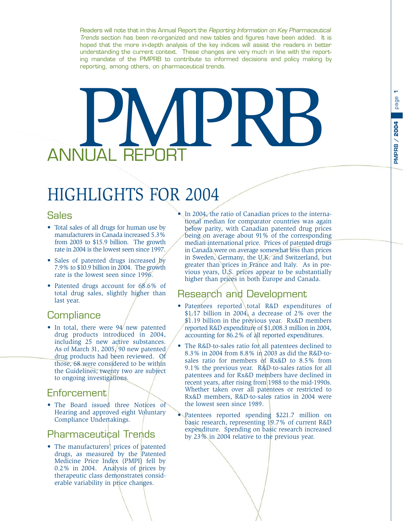Readers will note that in this Annual Report the Reporting Information on Key Pharmaceutical Trends section has been re-organized and new tables and figures have been added. It is hoped that the more in-depth analysis of the key indices will assist the readers in better understanding the current context. These changes are very much in line with the reporting mandate of the PMPRB to contribute to informed decisions and policy making by reporting, among others, on pharmaceutical trends.

# PMPRB ANNIHAI F

# HIGHLIGHTS FOR 2004

#### Sales

- Total sales of all drugs for human use by manufacturers in Canada increased 5.3% from 2003 to \$15.9 billion. The growth rate in 2004 is the lowest seen since 1997.
- Sales of patented drugs increased by 7.9% to \$10.9 billion in 2004. The growth rate is the lowest seen since 1996.
- Patented drugs account for 68.6% of total drug sales, slightly higher than last year.

#### **Compliance**

• In total, there were 94 new patented drug products introduced in 2004, including 25 new active substances. As of March 31, 2005, 90 new patented drug products had been reviewed. Of those, 68 were considered to be within the Guidelines; twenty two are subject to ongoing investigations.

#### **Enforcement**

• The Board issued three Notices of Hearing and approved eight Voluntary Compliance Undertakings.

#### Pharmaceutical Trends

• The manufacturers' prices of patented drugs, as measured by the Patented Medicine Price Index (PMPI) fell by 0.2% in 2004. Analysis of prices by therapeutic class demonstrates considerable variability in price changes.

In 2004, the ratio of Canadian prices to the international median for comparator countries was again below parity, with Canadian patented drug prices being on average about 91% of the corresponding median international price. Prices of patented drugs in Canada were on average somewhat less than prices in Sweden, Germany, the U.K. and Switzerland, but greater than prices in France and Italy. As in previous years, U.S. prices appear to be substantially higher than prices in both Europe and Canada.

#### Research and Development

- Patentees reported total R&D expenditures of \$1.17 billion in 2004, a decrease of 2% over the \$1.19 billion in the previous year. Rx&D members reported R&D expenditure of \$1,008.3 million in 2004, accounting for 86.2% of all reported expenditures.
- The R&D-to-sales ratio for all patentees declined to 8.3% in 2004 from 8.8% in 2003 as did the R&D-tosales ratio for members of Rx&D to 8.5% from 9.1% the previous year. R&D-to-sales ratios for all patentees and for Rx&D members have declined in recent years, after rising from 1988 to the mid-1990s. Whether taken over all patentees or restricted to Rx&D members, R&D-to-sales ratios in 2004 were the lowest seen since 1989.
- Patentees reported spending \$221.7 million on basic research, representing 19.7% of current R&D expenditure. Spending on basic research increased by 23% in 2004 relative to the previous year.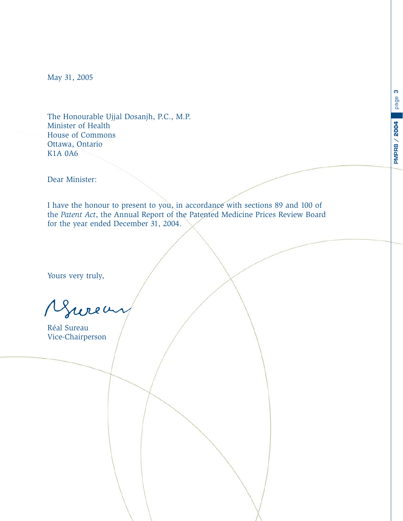**PMPRB / 2004**

**PMPRB / 2004** 

<span id="page-4-0"></span>May 31, 2005

The Honourable Ujjal Dosanjh, P.C., M.P. Minister of Health House of Commons Ottawa, Ontario K1A 0A6

Dear Minister:

I have the honour to present to you, in accordance with sections 89 and 100 of the *Patent Act*, the Annual Report of the Patented Medicine Prices Review Board for the year ended December 31, 2004.

Yours very truly,

Jurea

Réal Sureau Vice-Chairperson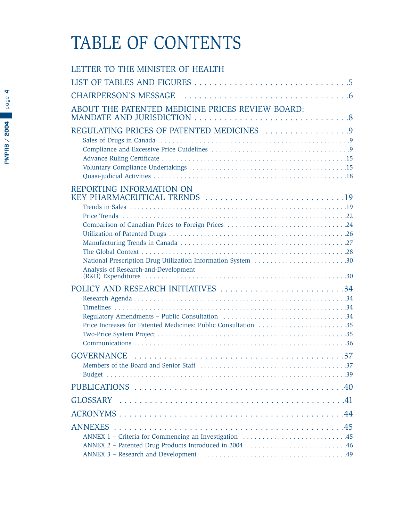# TABLE OF CONTENTS

| LETTER TO THE MINISTER OF HEALTH                                                                                                                                 |
|------------------------------------------------------------------------------------------------------------------------------------------------------------------|
|                                                                                                                                                                  |
|                                                                                                                                                                  |
| ABOUT THE PATENTED MEDICINE PRICES REVIEW BOARD:                                                                                                                 |
| REGULATING PRICES OF PATENTED MEDICINES 9                                                                                                                        |
| REPORTING INFORMATION ON<br>KEY PHARMACEUTICAL TRENDS 19<br>National Prescription Drug Utilization Information System 30<br>Analysis of Research-and-Development |
|                                                                                                                                                                  |
|                                                                                                                                                                  |
|                                                                                                                                                                  |
|                                                                                                                                                                  |
|                                                                                                                                                                  |
|                                                                                                                                                                  |

**4**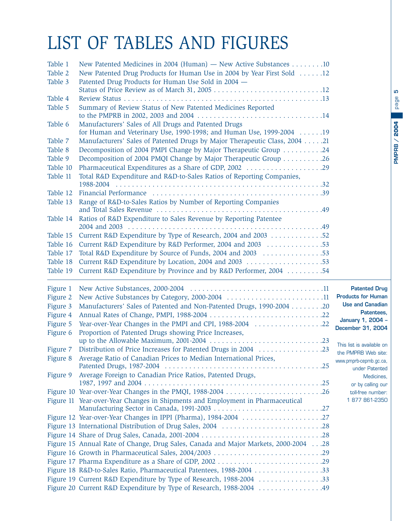# page **PMPRB / 2004 PMPRB / 2004**

**5**

# <span id="page-6-0"></span>LIST OF TABLES AND FIGURES

| Table 1              | New Patented Medicines in 2004 (Human) — New Active Substances 10                                                                 |                                               |
|----------------------|-----------------------------------------------------------------------------------------------------------------------------------|-----------------------------------------------|
| Table 2              | New Patented Drug Products for Human Use in 2004 by Year First Sold 12                                                            |                                               |
| Table 3              | Patented Drug Products for Human Use Sold in 2004 -                                                                               |                                               |
| Table 4              |                                                                                                                                   |                                               |
| Table 5              | Summary of Review Status of New Patented Medicines Reported                                                                       |                                               |
| Table 6              | Manufacturers' Sales of All Drugs and Patented Drugs<br>for Human and Veterinary Use, 1990-1998; and Human Use, 1999-2004 19      |                                               |
| Table 7              | Manufacturers' Sales of Patented Drugs by Major Therapeutic Class, 2004 21                                                        |                                               |
| Table 8              | Decomposition of 2004 PMPI Change by Major Therapeutic Group 24                                                                   |                                               |
| Table 9              | Decomposition of 2004 PMQI Change by Major Therapeutic Group 26                                                                   |                                               |
| Table 10             | Pharmaceutical Expenditures as a Share of GDP, 2002 29                                                                            |                                               |
| Table 11             | Total R&D Expenditure and R&D-to-Sales Ratios of Reporting Companies,                                                             |                                               |
| Table 12             |                                                                                                                                   |                                               |
| Table 13             | Range of R&D-to-Sales Ratios by Number of Reporting Companies                                                                     |                                               |
| Table 14             | Ratios of R&D Expenditure to Sales Revenue by Reporting Patentee                                                                  |                                               |
| Table 15             | Current R&D Expenditure by Type of Research, 2004 and 2003 52                                                                     |                                               |
| Table 16             | Current R&D Expenditure by R&D Performer, 2004 and 2003 53                                                                        |                                               |
| Table 17             | Total R&D Expenditure by Source of Funds, 2004 and 2003 53                                                                        |                                               |
| Table 18             | Current R&D Expenditure by Location, 2004 and 2003 53                                                                             |                                               |
| Table 19             | Current R&D Expenditure by Province and by R&D Performer, 2004 54                                                                 |                                               |
|                      |                                                                                                                                   |                                               |
| Figure 1             |                                                                                                                                   | <b>Patented Drug</b>                          |
| Figure 2             | New Active Substances by Category, 2000-2004 11                                                                                   | <b>Products for Human</b>                     |
| Figure 3             | Manufacturers' Sales of Patented and Non-Patented Drugs, 1990-2004 20                                                             | <b>Use and Canadian</b>                       |
| Figure 4             |                                                                                                                                   | Patentees,                                    |
| Figure 5             |                                                                                                                                   | January 1, 2004 -                             |
| Figure 6             | Proportion of Patented Drugs showing Price Increases,                                                                             | December 31, 2004                             |
|                      |                                                                                                                                   | This list is available on                     |
| Figure 7<br>Figure 8 | Distribution of Price Increases for Patented Drugs in 2004 23<br>Average Ratio of Canadian Prices to Median International Prices, | the PMPRB Web site:<br>www.pmprb-cepmb.gc.ca, |
| Figure 9             | Average Foreign to Canadian Price Ratios, Patented Drugs,                                                                         | under Patented<br>Medicines,                  |
|                      |                                                                                                                                   | or by calling our                             |
|                      | Figure 10 Year-over-Year Changes in the PMQI, 1988-2004 26                                                                        | toll-free number:<br>1877861-2350             |
|                      | Figure 11 Year-over-Year Changes in Shipments and Employment in Pharmaceutical                                                    |                                               |
|                      |                                                                                                                                   |                                               |
|                      | Figure 12 Year-over-Year Changes in IPPI (Pharma), 1984-2004 27                                                                   |                                               |
|                      | Figure 13 International Distribution of Drug Sales, 2004 28                                                                       |                                               |
|                      | Figure 15 Annual Rate of Change, Drug Sales, Canada and Major Markets, 2000-2004 28                                               |                                               |
|                      |                                                                                                                                   |                                               |
|                      | Figure 17 Pharma Expenditure as a Share of GDP, 2002 29                                                                           |                                               |
|                      | Figure 18 R&D-to-Sales Ratio, Pharmaceutical Patentees, 1988-2004 33                                                              |                                               |
|                      | Figure 19 Current R&D Expenditure by Type of Research, 1988-2004 33                                                               |                                               |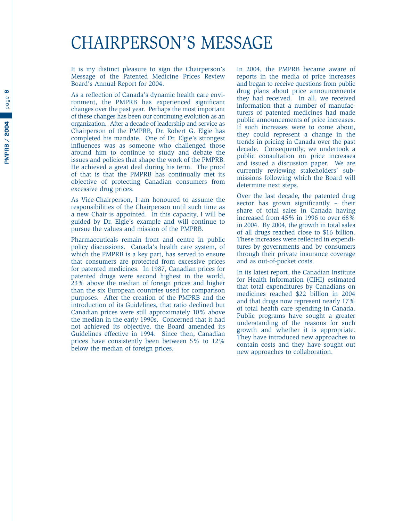### <span id="page-7-0"></span>CHAIRPERSON'S MESSAGE

It is my distinct pleasure to sign the Chairperson's Message of the Patented Medicine Prices Review Board's Annual Report for 2004.

As a reflection of Canada's dynamic health care environment, the PMPRB has experienced significant changes over the past year. Perhaps the most important of these changes has been our continuing evolution as an organization. After a decade of leadership and service as Chairperson of the PMPRB, Dr. Robert G. Elgie has completed his mandate. One of Dr. Elgie's strongest influences was as someone who challenged those around him to continue to study and debate the issues and policies that shape the work of the PMPRB. He achieved a great deal during his term. The proof of that is that the PMPRB has continually met its objective of protecting Canadian consumers from excessive drug prices.

As Vice-Chairperson, I am honoured to assume the responsibilities of the Chairperson until such time as a new Chair is appointed. In this capacity, I will be guided by Dr. Elgie's example and will continue to pursue the values and mission of the PMPRB.

Pharmaceuticals remain front and centre in public policy discussions. Canada's health care system, of which the PMPRB is a key part, has served to ensure that consumers are protected from excessive prices for patented medicines. In 1987, Canadian prices for patented drugs were second highest in the world, 23% above the median of foreign prices and higher than the six European countries used for comparison purposes. After the creation of the PMPRB and the introduction of its Guidelines, that ratio declined but Canadian prices were still approximately 10% above the median in the early 1990s. Concerned that it had not achieved its objective, the Board amended its Guidelines effective in 1994. Since then, Canadian prices have consistently been between 5% to 12% below the median of foreign prices.

In 2004, the PMPRB became aware of reports in the media of price increases and began to receive questions from public drug plans about price announcements they had received. In all, we received information that a number of manufacturers of patented medicines had made public announcements of price increases. If such increases were to come about, they could represent a change in the trends in pricing in Canada over the past decade. Consequently, we undertook a public consultation on price increases and issued a discussion paper. We are currently reviewing stakeholders' submissions following which the Board will determine next steps.

Over the last decade, the patented drug sector has grown significantly – their share of total sales in Canada having increased from 45% in 1996 to over 68% in 2004. By 2004, the growth in total sales of all drugs reached close to \$16 billion. These increases were reflected in expenditures by governments and by consumers through their private insurance coverage and as out-of-pocket costs.

In its latest report, the Canadian Institute for Health Information (CIHI) estimated that total expenditures by Canadians on medicines reached \$22 billion in 2004 and that drugs now represent nearly 17% of total health care spending in Canada. Public programs have sought a greater understanding of the reasons for such growth and whether it is appropriate. They have introduced new approaches to contain costs and they have sought out new approaches to collaboration.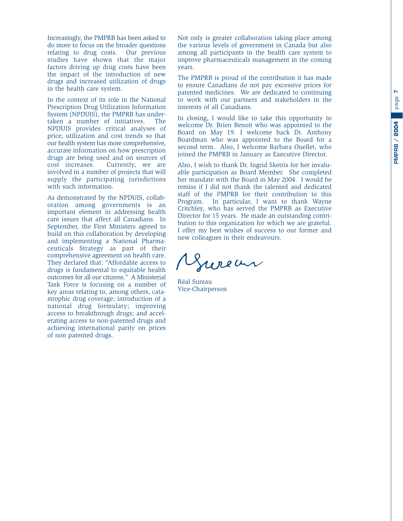Increasingly, the PMPRB has been asked to do more to focus on the broader questions relating to drug costs. Our previous studies have shown that the major factors driving up drug costs have been the impact of the introduction of new drugs and increased utilization of drugs in the health care system.

In the context of its role in the National Prescription Drug Utilization Information System (NPDUIS), the PMPRB has undertaken a number of initiatives. The NPDUIS provides critical analyses of price, utilization and cost trends so that our health system has more comprehensive, accurate information on how prescription drugs are being used and on sources of cost increases. Currently, we are involved in a number of projects that will supply the participating jurisdictions with such information.

As demonstrated by the NPDUIS, collaboration among governments is an important element in addressing health care issues that affect all Canadians. In September, the First Ministers agreed to build on this collaboration by developing and implementing a National Pharmaceuticals Strategy as part of their comprehensive agreement on health care. They declared that: "Affordable access to drugs is fundamental to equitable health outcomes for all our citizens." A Ministerial Task Force is focusing on a number of key areas relating to, among others, catastrophic drug coverage; introduction of a national drug formulary; improving access to breakthrough drugs; and accelerating access to non-patented drugs and achieving international parity on prices of non patented drugs.

Not only is greater collaboration taking place among the various levels of government in Canada but also among all participants in the health care system to improve pharmaceuticals management in the coming years.

The PMPRB is proud of the contribution it has made to ensure Canadians do not pay excessive prices for patented medicines. We are dedicated to continuing to work with our partners and stakeholders in the interests of all Canadians.

In closing, I would like to take this opportunity to welcome Dr. Brien Benoit who was appointed to the Board on May 19. I welcome back Dr. Anthony Boardman who was appointed to the Board for a second term. Also, I welcome Barbara Ouellet, who joined the PMPRB in January as Executive Director.

Also, I wish to thank Dr. Ingrid Sketris for her invaluable participation as Board Member. She completed her mandate with the Board in May 2004. I would be remiss if I did not thank the talented and dedicated staff of the PMPRB for their contribution to this Program. In particular, I want to thank Wayne Critchley, who has served the PMPRB as Executive Director for 15 years. He made an outstanding contribution to this organization for which we are grateful. I offer my best wishes of success to our former and new colleagues in their endeavours.

wean

Réal Sureau Vice-Chairperson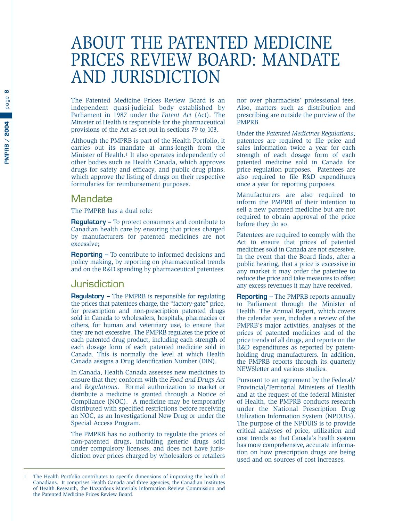### <span id="page-9-0"></span>ABOUT THE PATENTED MEDICINE PRICES REVIEW BOARD: MANDATE AND JURISDICTION

The Patented Medicine Prices Review Board is an independent quasi-judicial body established by Parliament in 1987 under the *Patent Act* (Act). The Minister of Health is responsible for the pharmaceutical provisions of the Act as set out in sections 79 to 103.

Although the PMPRB is part of the Health Portfolio, it carries out its mandate at arms-length from the Minister of Health.1 It also operates independently of other bodies such as Health Canada, which approves drugs for safety and efficacy, and public drug plans, which approve the listing of drugs on their respective formularies for reimbursement purposes.

#### **Mandate**

The PMPRB has a dual role:

**Regulatory –** To protect consumers and contribute to Canadian health care by ensuring that prices charged by manufacturers for patented medicines are not excessive;

**Reporting –** To contribute to informed decisions and policy making, by reporting on pharmaceutical trends and on the R&D spending by pharmaceutical patentees.

#### Jurisdiction

**Regulatory –** The PMPRB is responsible for regulating the prices that patentees charge, the "factory-gate" price, for prescription and non-prescription patented drugs sold in Canada to wholesalers, hospitals, pharmacies or others, for human and veterinary use, to ensure that they are not excessive. The PMPRB regulates the price of each patented drug product, including each strength of each dosage form of each patented medicine sold in Canada. This is normally the level at which Health Canada assigns a Drug Identification Number (DIN).

In Canada, Health Canada assesses new medicines to ensure that they conform with the *Food and Drugs Act* and *Regulations*. Formal authorization to market or distribute a medicine is granted through a Notice of Compliance (NOC). A medicine may be temporarily distributed with specified restrictions before receiving an NOC, as an Investigational New Drug or under the Special Access Program.

The PMPRB has no authority to regulate the prices of non-patented drugs, including generic drugs sold under compulsory licenses, and does not have jurisdiction over prices charged by wholesalers or retailers nor over pharmacists' professional fees. Also, matters such as distribution and prescribing are outside the purview of the PMPRB.

Under the *Patented Medicines Regulations*, patentees are required to file price and sales information twice a year for each strength of each dosage form of each patented medicine sold in Canada for price regulation purposes. Patentees are also required to file R&D expenditures once a year for reporting purposes.

Manufacturers are also required to inform the PMPRB of their intention to sell a new patented medicine but are not required to obtain approval of the price before they do so.

Patentees are required to comply with the Act to ensure that prices of patented medicines sold in Canada are not excessive. In the event that the Board finds, after a public hearing, that a price is excessive in any market it may order the patentee to reduce the price and take measures to offset any excess revenues it may have received.

**Reporting –** The PMPRB reports annually to Parliament through the Minister of Health. The Annual Report, which covers the calendar year, includes a review of the PMPRB's major activities, analyses of the prices of patented medicines and of the price trends of all drugs, and reports on the R&D expenditures as reported by patentholding drug manufacturers. In addition, the PMPRB reports through its quarterly NEWSletter and various studies.

Pursuant to an agreement by the Federal/ Provincial/Territorial Ministers of Health and at the request of the federal Minister of Health, the PMPRB conducts research under the National Prescription Drug Utilization Information System (NPDUIS). The purpose of the NPDUIS is to provide critical analyses of price, utilization and cost trends so that Canada's health system has more comprehensive, accurate information on how prescription drugs are being used and on sources of cost increases.

**8**

<sup>1</sup> The Health Portfolio contributes to specific dimensions of improving the health of Canadians. It comprises Health Canada and three agencies, the Canadian Institutes of Health Research, the Hazardous Materials Information Review Commission and the Patented Medicine Prices Review Board.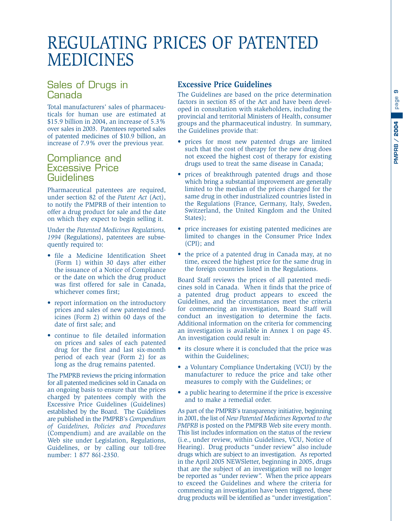**9**

## <span id="page-10-0"></span>REGULATING PRICES OF PATENTED MEDICINES

#### Sales of Drugs in Canada

Total manufacturers' sales of pharmaceuticals for human use are estimated at \$15.9 billion in 2004, an increase of 5.3% over sales in 2003. Patentees reported sales of patented medicines of \$10.9 billion, an increase of 7.9% over the previous year.

#### Compliance and **Excessive Price** Guidelines

Pharmaceutical patentees are required, under section 82 of the *Patent Act* (Act), to notify the PMPRB of their intention to offer a drug product for sale and the date on which they expect to begin selling it.

Under the *Patented Medicines Regulations, 1994* (Regulations), patentees are subsequently required to:

- file a Medicine Identification Sheet (Form 1) within 30 days after either the issuance of a Notice of Compliance or the date on which the drug product was first offered for sale in Canada, whichever comes first;
- report information on the introductory prices and sales of new patented medicines (Form 2) within 60 days of the date of first sale; and
- continue to file detailed information on prices and sales of each patented drug for the first and last six-month period of each year (Form 2) for as long as the drug remains patented.

The PMPRB reviews the pricing information for all patented medicines sold in Canada on an ongoing basis to ensure that the prices charged by patentees comply with the Excessive Price Guidelines (Guidelines) established by the Board. The Guidelines are published in the PMPRB's *Compendium of Guidelines, Policies and Procedures* (Compendium) and are available on the Web site under Legislation, Regulations, Guidelines, or by calling our toll-free number: 1 877 861-2350.

#### **Excessive Price Guidelines**

The Guidelines are based on the price determination factors in section 85 of the Act and have been developed in consultation with stakeholders, including the provincial and territorial Ministers of Health, consumer groups and the pharmaceutical industry. In summary, the Guidelines provide that:

- prices for most new patented drugs are limited such that the cost of therapy for the new drug does not exceed the highest cost of therapy for existing drugs used to treat the same disease in Canada;
- prices of breakthrough patented drugs and those which bring a substantial improvement are generally limited to the median of the prices charged for the same drug in other industrialized countries listed in the Regulations (France, Germany, Italy, Sweden, Switzerland, the United Kingdom and the United States);
- price increases for existing patented medicines are limited to changes in the Consumer Price Index (CPI); and
- the price of a patented drug in Canada may, at no time, exceed the highest price for the same drug in the foreign countries listed in the Regulations.

Board Staff reviews the prices of all patented medicines sold in Canada. When it finds that the price of a patented drug product appears to exceed the Guidelines, and the circumstances meet the criteria for commencing an investigation, Board Staff will conduct an investigation to determine the facts. Additional information on the criteria for commencing an investigation is available in Annex 1 on page 45. An investigation could result in:

- its closure where it is concluded that the price was within the Guidelines;
- a Voluntary Compliance Undertaking (VCU) by the manufacturer to reduce the price and take other measures to comply with the Guidelines; or
- a public hearing to determine if the price is excessive and to make a remedial order.

As part of the PMPRB's transparency initiative, beginning in 2001, the list of *New Patented Medicines Reported to the PMPRB* is posted on the PMPRB Web site every month. This list includes information on the status of the review (i.e., under review, within Guidelines, VCU, Notice of Hearing). Drug products "under review" also include drugs which are subject to an investigation. As reported in the April 2005 NEWSletter, beginning in 2005, drugs that are the subject of an investigation will no longer be reported as "under review". When the price appears to exceed the Guidelines and where the criteria for commencing an investigation have been triggered, these drug products will be identified as "under investigation".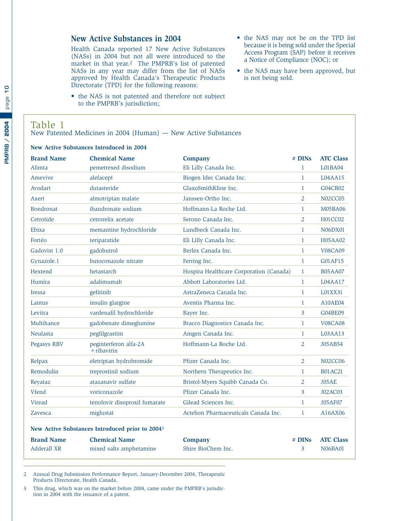#### <span id="page-11-0"></span>**New Active Substances in 2004**

Health Canada reported 17 New Active Substances (NASs) in 2004 but not all were introduced to the market in that year.2 The PMPRB's list of patented NASs in any year may differ from the list of NASs approved by Health Canada's Therapeutic Products Directorate (TPD) for the following reasons:

- the NAS is not patented and therefore not subject to the PMPRB's jurisdiction;
- the NAS may not be on the TPD list because it is being sold under the Special Access Program (SAP) before it receives a Notice of Compliance (NOC); or
- the NAS may have been approved, but is not being sold.

#### Table 1

New Patented Medicines in 2004 (Human) — New Active Substances

#### **New Active Substances Introduced in 2004**

| <b>Brand Name</b>                | <b>Chemical Name</b>                                        | <b>Company</b>                          | # DIN <sub>S</sub>      | <b>ATC Class</b>                   |
|----------------------------------|-------------------------------------------------------------|-----------------------------------------|-------------------------|------------------------------------|
| Alimta                           | pemetrexed disodium                                         | Eli Lilly Canada Inc.                   | $\mathbf{1}$            | L01BA04                            |
| Amevive                          | alefacept                                                   | Biogen Idec Canada Inc.                 | $\mathbf{1}$            | L04AA15                            |
| Avodart                          | dutasteride                                                 | GlaxoSmithKline Inc.                    | $\mathbf{1}$            | G04CB02                            |
| Axert                            | almotriptan malate                                          | Janssen-Ortho Inc.                      | $\overline{2}$          | <b>N02CC05</b>                     |
| <b>Bondronat</b>                 | ibandronate sodium                                          | Hoffmann-La Roche Ltd.                  | $\mathbf{1}$            | M05BA06                            |
| Cetrotide                        | cetrorelix acetate                                          | Serono Canada Inc.                      | $\overline{2}$          | H01CC02                            |
| Ebixa                            | memantine hydrochloride                                     | Lundbeck Canada Inc.                    | $\mathbf{1}$            | <b>N06DX01</b>                     |
| Fortéo                           | teriparatide                                                | Eli Lilly Canada Inc.                   | $\mathbf{1}$            | H05AA02                            |
| Gadovist 1.0                     | gadobutrol                                                  | Berlex Canada Inc.                      | $\mathbf{1}$            | <b>V08CA09</b>                     |
| Gynazole.1                       | butoconazole nitrate                                        | Ferring Inc.                            | $\mathbf{1}$            | G01AF15                            |
| Hextend                          | hetastarch                                                  | Hospira Healthcare Corporation (Canada) | $\mathbf{1}$            | <b>B05AA07</b>                     |
| Humira                           | adalimumab                                                  | Abbott Laboratories Ltd.                | $\mathbf{1}$            | L04AA17                            |
| <b>Iressa</b>                    | gefitinib                                                   | AstraZeneca Canada Inc.                 | $\mathbf{1}$            | L01XX31                            |
| Lantus                           | insulin glargine                                            | Aventis Pharma Inc.                     | $\mathbf{1}$            | A10AE04                            |
| Levitra                          | vardenafil hydrochloride                                    | Bayer Inc.                              | $\mathbf{3}$            | G04BE09                            |
| Multihance                       | gadobenate dimeglumine                                      | Bracco Diagnostics Canada Inc.          | $\mathbf{1}$            | <b>V08CA08</b>                     |
| <b>Neulasta</b>                  | pegfilgrastim                                               | Amgen Canada Inc.                       | $\mathbf{1}$            | L03A <sub>A13</sub>                |
| Pegasys RBV                      | peginterferon alfa-2A<br>+ ribavirin                        | Hoffmann-La Roche Ltd.                  | $\overline{2}$          | J05AB54                            |
| Relpax                           | eletriptan hydrobromide                                     | Pfizer Canada Inc.                      | $\overline{2}$          | <b>N02CC06</b>                     |
| Remodulin                        | treprostinil sodium                                         | Northern Therapeutics Inc.              | $\mathbf{1}$            | <b>B01AC21</b>                     |
| Reyataz                          | atazanavir sulfate                                          | Bristol-Myers Squibb Canada Co.         | 2                       | J05AE                              |
| Vfend                            | voriconazole                                                | Pfizer Canada Inc.                      | $\overline{3}$          | <b>J02AC03</b>                     |
| Viread                           | tenofovir disoproxil fumarate                               | Gilead Sciences Inc.                    | $\mathbf{1}$            | <b>J05AF07</b>                     |
| Zavesca                          | miglustat                                                   | Actelion Pharmaceuticals Canada Inc.    | $\mathbf{1}$            | A16AX06                            |
|                                  | New Active Substances Introduced prior to 2004 <sup>3</sup> |                                         |                         |                                    |
| <b>Brand Name</b><br>Adderall XR | <b>Chemical Name</b><br>mixed salts amphetamine             | <b>Company</b><br>Shire BioChem Inc.    | # DIN <sub>S</sub><br>3 | <b>ATC Class</b><br><b>N06BA01</b> |

2 Annual Drug Submission Performance Report, January-December 2004, Therapeutic Products Directorate, Health Canada.

3 This drug, which was on the market before 2004, came under the PMPRB's jurisdiction in 2004 with the issuance of a patent.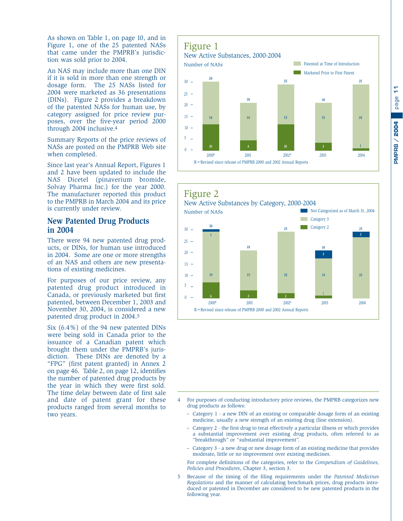<span id="page-12-0"></span>As shown on Table 1, on page 10, and in Figure 1, one of the 25 patented NASs that came under the PMPRB's jurisdiction was sold prior to 2004.

An NAS may include more than one DIN if it is sold in more than one strength or dosage form. The 25 NASs listed for 2004 were marketed as 36 presentations (DINs). Figure 2 provides a breakdown of the patented NASs for human use, by category assigned for price review purposes, over the five-year period 2000 through 2004 inclusive.4

Summary Reports of the price reviews of NASs are posted on the PMPRB Web site when completed.

Since last year's Annual Report, Figures 1 and 2 have been updated to include the NAS Dicetel (pinaverium bromide, Solvay Pharma Inc.) for the year 2000. The manufacturer reported this product to the PMPRB in March 2004 and its price is currently under review.

#### **New Patented Drug Products in 2004**

There were 94 new patented drug products, or DINs, for human use introduced in 2004. Some are one or more strengths of an NAS and others are new presentations of existing medicines.

For purposes of our price review, any patented drug product introduced in Canada, or previously marketed but first patented, between December 1, 2003 and November 30, 2004, is considered a new patented drug product in 2004.5

Six (6.4%) of the 94 new patented DINs were being sold in Canada prior to the issuance of a Canadian patent which brought them under the PMPRB's jurisdiction. These DINs are denoted by a "FPG" (first patent granted) in Annex 2 on page 46. Table 2, on page 12, identifies the number of patented drug products by the year in which they were first sold. The time delay between date of first sale and date of patent grant for these products ranged from several months to two years.

#### Figure 1 New Active Substances, 2000-2004  $\theta$ 5  $10 15 20 25 30 -$ **Patented at Time of Introduction Marketed Prior to First Patent**  $2000^{\text{\tiny R}}$  2001 2002<sup>R</sup> 2003 2004 2004 R=Revised since release of PMPRB 2000 and 2002 Annual Reports Number of NASs **26 16 10 18 14 4 25 15 10 25 24 1 18 15 3**



- Category 1 a new DIN of an existing or comparable dosage form of an existing medicine, usually a new strength of an existing drug (line extension).
- Category 2 the first drug to treat effectively a particular illness or which provides a substantial improvement over existing drug products, often referred to as "breakthrough" or "substantial improvement".
- Category 3 a new drug or new dosage form of an existing medicine that provides moderate, little or no improvement over existing medicines.

For complete definitions of the categories, refer to the *Compendium of Guidelines, Policies and Procedures*, Chapter 3, section 3.

5 Because of the timing of the filing requirements under the *Patented Medicines Regulations* and the manner of calculating benchmark prices, drug products introduced or patented in December are considered to be new patented products in the following year.

<sup>4</sup> For purposes of conducting introductory price reviews, the PMPRB categorizes new drug products as follows: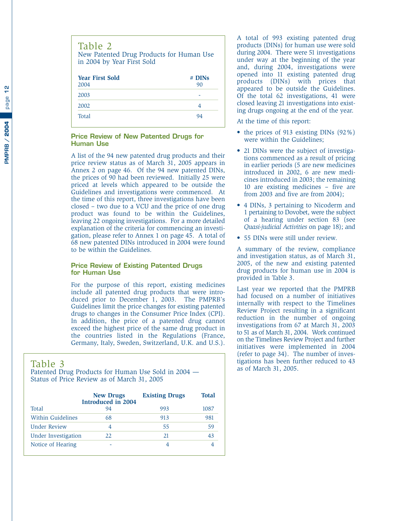<span id="page-13-0"></span>

| Table 2<br>New Patented Drug Products for Human Use<br>in 2004 by Year First Sold |              |  |  |  |
|-----------------------------------------------------------------------------------|--------------|--|--|--|
| <b>Year First Sold</b><br>2004                                                    | # DINs<br>90 |  |  |  |
| 2003                                                                              |              |  |  |  |
| 2002                                                                              | 4            |  |  |  |
| Total                                                                             | 94           |  |  |  |

#### **Price Review of New Patented Drugs for Human Use**

A list of the 94 new patented drug products and their price review status as of March 31, 2005 appears in Annex 2 on page 46. Of the 94 new patented DINs, the prices of 90 had been reviewed. Initially 25 were priced at levels which appeared to be outside the Guidelines and investigations were commenced. At the time of this report, three investigations have been closed – two due to a VCU and the price of one drug product was found to be within the Guidelines, leaving 22 ongoing investigations. For a more detailed explanation of the criteria for commencing an investigation, please refer to Annex 1 on page 45. A total of 68 new patented DINs introduced in 2004 were found to be within the Guidelines.

#### **Price Review of Existing Patented Drugs for Human Use**

For the purpose of this report, existing medicines include all patented drug products that were introduced prior to December 1, 2003. The PMPRB's Guidelines limit the price changes for existing patented drugs to changes in the Consumer Price Index (CPI). In addition, the price of a patented drug cannot exceed the highest price of the same drug product in the countries listed in the Regulations (France, Germany, Italy, Sweden, Switzerland, U.K. and U.S.).

#### Table 3

Patented Drug Products for Human Use Sold in 2004 — Status of Price Review as of March 31, 2005

|                            | <b>New Drugs</b><br><b>Introduced in 2004</b> | <b>Existing Drugs</b> | <b>Total</b> |
|----------------------------|-----------------------------------------------|-----------------------|--------------|
| Total                      | 94                                            | 993                   | 1087         |
| <b>Within Guidelines</b>   | 68                                            | 913                   | 981          |
| <b>Under Review</b>        | 4                                             | 55                    | 59           |
| <b>Under Investigation</b> | 22                                            | 21                    | 43           |
| Notice of Hearing          |                                               | 4                     |              |

A total of 993 existing patented drug products (DINs) for human use were sold during 2004. There were 51 investigations under way at the beginning of the year and, during 2004, investigations were opened into 11 existing patented drug products (DINs) with prices that appeared to be outside the Guidelines. Of the total 62 investigations, 41 were closed leaving 21 investigations into existing drugs ongoing at the end of the year.

At the time of this report:

- the prices of 913 existing DINs (92%) were within the Guidelines;
- 21 DINs were the subject of investigations commenced as a result of pricing in earlier periods (5 are new medicines introduced in 2002, 6 are new medicines introduced in 2003; the remaining 10 are existing medicines – five are from 2003 and five are from 2004);
- 4 DINs, 3 pertaining to Nicoderm and 1 pertaining to Dovobet, were the subject of a hearing under section 83 (see *Quasi-judicial Activities* on page 18); and
- 55 DINs were still under review.

A summary of the review, compliance and investigation status, as of March 31, 2005, of the new and existing patented drug products for human use in 2004 is provided in Table 3.

Last year we reported that the PMPRB had focused on a number of initiatives internally with respect to the Timelines Review Project resulting in a significant reduction in the number of ongoing investigations from 67 at March 31, 2003 to 51 as of March 31, 2004. Work continued on the Timelines Review Project and further initiatives were implemented in 2004 (refer to page 34). The number of investigations has been further reduced to 43 as of March 31, 2005.

 $\frac{a}{1}$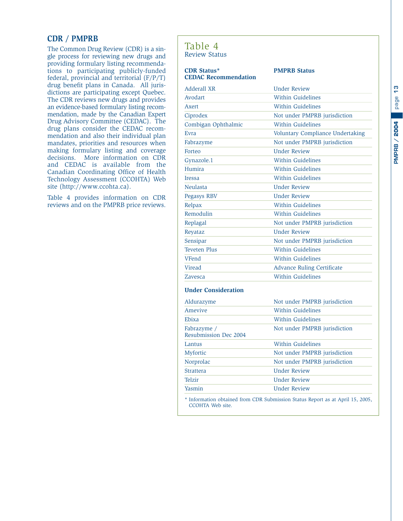#### <span id="page-14-0"></span>**CDR / PMPRB**

The Common Drug Review (CDR) is a single process for reviewing new drugs and providing formulary listing recommendations to participating publicly-funded federal, provincial and territorial (F/P/T) drug benefit plans in Canada. All jurisdictions are participating except Quebec. The CDR reviews new drugs and provides an evidence-based formulary listing recommendation, made by the Canadian Expert Drug Advisory Committee (CEDAC). The drug plans consider the CEDAC recommendation and also their individual plan mandates, priorities and resources when making formulary listing and coverage decisions. More information on CDR and CEDAC is available from the Canadian Coordinating Office of Health Technology Assessment (CCOHTA) Web site (http://www.ccohta.ca).

Table 4 provides information on CDR reviews and on the PMPRB price reviews.

#### Table 4 Review Status

#### **CDR Status\* PMPRB Status CEDAC Recommendation**

| Adderall XR                          | <b>Under Review</b>                                                            |
|--------------------------------------|--------------------------------------------------------------------------------|
| Avodart                              | <b>Within Guidelines</b>                                                       |
| Axert                                | <b>Within Guidelines</b>                                                       |
| Ciprodex                             | Not under PMPRB jurisdiction                                                   |
| Combigan Ophthalmic                  | Within Guidelines                                                              |
| Evra                                 | Voluntary Compliance Undertaking                                               |
| Fabrazyme                            | Not under PMPRB jurisdiction                                                   |
| Forteo                               | <b>Under Review</b>                                                            |
| Gynazole.1                           | <b>Within Guidelines</b>                                                       |
| Humira                               | <b>Within Guidelines</b>                                                       |
| <b>Iressa</b>                        | <b>Within Guidelines</b>                                                       |
| Neulasta                             | <b>Under Review</b>                                                            |
| Pegasys RBV                          | <b>Under Review</b>                                                            |
| Relpax                               | Within Guidelines                                                              |
| Remodulin                            | Within Guidelines                                                              |
| Replagal                             | Not under PMPRB jurisdiction                                                   |
| Reyataz                              | <b>Under Review</b>                                                            |
| Sensipar                             | Not under PMPRB jurisdiction                                                   |
| <b>Teveten Plus</b>                  | Within Guidelines                                                              |
| VFend                                | <b>Within Guidelines</b>                                                       |
| Viread                               | <b>Advance Ruling Certificate</b>                                              |
| <b>Zavesca</b>                       | <b>Within Guidelines</b>                                                       |
| <b>Under Consideration</b>           |                                                                                |
| Aldurazyme                           | Not under PMPRB jurisdiction                                                   |
| Amevive                              | Within Guidelines                                                              |
| Ebixa                                | <b>Within Guidelines</b>                                                       |
| Fabrazyme /<br>Resubmission Dec 2004 | Not under PMPRB jurisdiction                                                   |
| Lantus                               | Within Guidelines                                                              |
| Myfortic                             | Not under PMPRB jurisdiction                                                   |
| Norprolac                            | Not under PMPRB jurisdiction                                                   |
| <b>Strattera</b>                     | <b>Under Review</b>                                                            |
| Telzir                               | <b>Under Review</b>                                                            |
| Yasmin                               | <b>Under Review</b>                                                            |
|                                      | * Information obtained from CDR Submission Status Report as at April 15, 2005, |

CCOHTA Web site.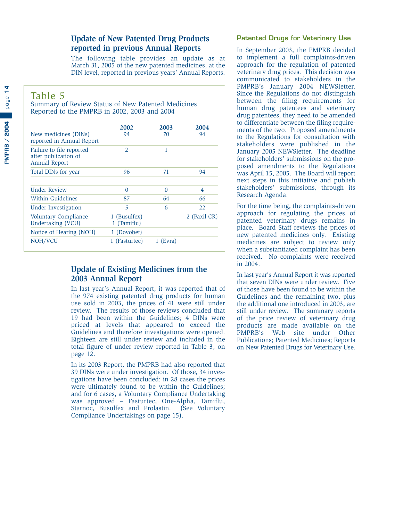#### <span id="page-15-0"></span>**Update of New Patented Drug Products reported in previous Annual Reports**

The following table provides an update as at March 31, 2005 of the new patented medicines, at the DIN level, reported in previous years' Annual Reports.

#### Table 5

Summary of Review Status of New Patented Medicines Reported to the PMPRB in 2002, 2003 and 2004

| New medicines (DINs)<br>reported in Annual Report                        | 2002<br>94                  | 2003<br>70 | 2004<br>94   |
|--------------------------------------------------------------------------|-----------------------------|------------|--------------|
| Failure to file reported<br>after publication of<br><b>Annual Report</b> | $\mathcal{L}$               | 1          |              |
| Total DINs for year                                                      | 96                          | 71         | 94           |
| <b>Under Review</b>                                                      | 0                           | 0          | 4            |
| Within Guidelines                                                        | 87                          | 64         | 66           |
| Under Investigation                                                      | 5                           | 6          | 2.2.         |
| Voluntary Compliance<br>Undertaking (VCU)                                | 1 (Busulfex)<br>1 (Tamiflu) |            | 2 (Paxil CR) |
| Notice of Hearing (NOH)                                                  | 1 (Dovobet)                 |            |              |
| NOH/VCU                                                                  | 1 (Fasturtec)               | $1$ (Evra) |              |

#### **Update of Existing Medicines from the 2003 Annual Report**

In last year's Annual Report, it was reported that of the 974 existing patented drug products for human use sold in 2003, the prices of 41 were still under review. The results of those reviews concluded that 19 had been within the Guidelines; 4 DINs were priced at levels that appeared to exceed the Guidelines and therefore investigations were opened. Eighteen are still under review and included in the total figure of under review reported in Table 3, on page 12.

In its 2003 Report, the PMPRB had also reported that 39 DINs were under investigation. Of those, 34 investigations have been concluded: in 28 cases the prices were ultimately found to be within the Guidelines; and for 6 cases, a Voluntary Compliance Undertaking was approved – Fasturtec, One-Alpha, Tamiflu, Starnoc, Busulfex and Prolastin. (See Voluntary Compliance Undertakings on page 15).

#### **Patented Drugs for Veterinary Use**

In September 2003, the PMPRB decided to implement a full complaints-driven approach for the regulation of patented veterinary drug prices. This decision was communicated to stakeholders in the PMPRB's January 2004 NEWSletter. Since the Regulations do not distinguish between the filing requirements for human drug patentees and veterinary drug patentees, they need to be amended to differentiate between the filing requirements of the two. Proposed amendments to the Regulations for consultation with stakeholders were published in the January 2005 NEWSletter. The deadline for stakeholders' submissions on the proposed amendments to the Regulations was April 15, 2005. The Board will report next steps in this initiative and publish stakeholders' submissions, through its Research Agenda.

For the time being, the complaints-driven approach for regulating the prices of patented veterinary drugs remains in place. Board Staff reviews the prices of new patented medicines only. Existing medicines are subject to review only when a substantiated complaint has been received. No complaints were received in 2004.

In last year's Annual Report it was reported that seven DINs were under review. Five of those have been found to be within the Guidelines and the remaining two, plus the additional one introduced in 2003, are still under review. The summary reports of the price review of veterinary drug products are made available on the PMPRB's Web site under Other Publications; Patented Medicines; Reports on New Patented Drugs for Veterinary Use.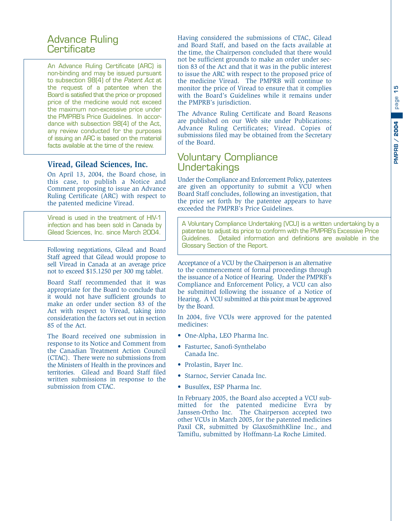#### <span id="page-16-0"></span>Advance Ruling **Certificate**

An Advance Ruling Certificate (ARC) is non-binding and may be issued pursuant to subsection 98(4) of the Patent Act at the request of a patentee when the Board is satisfied that the price or proposed price of the medicine would not exceed the maximum non-excessive price under the PMPRB's Price Guidelines. In accordance with subsection 98(4) of the Act, any review conducted for the purposes of issuing an ARC is based on the material facts available at the time of the review.

#### **Viread, Gilead Sciences, Inc.**

On April 13, 2004, the Board chose, in this case, to publish a Notice and Comment proposing to issue an Advance Ruling Certificate (ARC) with respect to the patented medicine Viread.

Viread is used in the treatment of HIV-1 infection and has been sold in Canada by Gilead Sciences, Inc. since March 2004.

Following negotiations, Gilead and Board Staff agreed that Gilead would propose to sell Viread in Canada at an average price not to exceed \$15.1250 per 300 mg tablet.

Board Staff recommended that it was appropriate for the Board to conclude that it would not have sufficient grounds to make an order under section 83 of the Act with respect to Viread, taking into consideration the factors set out in section 85 of the Act.

The Board received one submission in response to its Notice and Comment from the Canadian Treatment Action Council (CTAC). There were no submissions from the Ministers of Health in the provinces and territories. Gilead and Board Staff filed written submissions in response to the submission from CTAC.

Having considered the submissions of CTAC, Gilead and Board Staff, and based on the facts available at the time, the Chairperson concluded that there would not be sufficient grounds to make an order under section 83 of the Act and that it was in the public interest to issue the ARC with respect to the proposed price of the medicine Viread. The PMPRB will continue to monitor the price of Viread to ensure that it complies with the Board's Guidelines while it remains under the PMPRB's jurisdiction.

The Advance Ruling Certificate and Board Reasons are published on our Web site under Publications; Advance Ruling Certificates; Viread. Copies of submissions filed may be obtained from the Secretary of the Board.

#### Voluntary Compliance Undertakings

Under the Compliance and Enforcement Policy, patentees are given an opportunity to submit a VCU when Board Staff concludes, following an investigation, that the price set forth by the patentee appears to have exceeded the PMPRB's Price Guidelines.

A Voluntary Compliance Undertaking (VCU) is a written undertaking by a patentee to adjust its price to conform with the PMPRB's Excessive Price Guidelines. Detailed information and definitions are available in the Glossary Section of the Report.

Acceptance of a VCU by the Chairperson is an alternative to the commencement of formal proceedings through the issuance of a Notice of Hearing. Under the PMPRB's Compliance and Enforcement Policy, a VCU can also be submitted following the issuance of a Notice of Hearing. A VCU submitted at this point must be approved by the Board.

In 2004, five VCUs were approved for the patented medicines:

- One-Alpha, LEO Pharma Inc.
- Fasturtec, Sanofi-Synthelabo Canada Inc.
- Prolastin, Bayer Inc.
- Starnoc, Servier Canada Inc.
- Busulfex, ESP Pharma Inc.

In February 2005, the Board also accepted a VCU submitted for the patented medicine Evra by Janssen-Ortho Inc. The Chairperson accepted two other VCUs in March 2005, for the patented medicines Paxil CR, submitted by GlaxoSmithKline Inc., and Tamiflu, submitted by Hoffmann-La Roche Limited.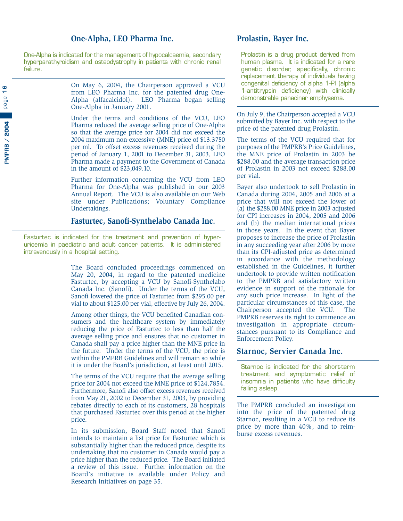#### **One-Alpha, LEO Pharma Inc.**

One-Alpha is indicated for the management of hypocalcaemia, secondary hyperparathyroidism and osteodystrophy in patients with chronic renal failure.

> On May 6, 2004, the Chairperson approved a VCU from LEO Pharma Inc. for the patented drug One-Alpha (alfacalcidol). LEO Pharma began selling One-Alpha in January 2001.

> Under the terms and conditions of the VCU, LEO Pharma reduced the average selling price of One-Alpha so that the average price for 2004 did not exceed the 2004 maximum non-excessive (MNE) price of \$13.3750 per ml. To offset excess revenues received during the period of January 1, 2001 to December 31, 2003, LEO Pharma made a payment to the Government of Canada in the amount of \$23,049.10.

> Further information concerning the VCU from LEO Pharma for One-Alpha was published in our 2003 Annual Report. The VCU is also available on our Web site under Publications; Voluntary Compliance Undertakings.

#### **Fasturtec, Sanofi-Synthelabo Canada Inc.**

Fasturtec is indicated for the treatment and prevention of hyperuricemia in paediatric and adult cancer patients. It is administered intravenously in a hospital setting.

> The Board concluded proceedings commenced on May 20, 2004, in regard to the patented medicine Fasturtec, by accepting a VCU by Sanofi-Synthelabo Canada Inc. (Sanofi). Under the terms of the VCU, Sanofi lowered the price of Fasturtec from \$295.00 per vial to about \$125.00 per vial, effective by July 26, 2004.

> Among other things, the VCU benefited Canadian consumers and the healthcare system by immediately reducing the price of Fasturtec to less than half the average selling price and ensures that no customer in Canada shall pay a price higher than the MNE price in the future. Under the terms of the VCU, the price is within the PMPRB Guidelines and will remain so while it is under the Board's jurisdiction, at least until 2015.

> The terms of the VCU require that the average selling price for 2004 not exceed the MNE price of \$124.7854. Furthermore, Sanofi also offset excess revenues received from May 21, 2002 to December 31, 2003, by providing rebates directly to each of its customers, 28 hospitals that purchased Fasturtec over this period at the higher price.

> In its submission, Board Staff noted that Sanofi intends to maintain a list price for Fasturtec which is substantially higher than the reduced price, despite its undertaking that no customer in Canada would pay a price higher than the reduced price. The Board initiated a review of this issue. Further information on the Board's initiative is available under Policy and Research Initiatives on page 35.

#### **Prolastin, Bayer Inc.**

Prolastin is a drug product derived from human plasma. It is indicated for a rare genetic disorder, specifically, chronic replacement therapy of individuals having congenital deficiency of alpha 1-PI (alpha 1-antitrypsin deficiency) with clinically demonstrable panacinar emphysema.

On July 9, the Chairperson accepted a VCU submitted by Bayer Inc. with respect to the price of the patented drug Prolastin.

The terms of the VCU required that for purposes of the PMPRB's Price Guidelines, the MNE price of Prolastin in 2003 be \$288.00 and the average transaction price of Prolastin in 2003 not exceed \$288.00 per vial.

Bayer also undertook to sell Prolastin in Canada during 2004, 2005 and 2006 at a price that will not exceed the lower of (a) the \$288.00 MNE price in 2003 adjusted for CPI increases in 2004, 2005 and 2006 and (b) the median international prices in those years. In the event that Bayer proposes to increase the price of Prolastin in any succeeding year after 2006 by more than its CPI-adjusted price as determined in accordance with the methodology established in the Guidelines, it further undertook to provide written notification to the PMPRB and satisfactory written evidence in support of the rationale for any such price increase. In light of the particular circumstances of this case, the Chairperson accepted the VCU. The PMPRB reserves its right to commence an investigation in appropriate circumstances pursuant to its Compliance and Enforcement Policy.

#### **Starnoc, Servier Canada Inc.**

Starnoc is indicated for the short-term treatment and symptomatic relief of insomnia in patients who have difficulty falling asleep.

The PMPRB concluded an investigation into the price of the patented drug Starnoc, resulting in a VCU to reduce its price by more than 40%, and to reimburse excess revenues.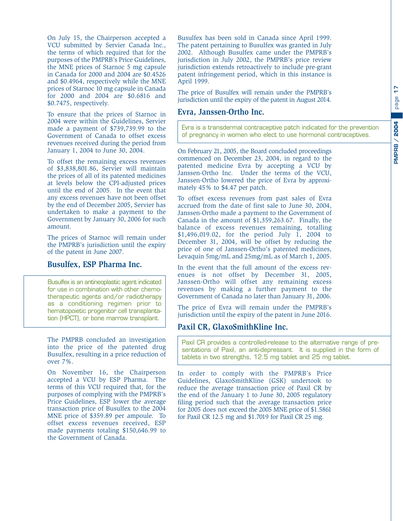On July 15, the Chairperson accepted a VCU submitted by Servier Canada Inc., the terms of which required that for the purposes of the PMPRB's Price Guidelines, the MNE prices of Starnoc 5 mg capsule in Canada for 2000 and 2004 are \$0.4526 and \$0.4964, respectively while the MNE prices of Starnoc 10 mg capsule in Canada for 2000 and 2004 are \$0.6816 and \$0.7475, respectively.

To ensure that the prices of Starnoc in 2004 were within the Guidelines, Servier made a payment of \$739,739.99 to the Government of Canada to offset excess revenues received during the period from January 1, 2004 to June 30, 2004.

To offset the remaining excess revenues of \$3,838,801.86, Servier will maintain the prices of all of its patented medicines at levels below the CPI-adjusted prices until the end of 2005. In the event that any excess revenues have not been offset by the end of December 2005, Servier has undertaken to make a payment to the Government by January 30, 2006 for such amount.

The prices of Starnoc will remain under the PMPRB's jurisdiction until the expiry of the patent in June 2007.

#### **Busulfex, ESP Pharma Inc.**

Busulfex is an antineoplastic agent indicated for use in combination with other chemotherapeutic agents and/or radiotherapy as a conditioning regimen prior to hematopoietic progenitor cell transplantation (HPCT), or bone marrow transplant.

The PMPRB concluded an investigation into the price of the patented drug Busulfex, resulting in a price reduction of over 7%.

On November 16, the Chairperson accepted a VCU by ESP Pharma. The terms of this VCU required that, for the purposes of complying with the PMPRB's Price Guidelines, ESP lower the average transaction price of Busulfex to the 2004 MNE price of \$359.89 per ampoule. To offset excess revenues received, ESP made payments totaling \$150,646.99 to the Government of Canada.

Busulfex has been sold in Canada since April 1999. The patent pertaining to Busulfex was granted in July 2002. Although Busulfex came under the PMPRB's jurisdiction in July 2002, the PMPRB's price review jurisdiction extends retroactively to include pre-grant patent infringement period, which in this instance is April 1999.

The price of Busulfex will remain under the PMPRB's jurisdiction until the expiry of the patent in August 2014.

#### **Evra, Janssen-Ortho Inc.**

Evra is a transdermal contraceptive patch indicated for the prevention of pregnancy in women who elect to use hormonal contraceptives.

On February 21, 2005, the Board concluded proceedings commenced on December 23, 2004, in regard to the patented medicine Evra by accepting a VCU by Janssen-Ortho Inc. Under the terms of the VCU, Janssen-Ortho lowered the price of Evra by approximately 45% to \$4.47 per patch.

To offset excess revenues from past sales of Evra accrued from the date of first sale to June 30, 2004, Janssen-Ortho made a payment to the Government of Canada in the amount of \$1,359,263.67. Finally, the balance of excess revenues remaining, totalling \$1,496,019.02, for the period July 1, 2004 to December 31, 2004, will be offset by reducing the price of one of Janssen-Ortho's patented medicines, Levaquin 5mg/mL and 25mg/mL as of March 1, 2005.

In the event that the full amount of the excess revenues is not offset by December 31, 2005, Janssen-Ortho will offset any remaining excess revenues by making a further payment to the Government of Canada no later than January 31, 2006.

The price of Evra will remain under the PMPRB's jurisdiction until the expiry of the patent in June 2016.

#### **Paxil CR, GlaxoSmithKline Inc.**

Paxil CR provides a controlled-release to the alternative range of presentations of Paxil, an anti-depressant. It is supplied in the form of tablets in two strengths, 12.5 mg tablet and 25 mg tablet.

In order to comply with the PMPRB's Price Guidelines, GlaxoSmithKline (GSK) undertook to reduce the average transaction price of Paxil CR by the end of the January 1 to June 30, 2005 regulatory filing period such that the average transaction price for 2005 does not exceed the 2005 MNE price of \$1.5861 for Paxil CR 12.5 mg and \$1.7019 for Paxil CR 25 mg.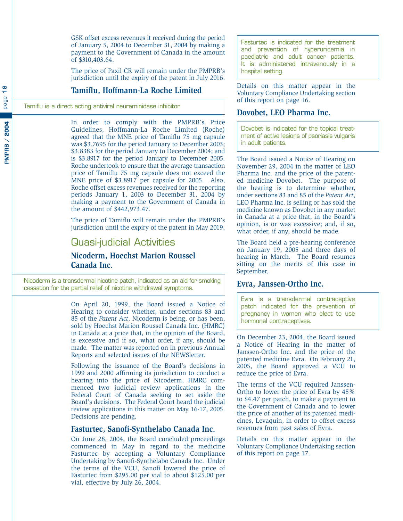<span id="page-19-0"></span>GSK offset excess revenues it received during the period of January 5, 2004 to December 31, 2004 by making a payment to the Government of Canada in the amount of \$310,403.64.

The price of Paxil CR will remain under the PMPRB's jurisdiction until the expiry of the patent in July 2016.

#### **Tamiflu, Hoffmann-La Roche Limited**

Tamiflu is a direct acting antiviral neuraminidase inhibitor.

In order to comply with the PMPRB's Price Guidelines, Hoffmann-La Roche Limited (Roche) agreed that the MNE price of Tamiflu 75 mg capsule was \$3.7695 for the period January to December 2003; \$3.8383 for the period January to December 2004; and is \$3.8917 for the period January to December 2005. Roche undertook to ensure that the average transaction price of Tamiflu 75 mg capsule does not exceed the MNE price of \$3.8917 per capsule for 2005. Also, Roche offset excess revenues received for the reporting periods January 1, 2003 to December 31, 2004 by making a payment to the Government of Canada in the amount of \$442,973.47.

The price of Tamiflu will remain under the PMPRB's jurisdiction until the expiry of the patent in May 2019.

#### Quasi-judicial Activities

**Nicoderm, Hoechst Marion Roussel Canada Inc.**

Nicoderm is a transdermal nicotine patch, indicated as an aid for smoking cessation for the partial relief of nicotine withdrawal symptoms.

> On April 20, 1999, the Board issued a Notice of Hearing to consider whether, under sections 83 and 85 of the *Patent Act*, Nicoderm is being, or has been, sold by Hoechst Marion Roussel Canada Inc. (HMRC) in Canada at a price that, in the opinion of the Board, is excessive and if so, what order, if any, should be made. The matter was reported on in previous Annual Reports and selected issues of the NEWSletter.

> Following the issuance of the Board's decisions in 1999 and 2000 affirming its jurisdiction to conduct a hearing into the price of Nicoderm, HMRC commenced two judicial review applications in the Federal Court of Canada seeking to set aside the Board's decisions. The Federal Court heard the judicial review applications in this matter on May 16-17, 2005. Decisions are pending.

#### **Fasturtec, Sanofi-Synthelabo Canada Inc.**

On June 28, 2004, the Board concluded proceedings commenced in May in regard to the medicine Fasturtec by accepting a Voluntary Compliance Undertaking by Sanofi-Synthelabo Canada Inc. Under the terms of the VCU, Sanofi lowered the price of Fasturtec from \$295.00 per vial to about \$125.00 per vial, effective by July 26, 2004.

Fasturtec is indicated for the treatment and prevention of hyperuricemia in paediatric and adult cancer patients. It is administered intravenously in a hospital setting.

Details on this matter appear in the Voluntary Compliance Undertaking section of this report on page 16.

#### **Dovobet, LEO Pharma Inc.**

Dovobet is indicated for the topical treatment of active lesions of psoriasis vulgaris in adult patients.

The Board issued a Notice of Hearing on November 29, 2004 in the matter of LEO Pharma Inc. and the price of the patented medicine Dovobet. The purpose of the hearing is to determine whether, under sections 83 and 85 of the *Patent Act*, LEO Pharma Inc. is selling or has sold the medicine known as Dovobet in any market in Canada at a price that, in the Board's opinion, is or was excessive; and, if so, what order, if any, should be made.

The Board held a pre-hearing conference on January 19, 2005 and three days of hearing in March. The Board resumes sitting on the merits of this case in September.

#### **Evra, Janssen-Ortho Inc.**

Evra is a transdermal contraceptive patch indicated for the prevention of pregnancy in women who elect to use hormonal contraceptives.

On December 23, 2004, the Board issued a Notice of Hearing in the matter of Janssen-Ortho Inc. and the price of the patented medicine Evra. On February 21, 2005, the Board approved a VCU to reduce the price of Evra.

The terms of the VCU required Janssen-Ortho to lower the price of Evra by 45% to \$4.47 per patch, to make a payment to the Government of Canada and to lower the price of another of its patented medicines, Levaquin, in order to offset excess revenues from past sales of Evra.

Details on this matter appear in the Voluntary Compliance Undertaking section of this report on page 17.

 $\infty$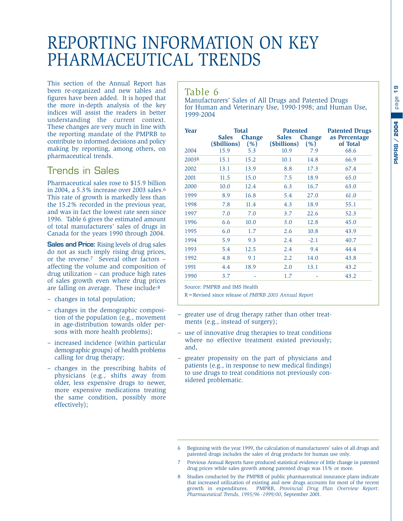## <span id="page-20-0"></span>REPORTING INFORMATION ON KEY PHARMACEUTICAL TRENDS

This section of the Annual Report has been re-organized and new tables and figures have been added. It is hoped that the more in-depth analysis of the key indices will assist the readers in better understanding the current context. These changes are very much in line with the reporting mandate of the PMPRB to contribute to informed decisions and policy making by reporting, among others, on pharmaceutical trends.

#### Trends in Sales

Pharmaceutical sales rose to \$15.9 billion in 2004, a 5.3% increase over 2003 sales.6 This rate of growth is markedly less than the 15.2% recorded in the previous year, and was in fact the lowest rate seen since 1996. Table 6 gives the estimated amount of total manufacturers' sales of drugs in Canada for the years 1990 through 2004.

**Sales and Price:** Rising levels of drug sales do not as such imply rising drug prices, or the reverse.7 Several other factors – affecting the volume and composition of drug utilization – can produce high rates of sales growth even where drug prices are falling on average. These include:8

- changes in total population;
- changes in the demographic composition of the population (e.g., movement in age-distribution towards older persons with more health problems);
- increased incidence (within particular demographic groups) of health problems calling for drug therapy;
- changes in the prescribing habits of physicians (e.g., shifts away from older, less expensive drugs to newer, more expensive medications treating the same condition, possibly more effectively);

#### Table 6

Manufacturers' Sales of All Drugs and Patented Drugs for Human and Veterinary Use, 1990-1998; and Human Use, 1999-2004

| <b>Year</b> |                              | <b>Total</b>          | <b>Patented</b>              |                       | <b>Patented Drugs</b>     |
|-------------|------------------------------|-----------------------|------------------------------|-----------------------|---------------------------|
|             | <b>Sales</b><br>(\$billions) | <b>Change</b><br>(% ) | <b>Sales</b><br>(\$billions) | <b>Change</b><br>(% ) | as Percentage<br>of Total |
| 2004        | 15.9                         | 5.3                   | 10.9                         | 7.9                   | 68.6                      |
| 2003R       | 15.1                         | 15.2                  | 10.1                         | 14.8                  | 66.9                      |
| 2002        | 13.1                         | 13.9                  | 8.8                          | 17.3                  | 67.4                      |
| 2001        | 11.5                         | 15.0                  | 7.5                          | 18.9                  | 65.0                      |
| 2000        | 10.0                         | 12.4                  | 6.3                          | 16.7                  | 63.0                      |
| 1999        | 8.9                          | 16.8                  | 5.4                          | 27.0                  | 61.0                      |
| 1998        | 7.8                          | 11.4                  | 4.3                          | 18.9                  | 55.1                      |
| 1997        | 7.0                          | 7.0                   | 3.7                          | 22.6                  | 52.3                      |
| 1996        | 6.6                          | 10.0                  | 3.0                          | 12.8                  | 45.0                      |
| 1995        | 6.0                          | 1.7                   | 2.6                          | 10.8                  | 43.9                      |
| 1994        | 5.9                          | 9.3                   | 2.4                          | $-2.1$                | 40.7                      |
| 1993        | 5.4                          | 12.5                  | 2.4                          | 9.4                   | 44.4                      |
| 1992        | 4.8                          | 9.1                   | 2.2                          | 14.0                  | 43.8                      |
| 1991        | 4.4                          | 18.9                  | 2.0                          | 13.1                  | 43.2                      |
| 1990        | 3.7                          |                       | 1.7                          |                       | 43.2                      |

Source: PMPRB and IMS Health

R=Revised since release of *PMPRB 2003 Annual Report*

- greater use of drug therapy rather than other treatments (e.g., instead of surgery);
- use of innovative drug therapies to treat conditions where no effective treatment existed previously; and,
- greater propensity on the part of physicians and patients (e.g., in response to new medical findings) to use drugs to treat conditions not previously considered problematic.

<sup>6</sup> Beginning with the year 1999, the calculation of manufacturers' sales of all drugs and patented drugs includes the sales of drug products for human use only.

<sup>7</sup> Previous Annual Reports have produced statistical evidence of little change in patented drug prices while sales growth among patented drugs was 15% or more.

<sup>8</sup> Studies conducted by the PMPRB of public pharmaceutical insurance plans indicate that increased utilization of existing and new drugs accounts for most of the recent growth in expenditures. PMPRB, *Provincial Drug Plan Overview Report: Pharmaceutical Trends, 1995/96 -1999/00*, September 2001.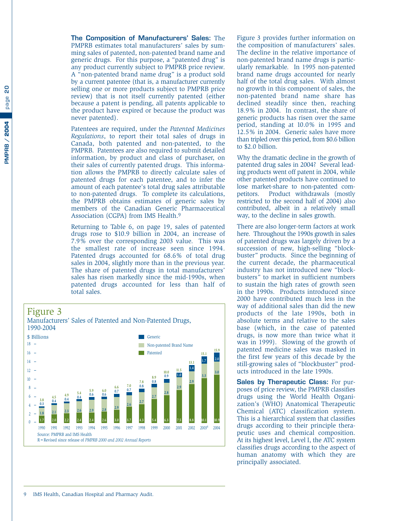ဥ **PMPRB / 2004** page **20** page PMPRB / 2004 <span id="page-21-0"></span>**The Composition of Manufacturers' Sales:** The PMPRB estimates total manufacturers' sales by summing sales of patented, non-patented brand name and generic drugs. For this purpose, a "patented drug" is any product currently subject to PMPRB price review. A "non-patented brand name drug" is a product sold by a current patentee (that is, a manufacturer currently selling one or more products subject to PMPRB price review) that is not itself currently patented (either because a patent is pending, all patents applicable to the product have expired or because the product was never patented).

Patentees are required, under the *Patented Medicines Regulations*, to report their total sales of drugs in Canada, both patented and non-patented, to the PMPRB. Patentees are also required to submit detailed information, by product and class of purchaser, on their sales of currently patented drugs. This information allows the PMPRB to directly calculate sales of patented drugs for each patentee, and to infer the amount of each patentee's total drug sales attributable to non-patented drugs. To complete its calculations, the PMPRB obtains estimates of generic sales by members of the Canadian Generic Pharmaceutical Association (CGPA) from IMS Health.9

Returning to Table 6, on page 19, sales of patented drugs rose to \$10.9 billion in 2004, an increase of 7.9% over the corresponding 2003 value. This was the smallest rate of increase seen since 1994. Patented drugs accounted for 68.6% of total drug sales in 2004, slightly more than in the previous year. The share of patented drugs in total manufacturers' sales has risen markedly since the mid-1990s, when patented drugs accounted for less than half of total sales.



Figure 3 provides further information on the composition of manufacturers' sales. The decline in the relative importance of non-patented brand name drugs is particularly remarkable. In 1995 non-patented brand name drugs accounted for nearly half of the total drug sales. With almost no growth in this component of sales, the non-patented brand name share has declined steadily since then, reaching 18.9% in 2004. In contrast, the share of generic products has risen over the same period, standing at 10.0% in 1995 and 12.5% in 2004. Generic sales have more than tripled over this period, from \$0.6 billion to \$2.0 billion.

Why the dramatic decline in the growth of patented drug sales in 2004? Several leading products went off patent in 2004, while other patented products have continued to lose market-share to non-patented competitors. Product withdrawals (mostly restricted to the second half of 2004) also contributed, albeit in a relatively small way, to the decline in sales growth.

There are also longer-term factors at work here. Throughout the 1990s growth in sales of patented drugs was largely driven by a succession of new, high-selling "blockbuster" products. Since the beginning of the current decade, the pharmaceutical industry has not introduced new "blockbusters" to market in sufficient numbers to sustain the high rates of growth seen in the 1990s. Products introduced since 2000 have contributed much less in the way of additional sales than did the new products of the late 1990s, both in absolute terms and relative to the sales base (which, in the case of patented drugs, is now more than twice what it was in 1999). Slowing of the growth of patented medicine sales was masked in the first few years of this decade by the still-growing sales of "blockbuster" products introduced in the late 1990s.

**Sales by Therapeutic Class:** For purposes of price review, the PMPRB classifies drugs using the World Health Organization's (WHO) Anatomical Therapeutic Chemical (ATC) classification system. This is a hierarchical system that classifies drugs according to their principle therapeutic uses and chemical composition. At its highest level, Level I, the ATC system classifies drugs according to the aspect of human anatomy with which they are principally associated.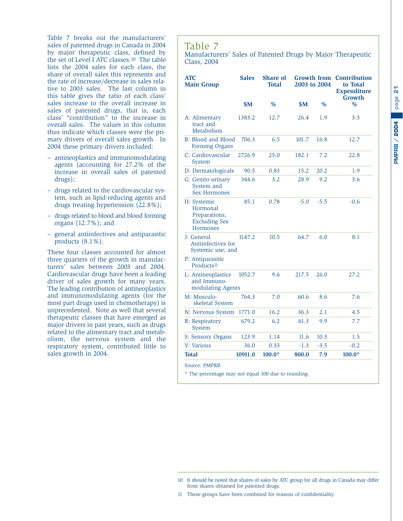<span id="page-22-0"></span>Table 7 breaks out the manufacturers' sales of patented drugs in Canada in 2004 by major therapeutic class, defined by the set of Level I ATC classes.10 The table lists the 2004 sales for each class, the share of overall sales this represents and the rate of increase/decrease in sales relative to 2003 sales. The last column in this table gives the ratio of each class' sales increase to the overall increase in sales of patented drugs, that is, each class' "contribution" to the increase in overall sales. The values in this column thus indicate which classes were the primary drivers of overall sales growth. In 2004 these primary drivers included:

- antineoplastics and immunomodulating agents (accounting for 27.2% of the increase in overall sales of patented drugs);
- drugs related to the cardiovascular system, such as lipid-reducing agents and drugs treating hypertension (22.8%);
- drugs related to blood and blood forming organs (12.7%); and
- general antiinfectives and antiparasitic products (8.1%).

These four classes accounted for almost three quarters of the growth in manufacturers' sales between 2003 and 2004. Cardiovascular drugs have been a leading driver of sales growth for many years. The leading contribution of antineoplastics and immunomodulating agents (for the most part drugs used in chemotherapy) is unprecedented. Note as well that several therapeutic classes that have emerged as major drivers in past years, such as drugs related to the alimentary tract and metabolism, the nervous system and the respiratory system, contributed little to sales growth in 2004.

#### Table 7

Manufacturers' Sales of Patented Drugs by Major Therapeutic Class, 2004

| <b>ATC</b><br><b>Main Group</b>                                              | <b>Sales</b> | <b>Share of</b><br>Total |        | Growth from<br>2003 to 2004 | <b>Contribution</b><br>to Total<br><b>Expenditure</b><br>Growth |
|------------------------------------------------------------------------------|--------------|--------------------------|--------|-----------------------------|-----------------------------------------------------------------|
|                                                                              | \$M\$        | $\frac{0}{0}$            | \$M\$  | $\frac{0}{0}$               | $\frac{0}{0}$                                                   |
| A: Alimentary<br>tract and<br>Metabolism                                     | 1383.2       | 12.7                     | 26.4   | 1.9                         | 3.3                                                             |
| B: Blood and Blood<br>Forming Organs                                         | 706.3        | 6.5                      | 101.7  | 16.8                        | 12.7                                                            |
| C: Cardiovascular<br>System                                                  | 2726.9       | 25.0                     | 182.1  | 7.2                         | 22.8                                                            |
| D: Dermatologicals                                                           | 90.5         | 0.83                     | 15.2   | 20.2                        | 1.9                                                             |
| G: Genito-urinary<br>System and<br><b>Sex Hormones</b>                       | 344.6        | 3.2                      | 28.9   | 9.2                         | 3.6                                                             |
| H: Systemic<br>Hormonal<br>Preparations,<br><b>Excluding Sex</b><br>Hormones | 85.1         | 0.78                     | $-5.0$ | $-5.5$                      | $-0.6$                                                          |
| J: General<br>Antiinfectives for<br>Systemic use; and                        | 1147.2       | 10.5                     | 64.7   | 6.0                         | 8.1                                                             |
| P: Antiparasitic<br>Products <sup>11</sup>                                   |              |                          |        |                             |                                                                 |
| L: Antineoplastics<br>and Immuno-<br>modulating Agents                       | 1052.7       | 9.6                      | 217.5  | 26.0                        | 27.2                                                            |
| M: Musculo-<br>skeletal System                                               | 764.3        | 7.0                      | 60.6   | 8.6                         | 7.6                                                             |
| N: Nervous System                                                            | 1771.0       | 16.2                     | 36.3   | 2.1                         | 4.5                                                             |
| R: Respiratory<br>System                                                     | 679.2        | 6.2                      | 61.3   | 9.9                         | 7.7                                                             |
| S: Sensory Organs                                                            | 123.9        | 1.14                     | 11.6   | 10.3                        | 1.5                                                             |
| V: Various                                                                   | 36.0         | 0.33                     | $-1.3$ | $-3.5$                      | $-0.2$                                                          |
| <b>Total</b>                                                                 | 10911.0      | $100.0*$                 | 800.0  | 7.9                         | $100.0*$                                                        |
| <b>Source: PMPRB</b>                                                         |              |                          |        |                             |                                                                 |

\* The percentage may not equal 100 due to rounding.

<sup>10</sup> It should be noted that shares of sales by ATC group for all drugs in Canada may differ from shares obtained for patented drugs.

<sup>11</sup> These groups have been combined for reasons of confidentiality.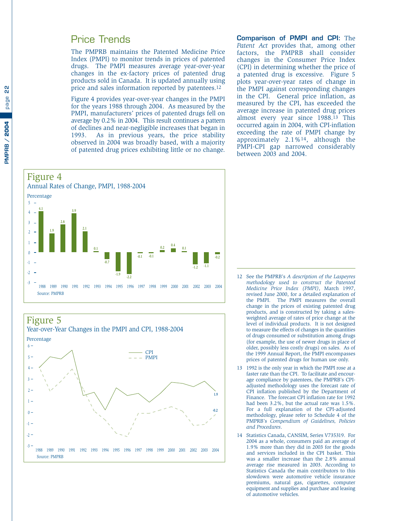#### <span id="page-23-0"></span>Price Trends

The PMPRB maintains the Patented Medicine Price Index (PMPI) to monitor trends in prices of patented drugs. The PMPI measures average year-over-year changes in the ex-factory prices of patented drug products sold in Canada. It is updated annually using price and sales information reported by patentees.12

Figure 4 provides year-over-year changes in the PMPI for the years 1988 through 2004. As measured by the PMPI, manufacturers' prices of patented drugs fell on average by 0.2% in 2004. This result continues a pattern of declines and near-negligible increases that began in 1993. As in previous years, the price stability observed in 2004 was broadly based, with a majority of patented drug prices exhibiting little or no change. **Comparison of PMPI and CPI:** The *Patent Act* provides that, among other factors, the PMPRB shall consider changes in the Consumer Price Index (CPI) in determining whether the price of a patented drug is excessive. Figure 5 plots year-over-year rates of change in the PMPI against corresponding changes in the CPI. General price inflation, as measured by the CPI, has exceeded the average increase in patented drug prices almost every year since 1988.13 This occurred again in 2004, with CPI-inflation exceeding the rate of PMPI change by approximately 2.1%14, although the PMPI-CPI gap narrowed considerably between 2003 and 2004.



Figure 5 Year-over-Year Changes in the PMPI and CPI, 1988-2004 -3  $-2 -$ -1  $0 -$ 1  $2 3 4 5 6 -$ PMPI CPI 1988 1989 1990 1991 1992 1993 1994 1995 1996 1997 1998 1999 2000 2001 2002 2003 2004 Source: PMPRB Percentage 1.7 2.0 2.2 2.4 2.4 2.6 3.0 3.7 4.3 5.4 6.3 **1.9 -0.2**

- 12 See the PMPRB's *A description of the Laspeyres methodology used to construct the Patented Medicine Price Index (PMPI)*, March 1997, revised June 2000, for a detailed explanation of the PMPI. The PMPI measures the overall change in the prices of existing patented drug products, and is constructed by taking a salesweighted average of rates of price change at the level of individual products. It is not designed to measure the effects of changes in the quantities of drugs consumed or substitution among drugs (for example, the use of newer drugs in place of older, possibly less costly drugs) on sales. As of the 1999 Annual Report, the PMPI encompasses prices of patented drugs for human use only.
- 13 1992 is the only year in which the PMPI rose at a faster rate than the CPI. To facilitate and encourage compliance by patentees, the PMPRB's CPIadjusted methodology uses the forecast rate of CPI inflation published by the Department of Finance. The forecast CPI inflation rate for 1992 had been 3.2%, but the actual rate was 1.5%. For a full explanation of the CPI-adjusted methodology, please refer to Schedule 4 of the PMPRB's *Compendium of Guidelines, Policies and Procedures*.
- 14 Statistics Canada, CANSIM, Series V735319. For 2004 as a whole, consumers paid an average of 1.9% more than they did in 2003 for the goods and services included in the CPI basket. This was a smaller increase than the 2.8% annual average rise measured in 2003. According to Statistics Canada the main contributors to this slowdown were automotive vehicle insurance premiums, natural gas, cigarettes, computer equipment and supplies and purchase and leasing of automotive vehicles.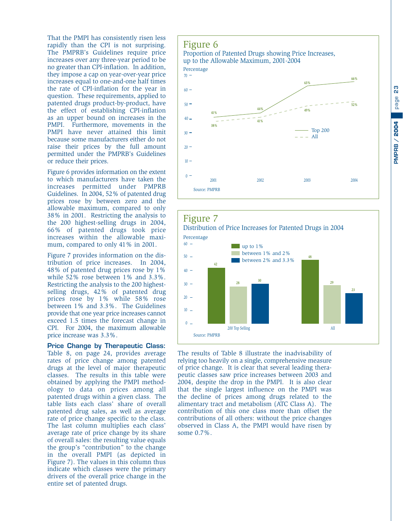page **23 PMPRB / 2004 PMPRB / 2004**

<span id="page-24-0"></span>That the PMPI has consistently risen less rapidly than the CPI is not surprising. The PMPRB's Guidelines require price increases over any three-year period to be no greater than CPI-inflation. In addition, they impose a cap on year-over-year price increases equal to one-and-one half times the rate of CPI-inflation for the year in question. These requirements, applied to patented drugs product-by-product, have the effect of establishing CPI-inflation as an upper bound on increases in the PMPI. Furthermore, movements in the PMPI have never attained this limit because some manufacturers either do not raise their prices by the full amount permitted under the PMPRB's Guidelines or reduce their prices.

Figure 6 provides information on the extent to which manufacturers have taken the increases permitted under PMPRB Guidelines. In 2004, 52% of patented drug prices rose by between zero and the allowable maximum, compared to only 38% in 2001. Restricting the analysis to the 200 highest-selling drugs in 2004, 66% of patented drugs took price increases within the allowable maximum, compared to only 41% in 2001.

Figure 7 provides information on the distribution of price increases. In 2004, 48% of patented drug prices rose by 1% while 52% rose between 1% and 3.3%. Restricting the analysis to the 200 highestselling drugs, 42% of patented drug prices rose by 1% while 58% rose between 1% and 3.3%. The Guidelines provide that one year price increases cannot exceed 1.5 times the forecast change in CPI. For 2004, the maximum allowable price increase was 3.3%.

**Price Change by Therapeutic Class:** Table 8, on page 24, provides average rates of price change among patented drugs at the level of major therapeutic classes. The results in this table were obtained by applying the PMPI methodology to data on prices among all patented drugs within a given class. The table lists each class' share of overall patented drug sales, as well as average rate of price change specific to the class. The last column multiplies each class' average rate of price change by its share of overall sales: the resulting value equals the group's "contribution" to the change in the overall PMPI (as depicted in Figure 7). The values in this column thus indicate which classes were the primary drivers of the overall price change in the entire set of patented drugs.

#### Figure 6 Proportion of Patented Drugs showing Price Increases, up to the Allowable Maximum, 2001-2004  $0 10 20 30 40 50 60 70 -$ All Top 200 2001 2002 2003 2004 Source: PMPRB Percentage **41% 38% 44% 41% 63% 49% 66% 52%**



The results of Table 8 illustrate the inadvisability of relying too heavily on a single, comprehensive measure of price change. It is clear that several leading therapeutic classes saw price increases between 2003 and 2004, despite the drop in the PMPI. It is also clear that the single largest influence on the PMPI was the decline of prices among drugs related to the alimentary tract and metabolism (ATC Class A). The contribution of this one class more than offset the contributions of all others: without the price changes observed in Class A, the PMPI would have risen by some 0.7%.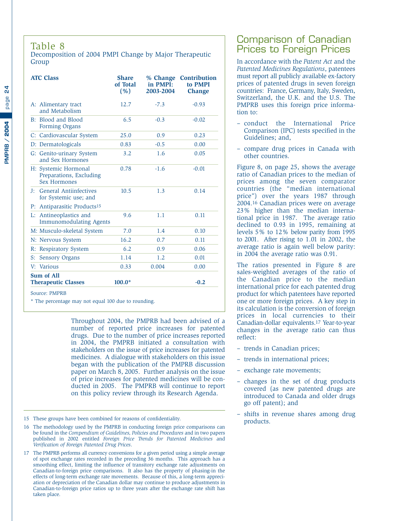<span id="page-25-0"></span>Decomposition of 2004 PMPI Change by Major Therapeutic Group

| <b>ATC Class</b>                                                         | <b>Share</b><br>of Total<br>(% ) | % Change<br>in PMPI:<br>2003-2004 | <b>Contribution</b><br>to PMPI<br><b>Change</b> |
|--------------------------------------------------------------------------|----------------------------------|-----------------------------------|-------------------------------------------------|
| A: Alimentary tract<br>and Metabolism                                    | 12.7                             | $-7.3$                            | $-0.93$                                         |
| B: Blood and Blood<br>Forming Organs                                     | 6.5                              | $-0.3$                            | $-0.02$                                         |
| C: Cardiovascular System                                                 | 25.0                             | 0.9                               | 0.23                                            |
| D: Dermatologicals                                                       | 0.83                             | $-0.5$                            | 0.00                                            |
| G: Genito-urinary System<br>and Sex Hormones                             | 3.2                              | 1.6                               | 0.05                                            |
| H: Systemic Hormonal<br>Preparations, Excluding<br><b>Sex Hormones</b>   | 0.78                             | $-1.6$                            | $-0.01$                                         |
| <b>General Antiinfectives</b><br>$\mathbf{I}^+$<br>for Systemic use; and | 10.5                             | 1.3                               | 0.14                                            |
| Antiparasitic Products <sup>15</sup><br>$P$ :                            |                                  |                                   |                                                 |
| Antineoplastics and<br>Ŀ.<br><b>Immunomodulating Agents</b>              | 9.6                              | 1.1                               | 0.11                                            |
| M: Musculo-skeletal System                                               | 7.0                              | 1.4                               | 0.10                                            |
| N: Nervous System                                                        | 16.2                             | 0.7                               | 0.11                                            |
| R: Respiratory System                                                    | 6.2                              | 0.9                               | 0.06                                            |
| $S$ :<br><b>Sensory Organs</b>                                           | 1.14                             | 1.2                               | 0.01                                            |
| V: Various                                                               | 0.33                             | 0.004                             | 0.00                                            |
| <b>Sum of All</b><br><b>Therapeutic Classes</b>                          | $100.0*$                         |                                   | $-0.2$                                          |

Source: PMPRB

\* The percentage may not equal 100 due to rounding.

Throughout 2004, the PMPRB had been advised of a number of reported price increases for patented drugs. Due to the number of price increases reported in 2004, the PMPRB initiated a consultation with stakeholders on the issue of price increases for patented medicines. A dialogue with stakeholders on this issue began with the publication of the PMPRB discussion paper on March 8, 2005. Further analysis on the issue of price increases for patented medicines will be conducted in 2005. The PMPRB will continue to report on this policy review through its Research Agenda.

- 15 These groups have been combined for reasons of confidentiality.
- 16 The methodology used by the PMPRB in conducting foreign price comparisons can be found in the *Compendium of Guidelines, Policies and Procedures* and in two papers published in 2002 entitled *Foreign Price Trends for Patented Medicines* and *Verification of Foreign Patented Drug Prices*.
- 17 The PMPRB performs all currency conversions for a given period using a simple average of spot exchange rates recorded in the preceding 36 months. This approach has a smoothing effect, limiting the influence of transitory exchange rate adjustments on Canadian-to-foreign price comparisons. It also has the property of phasing-in the effects of long-term exchange rate movements. Because of this, a long-term appreciation or depreciation of the Canadian dollar may continue to produce adjustments in Canadian-to-foreign price ratios up to three years after the exchange rate shift has taken place.

#### Comparison of Canadian Prices to Foreign Prices

In accordance with the *Patent Act* and the *Patented Medicines Regulations*, patentees must report all publicly available ex-factory prices of patented drugs in seven foreign countries: France, Germany, Italy, Sweden, Switzerland, the U.K. and the U.S. The PMPRB uses this foreign price information to:

- conduct the International Price Comparison (IPC) tests specified in the Guidelines; and,
- compare drug prices in Canada with other countries.

Figure 8, on page 25, shows the average ratio of Canadian prices to the median of prices among the seven comparator countries (the "median international price") over the years 1987 through 2004.16 Canadian prices were on average 23% higher than the median international price in 1987. The average ratio declined to 0.93 in 1995, remaining at levels 5% to 12% below parity from 1995 to 2001. After rising to 1.01 in 2002, the average ratio is again well below parity: in 2004 the average ratio was 0.91.

The ratios presented in Figure 8 are sales-weighted averages of the ratio of the Canadian price to the median international price for each patented drug product for which patentees have reported one or more foreign prices. A key step in its calculation is the conversion of foreign prices in local currencies to their Canadian-dollar equivalents.17 Year-to-year changes in the average ratio can thus reflect:

- trends in Canadian prices;
- trends in international prices;
- exchange rate movements;
- changes in the set of drug products covered (as new patented drugs are introduced to Canada and older drugs go off patent); and
- shifts in revenue shares among drug products.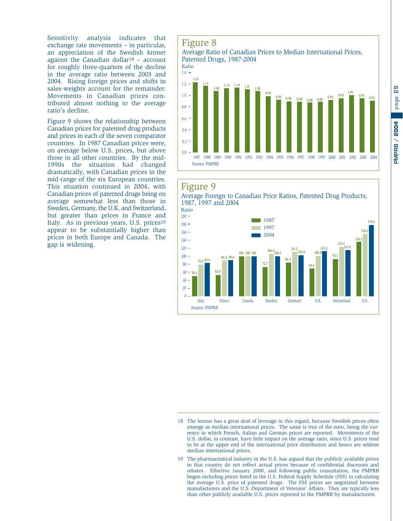<span id="page-26-0"></span>Sensitivity analysis indicates that exchange rate movements – in particular, an appreciation of the Swedish kroner against the Canadian dollar18 – account for roughly three-quarters of the decline in the average ratio between 2003 and 2004. Rising foreign prices and shifts in sales-weights account for the remainder. Movements in Canadian prices contributed almost nothing to the average ratio's decline.

Figure 9 shows the relationship between Canadian prices for patented drug products and prices in each of the seven comparator countries. In 1987 Canadian prices were, on average below U.S. prices, but above those in all other countries. By the mid-1990s the situation had changed dramatically, with Canadian prices in the mid-range of the six European countries. This situation continued in 2004, with Canadian prices of patented drugs being on average somewhat less than those in Sweden, Germany, the U.K. and Switzerland, but greater than prices in France and Italy. As in previous years, U.S. prices19 appear to be substantially higher than prices in both Europe and Canada. The gap is widening.

#### Figure 8 Average Ratio of Canadian Prices to Median International Prices, Patented Drugs, 1987-2004 0.0  $0.2 0.4 0.6 0.8 1.0 1.2 14 -$ Ratio **1.17 1.08 1.13 1.14 1.11 1.06 0.93 1.23 0.90 0.88 0.89 0.95 0.92 0.99 1.01 0.89 0.88 0.89 0.92 0.92 1.93 0.91 0.91**

#### Figure 9

Source: PMPRB



1987 1988 1989 1990 1991 1992 1993 1994 1995 1996 1997 1998 1999 2000 2001 2002 2003 2004



<sup>18</sup> The kroner has a great deal of leverage in this regard, because Swedish prices often emerge as median international prices. The same is true of the euro, being the currency in which French, Italian and German prices are reported. Movements of the U.S. dollar, in contrast, have little impact on the average ratio, since U.S. prices tend to be at the upper end of the international price distribution and hence are seldom median international prices.

<sup>19</sup> The pharmaceutical industry in the U.S. has argued that the publicly available prices in that country do not reflect actual prices because of confidential discounts and rebates. Effective January 2000, and following public consultation, the PMPRB began including prices listed in the U.S. Federal Supply Schedule (FSS) in calculating the average U.S. price of patented drugs. The FSS prices are negotiated between manufacturers and the U.S. Department of Veterans' Affairs. They are typically less than other publicly available U.S. prices reported to the PMPRB by manufacturers.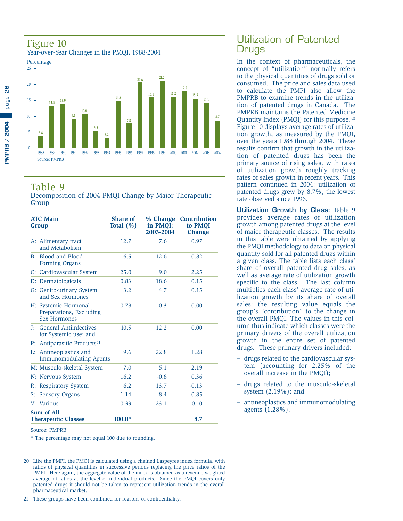<span id="page-27-0"></span>

#### Table 9

Decomposition of 2004 PMQI Change by Major Therapeutic Group

| <b>ATC Main</b><br>Group |                                                                        | <b>Share of</b><br>Total $(\%)$ | % Change<br>in PMQI:<br>2003-2004 | <b>Contribution</b><br>to PMOI<br><b>Change</b> |
|--------------------------|------------------------------------------------------------------------|---------------------------------|-----------------------------------|-------------------------------------------------|
|                          | A: Alimentary tract<br>and Metabolism                                  | 12.7                            | 7.6                               | 0.97                                            |
|                          | B: Blood and Blood<br>Forming Organs                                   | 6.5                             | 12.6                              | 0.82                                            |
|                          | C: Cardiovascular System                                               | 25.0                            | 9.0                               | 2.25                                            |
|                          | D: Dermatologicals                                                     | 0.83                            | 18.6                              | 0.15                                            |
|                          | G: Genito-urinary System<br>and Sex Hormones                           | 3.2                             | 4.7                               | 0.15                                            |
|                          | H: Systemic Hormonal<br>Preparations, Excluding<br><b>Sex Hormones</b> | 0.78                            | $-0.3$                            | 0.00                                            |
| $J$ :                    | <b>General Antiinfectives</b><br>for Systemic use; and                 | 10.5                            | 12.2                              | 0.00                                            |
| $P$ :                    | Antiparasitic Products <sup>21</sup>                                   |                                 |                                   |                                                 |
| Ŀ.                       | Antineoplastics and<br><b>Immunomodulating Agents</b>                  | 9.6                             | 22.8                              | 1.28                                            |
|                          | M: Musculo-skeletal System                                             | 7.0                             | 5.1                               | 2.19                                            |
|                          | N: Nervous System                                                      | 16.2                            | $-0.8$                            | 0.36                                            |
| R:                       | <b>Respiratory System</b>                                              | 6.2                             | 13.7                              | $-0.13$                                         |
| S:                       | <b>Sensory Organs</b>                                                  | 1.14                            | 8.4                               | 0.85                                            |
| V:                       | Various                                                                | 0.33                            | 23.1                              | 0.10                                            |
|                          | <b>Sum of All</b><br><b>Therapeutic Classes</b>                        | $100.0*$                        |                                   | 8.7                                             |
|                          | Source: PMPRB                                                          |                                 |                                   |                                                 |

\* The percentage may not equal 100 due to rounding.

20 Like the PMPI, the PMQI is calculated using a chained Laspeyres index formula, with ratios of physical quantities in successive periods replacing the price ratios of the PMPI. Here again, the aggregate value of the index is obtained as a revenue-weighted average of ratios at the level of individual products. Since the PMQI covers only patented drugs it should not be taken to represent utilization trends in the overall pharmaceutical market.

21 These groups have been combined for reasons of confidentiality.

#### Utilization of Patented **Drugs**

In the context of pharmaceuticals, the concept of "utilization" normally refers to the physical quantities of drugs sold or consumed. The price and sales data used to calculate the PMPI also allow the PMPRB to examine trends in the utilization of patented drugs in Canada. The PMPRB maintains the Patented Medicine Quantity Index (PMQI) for this purpose.20 Figure 10 displays average rates of utilization growth, as measured by the PMQI, over the years 1988 through 2004. These results confirm that growth in the utilization of patented drugs has been the primary source of rising sales, with rates of utilization growth roughly tracking rates of sales growth in recent years. This pattern continued in 2004: utilization of patented drugs grew by 8.7%, the lowest rate observed since 1996.

**Utilization Growth by Class:** Table 9 provides average rates of utilization growth among patented drugs at the level of major therapeutic classes. The results in this table were obtained by applying the PMQI methodology to data on physical quantity sold for all patented drugs within a given class. The table lists each class' share of overall patented drug sales, as well as average rate of utilization growth specific to the class. The last column multiplies each class' average rate of utilization growth by its share of overall sales: the resulting value equals the group's "contribution" to the change in the overall PMQI. The values in this column thus indicate which classes were the primary drivers of the overall utilization growth in the entire set of patented drugs. These primary drivers included:

- drugs related to the cardiovascular system (accounting for 2.25% of the overall increase in the PMQI);
- drugs related to the musculo-skeletal system (2.19%); and
- antineoplastics and immunomodulating agents (1.28%).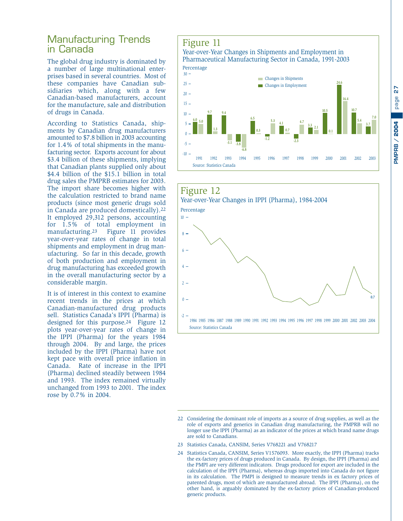# page **27 PMPRB / 2004 PMPRB / 2004**

#### <span id="page-28-0"></span>Manufacturing Trends in Canada

The global drug industry is dominated by a number of large multinational enterprises based in several countries. Most of these companies have Canadian subsidiaries which, along with a few Canadian-based manufacturers, account for the manufacture, sale and distribution of drugs in Canada.

According to Statistics Canada, shipments by Canadian drug manufacturers amounted to \$7.8 billion in 2003 accounting for 1.4% of total shipments in the manufacturing sector. Exports account for about \$3.4 billion of these shipments, implying that Canadian plants supplied only about \$4.4 billion of the \$15.1 billion in total drug sales the PMPRB estimates for 2003. The import share becomes higher with the calculation restricted to brand name products (since most generic drugs sold in Canada are produced domestically).22 It employed 29,312 persons, accounting for 1.5% of total employment in<br>manufacturing.<sup>23</sup> Figure 11 provides Figure 11 provides year-over-year rates of change in total shipments and employment in drug manufacturing. So far in this decade, growth of both production and employment in drug manufacturing has exceeded growth in the overall manufacturing sector by a considerable margin.

It is of interest in this context to examine recent trends in the prices at which Canadian-manufactured drug products sell. Statistics Canada's IPPI (Pharma) is designed for this purpose.24 Figure 12 plots year-over-year rates of change in the IPPI (Pharma) for the years 1984 through 2004. By and large, the prices included by the IPPI (Pharma) have not kept pace with overall price inflation in Canada. Rate of increase in the IPPI (Pharma) declined steadily between 1984 and 1993. The index remained virtually unchanged from 1993 to 2001. The index rose by 0.7% in 2004.

#### Figure 11

#### Year-over-Year Changes in Shipments and Employment in Pharmaceutical Manufacturing Sector in Canada, 1991-2003 Percentage





- 23 Statistics Canada, CANSIM, Series V768221 and V768217
- 24 Statistics Canada, CANSIM, Series V1576093. More exactly, the IPPI (Pharma) tracks the ex-factory prices of drugs produced in Canada. By design, the IPPI (Pharma) and the PMPI are very different indicators. Drugs produced for export are included in the calculation of the IPPI (Pharma), whereas drugs imported into Canada do not figure in its calculation. The PMPI is designed to measure trends in ex factory prices of patented drugs, most of which are manufactured abroad. The IPPI (Pharma), on the other hand, is arguably dominated by the ex-factory prices of Canadian-produced generic products.

<sup>22</sup> Considering the dominant role of imports as a source of drug supplies, as well as the role of exports and generics in Canadian drug manufacturing, the PMPRB will no longer use the IPPI (Pharma) as an indicator of the prices at which brand name drugs are sold to Canadians.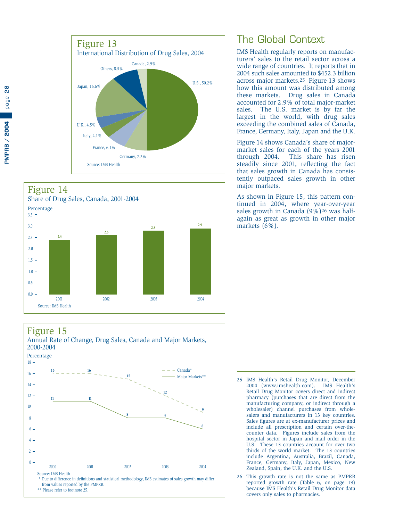<span id="page-29-0"></span>



#### Figure 15

Source: IMS Health



The Global Context

IMS Health regularly reports on manufacturers' sales to the retail sector across a wide range of countries. It reports that in 2004 such sales amounted to \$452.3 billion across major markets.25 Figure 13 shows how this amount was distributed among these markets. Drug sales in Canada accounted for 2.9% of total major-market sales. The U.S. market is by far the largest in the world, with drug sales exceeding the combined sales of Canada, France, Germany, Italy, Japan and the U.K.

Figure 14 shows Canada's share of majormarket sales for each of the years 2001 through 2004. This share has risen steadily since 2001, reflecting the fact that sales growth in Canada has consistently outpaced sales growth in other major markets.

As shown in Figure 15, this pattern continued in 2004, where year-over-year sales growth in Canada (9%)26 was halfagain as great as growth in other major markets (6%).

- 25 IMS Health's Retail Drug Monitor, December 2004 (www.imshealth.com). IMS Health's Retail Drug Monitor covers direct and indirect pharmacy (purchases that are direct from the manufacturing company, or indirect through a wholesaler) channel purchases from wholesalers and manufacturers in 13 key countries. Sales figures are at ex-manufacturer prices and include all prescription and certain over-thecounter data. Figures include sales from the hospital sector in Japan and mail order in the U.S. These 13 countries account for over two thirds of the world market. The 13 countries include Argentina, Australia, Brazil, Canada, France, Germany, Italy, Japan, Mexico, New Zealand, Spain, the U.K. and the U.S.
- 26 This growth rate is not the same as PMPRB reported growth rate (Table 6, on page 19) because IMS Health's Retail Drug Monitor data covers only sales to pharmacies.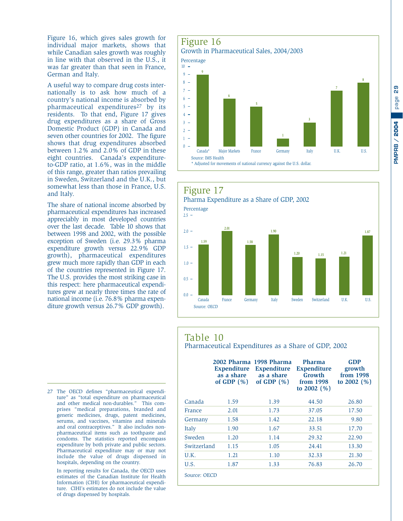<span id="page-30-0"></span>Figure 16, which gives sales growth for individual major markets, shows that while Canadian sales growth was roughly in line with that observed in the U.S., it was far greater than that seen in France, German and Italy.

A useful way to compare drug costs internationally is to ask how much of a country's national income is absorbed by pharmaceutical expenditures<sup>27</sup> by its residents. To that end, Figure 17 gives drug expenditures as a share of Gross Domestic Product (GDP) in Canada and seven other countries for 2002. The figure shows that drug expenditures absorbed between 1.2% and 2.0% of GDP in these eight countries. Canada's expenditureto-GDP ratio, at 1.6%, was in the middle of this range, greater than ratios prevailing in Sweden, Switzerland and the U.K., but somewhat less than those in France, U.S. and Italy.

The share of national income absorbed by pharmaceutical expenditures has increased appreciably in most developed countries over the last decade. Table 10 shows that between 1998 and 2002, with the possible exception of Sweden (i.e. 29.3% pharma expenditure growth versus 22.9% GDP growth), pharmaceutical expenditures grew much more rapidly than GDP in each of the countries represented in Figure 17. The U.S. provides the most striking case in this respect: here pharmaceutical expenditures grew at nearly three times the rate of national income (i.e. 76.8% pharma expenditure growth versus 26.7% GDP growth).

27 The OECD defines "pharmaceutical expenditure" as "total expenditure on pharmaceutical and other medical non-durables." This comprises "medical preparations, branded and generic medicines, drugs, patent medicines, serums, and vaccines, vitamins and minerals and oral contraceptives." It also includes nonpharmaceutical items such as toothpaste and condoms. The statistics reported encompass expenditure by both private and public sectors. Pharmaceutical expenditure may or may not include the value of drugs dispensed in hospitals, depending on the country.

In reporting results for Canada, the OECD uses estimates of the Canadian Institute for Health Information (CIHI) for pharmaceutical expenditure. CIHI's estimates do not include the value of drugs dispensed by hospitals.







#### Table 10

Pharmaceutical Expenditures as a Share of GDP, 2002

|              | <b>Expenditure</b><br>as a share<br>of GDP $(\% )$ | 2002 Pharma 1998 Pharma<br><b>Expenditure</b><br>as a share<br>of GDP $(\%)$ | <b>Pharma</b><br><b>Expenditure</b><br>Growth<br>from 1998<br>to $2002$ (%) | <b>GDP</b><br>growth<br>from 1998<br>to $2002$ (%) |
|--------------|----------------------------------------------------|------------------------------------------------------------------------------|-----------------------------------------------------------------------------|----------------------------------------------------|
| Canada       | 1.59                                               | 1.39                                                                         | 44.50                                                                       | 26.80                                              |
| France       | 2.01                                               | 1.73                                                                         | 37.05                                                                       | 17.50                                              |
| Germany      | 1.58                                               | 1.42                                                                         | 22.18                                                                       | 9.80                                               |
| Italy        | 1.90                                               | 1.67                                                                         | 33.51                                                                       | 17.70                                              |
| Sweden       | 1.20                                               | 1.14                                                                         | 29.32                                                                       | 22.90                                              |
| Switzerland  | 1.15                                               | 1.05                                                                         | 24.41                                                                       | 13.30                                              |
| U.K.         | 1.21                                               | 1.10                                                                         | 32.33                                                                       | 21.30                                              |
| U.S.         | 1.87                                               | 1.33                                                                         | 76.83                                                                       | 26.70                                              |
| Source: OECD |                                                    |                                                                              |                                                                             |                                                    |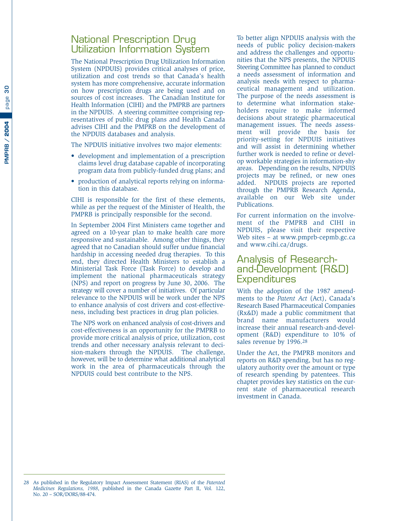#### <span id="page-31-0"></span>National Prescription Drug Utilization Information System

The National Prescription Drug Utilization Information System (NPDUIS) provides critical analyses of price, utilization and cost trends so that Canada's health system has more comprehensive, accurate information on how prescription drugs are being used and on sources of cost increases. The Canadian Institute for Health Information (CIHI) and the PMPRB are partners in the NPDUIS. A steering committee comprising representatives of public drug plans and Health Canada advises CIHI and the PMPRB on the development of the NPDUIS databases and analysis.

The NPDUIS initiative involves two major elements:

- development and implementation of a prescription claims level drug database capable of incorporating program data from publicly-funded drug plans; and
- production of analytical reports relying on information in this database.

CIHI is responsible for the first of these elements, while as per the request of the Minister of Health, the PMPRB is principally responsible for the second.

In September 2004 First Ministers came together and agreed on a 10-year plan to make health care more responsive and sustainable. Among other things, they agreed that no Canadian should suffer undue financial hardship in accessing needed drug therapies. To this end, they directed Health Ministers to establish a Ministerial Task Force (Task Force) to develop and implement the national pharmaceuticals strategy (NPS) and report on progress by June 30, 2006. The strategy will cover a number of initiatives. Of particular relevance to the NPDUIS will be work under the NPS to enhance analysis of cost drivers and cost-effectiveness, including best practices in drug plan policies.

The NPS work on enhanced analysis of cost-drivers and cost-effectiveness is an opportunity for the PMPRB to provide more critical analysis of price, utilization, cost trends and other necessary analysis relevant to decision-makers through the NPDUIS. The challenge, however, will be to determine what additional analytical work in the area of pharmaceuticals through the NPDUIS could best contribute to the NPS.

To better align NPDUIS analysis with the needs of public policy decision-makers and address the challenges and opportunities that the NPS presents, the NPDUIS Steering Committee has planned to conduct a needs assessment of information and analysis needs with respect to pharmaceutical management and utilization. The purpose of the needs assessment is to determine what information stakeholders require to make informed decisions about strategic pharmaceutical management issues. The needs assessment will provide the basis for priority-setting for NPDUIS initiatives and will assist in determining whether further work is needed to refine or develop workable strategies in information-shy areas. Depending on the results, NPDUIS projects may be refined, or new ones added. NPDUIS projects are reported through the PMPRB Research Agenda, available on our Web site under Publications.

For current information on the involvement of the PMPRB and CIHI in NPDUIS, please visit their respective Web sites – at www.pmprb-cepmb.gc.ca and www.cihi.ca/drugs.

#### Analysis of Researchand-Development (R&D) **Expenditures**

With the adoption of the 1987 amendments to the *Patent Act* (Act), Canada's Research Based Pharmaceutical Companies (Rx&D) made a public commitment that brand name manufacturers would increase their annual research-and-development (R&D) expenditure to 10% of sales revenue by 1996.28

Under the Act, the PMPRB monitors and reports on R&D spending, but has no regulatory authority over the amount or type of research spending by patentees. This chapter provides key statistics on the current state of pharmaceutical research investment in Canada.

<sup>28</sup> As published in the Regulatory Impact Assessment Statement (RIAS) of the *Patented Medicines Regulations, 1988*, published in the Canada Gazette Part II, Vol. 122, No. 20 – SOR/DORS/88-474.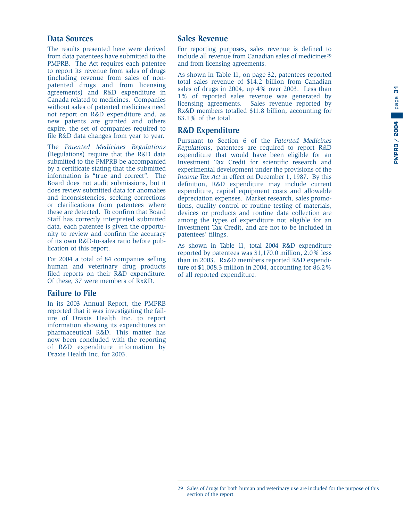#### **Data Sources**

The results presented here were derived from data patentees have submitted to the PMPRB. The Act requires each patentee to report its revenue from sales of drugs (including revenue from sales of nonpatented drugs and from licensing agreements) and R&D expenditure in Canada related to medicines. Companies without sales of patented medicines need not report on R&D expenditure and, as new patents are granted and others expire, the set of companies required to file R&D data changes from year to year.

The *Patented Medicines Regulations* (Regulations) require that the R&D data submitted to the PMPRB be accompanied by a certificate stating that the submitted information is "true and correct". The Board does not audit submissions, but it does review submitted data for anomalies and inconsistencies, seeking corrections or clarifications from patentees where these are detected. To confirm that Board Staff has correctly interpreted submitted data, each patentee is given the opportunity to review and confirm the accuracy of its own R&D-to-sales ratio before publication of this report.

For 2004 a total of 84 companies selling human and veterinary drug products filed reports on their R&D expenditure. Of these, 37 were members of Rx&D.

#### **Failure to File**

In its 2003 Annual Report, the PMPRB reported that it was investigating the failure of Draxis Health Inc. to report information showing its expenditures on pharmaceutical R&D. This matter has now been concluded with the reporting of R&D expenditure information by Draxis Health Inc. for 2003.

#### **Sales Revenue**

For reporting purposes, sales revenue is defined to include all revenue from Canadian sales of medicines<sup>29</sup> and from licensing agreements.

As shown in Table 11, on page 32, patentees reported total sales revenue of \$14.2 billion from Canadian sales of drugs in 2004, up 4% over 2003. Less than 1% of reported sales revenue was generated by licensing agreements. Sales revenue reported by Rx&D members totalled \$11.8 billion, accounting for 83.1% of the total.

#### **R&D Expenditure**

Pursuant to Section 6 of the *Patented Medicines Regulations*, patentees are required to report R&D expenditure that would have been eligible for an Investment Tax Credit for scientific research and experimental development under the provisions of the *Income Tax Act* in effect on December 1, 1987. By this definition, R&D expenditure may include current expenditure, capital equipment costs and allowable depreciation expenses. Market research, sales promotions, quality control or routine testing of materials, devices or products and routine data collection are among the types of expenditure not eligible for an Investment Tax Credit, and are not to be included in patentees' filings.

As shown in Table 11, total 2004 R&D expenditure reported by patentees was \$1,170.0 million, 2.0% less than in 2003. Rx&D members reported R&D expenditure of \$1,008.3 million in 2004, accounting for 86.2% of all reported expenditure.

<sup>29</sup> Sales of drugs for both human and veterinary use are included for the purpose of this section of the report.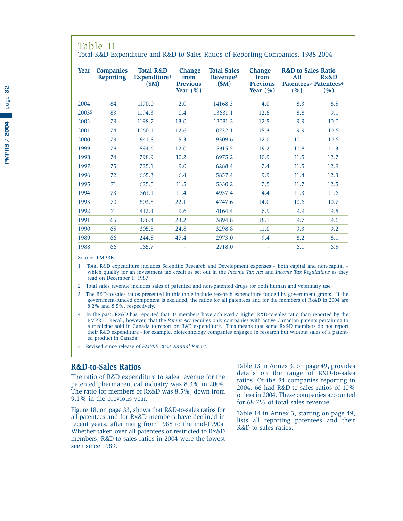#### <span id="page-33-0"></span>Table 11

Total R&D Expenditure and R&D-to-Sales Ratios of Reporting Companies, 1988-2004

| Year  | <b>Companies</b><br><b>Reporting</b> | <b>Total R&amp;D</b><br>Expenditure <sup>1</sup><br>\$M\$ | <b>Change</b><br>from<br><b>Previous</b><br>Year $(\% )$ | <b>Total Sales</b><br>Revenue <sup>2</sup><br>\$M\$ | <b>Change</b><br>from<br><b>Previous</b><br>Year $(\% )$ | <b>R&amp;D-to-Sales Ratio</b><br>All<br>Patentees <sup>3</sup> Patentees <sup>4</sup><br>(% ) | Rx&D<br>(% ) |
|-------|--------------------------------------|-----------------------------------------------------------|----------------------------------------------------------|-----------------------------------------------------|----------------------------------------------------------|-----------------------------------------------------------------------------------------------|--------------|
| 2004  | 84                                   | 1170.0                                                    | $-2.0$                                                   | 14168.3                                             | 4.0                                                      | 8.3                                                                                           | 8.5          |
| 20035 | 83                                   | 1194.3                                                    | $-0.4$                                                   | 13631.1                                             | 12.8                                                     | 8.8                                                                                           | 9.1          |
| 2002  | 79                                   | 1198.7                                                    | 13.0                                                     | 12081.2                                             | 12.5                                                     | 9.9                                                                                           | 10.0         |
| 2001  | 74                                   | 1060.1                                                    | 12.6                                                     | 10732.1                                             | 15.3                                                     | 9.9                                                                                           | 10.6         |
| 2000  | 79                                   | 941.8                                                     | 5.3                                                      | 9309.6                                              | 12.0                                                     | 10.1                                                                                          | 10.6         |
| 1999  | 78                                   | 894.6                                                     | 12.0                                                     | 8315.5                                              | 19.2                                                     | 10.8                                                                                          | 11.3         |
| 1998  | 74                                   | 798.9                                                     | 10.2                                                     | 6975.2                                              | 10.9                                                     | 11.5                                                                                          | 12.7         |
| 1997  | 75                                   | 725.1                                                     | 9.0                                                      | 6288.4                                              | 7.4                                                      | 11.5                                                                                          | 12.9         |
| 1996  | 72                                   | 665.3                                                     | 6.4                                                      | 5857.4                                              | 9.9                                                      | 11.4                                                                                          | 12.3         |
| 1995  | 71                                   | 625.5                                                     | 11.5                                                     | 5330.2                                              | 7.5                                                      | 11.7                                                                                          | 12.5         |
| 1994  | 73                                   | 561.1                                                     | 11.4                                                     | 4957.4                                              | 4.4                                                      | 11.3                                                                                          | 11.6         |
| 1993  | 70                                   | 503.5                                                     | 22.1                                                     | 4747.6                                              | 14.0                                                     | 10.6                                                                                          | 10.7         |
| 1992  | 71                                   | 412.4                                                     | 9.6                                                      | 4164.4                                              | 6.9                                                      | 9.9                                                                                           | 9.8          |
| 1991  | 65                                   | 376.4                                                     | 23.2                                                     | 3894.8                                              | 18.1                                                     | 9.7                                                                                           | 9.6          |
| 1990  | 65                                   | 305.5                                                     | 24.8                                                     | 3298.8                                              | 11.0                                                     | 9.3                                                                                           | 9.2          |
| 1989  | 66                                   | 244.8                                                     | 47.4                                                     | 2973.0                                              | 9.4                                                      | 8.2                                                                                           | 8.1          |
| 1988  | 66                                   | 165.7                                                     |                                                          | 2718.0                                              |                                                          | 6.1                                                                                           | 6.5          |

Source: PMPRB

1 Total R&D expenditure includes Scientific Research and Development expenses – both capital and non-capital – which qualify for an investment tax credit as set out in the *Income Tax Act* and *Income Tax Regulations* as they read on December 1, 1987.

2 Total sales revenue includes sales of patented and non-patented drugs for both human and veterinary use.

3 The R&D-to-sales ratios presented in this table include research expenditure funded by government grants. If the government-funded component is excluded, the ratios for all patentees and for the members of Rx&D in 2004 are 8.2% and 8.5%, respectively.

- 4 In the past, Rx&D has reported that its members have achieved a higher R&D-to-sales ratio than reported by the PMPRB. Recall, however, that the *Patent Act* requires only companies with active Canadian patents pertaining to a medicine sold in Canada to report on R&D expenditure. This means that some Rx&D members do not report their R&D expenditure - for example, biotechnology companies engaged in research but without sales of a patented product in Canada.
- 5 Revised since release of *PMPRB 2003 Annual Report*.

#### **R&D-to-Sales Ratios**

The ratio of R&D expenditure to sales revenue for the patented pharmaceutical industry was 8.3% in 2004. The ratio for members of Rx&D was 8.5%, down from 9.1% in the previous year.

Figure 18, on page 33, shows that R&D-to-sales ratios for all patentees and for Rx&D members have declined in recent years, after rising from 1988 to the mid-1990s. Whether taken over all patentees or restricted to Rx&D members, R&D-to-sales ratios in 2004 were the lowest seen since 1989.

Table 13 in Annex 3, on page 49, provides details on the range of R&D-to-sales ratios. Of the 84 companies reporting in 2004, 66 had R&D-to-sales ratios of 10% or less in 2004. These companies accounted for 68.7% of total sales revenue.

Table 14 in Annex 3, starting on page 49, lists all reporting patentees and their R&D-to-sales ratios.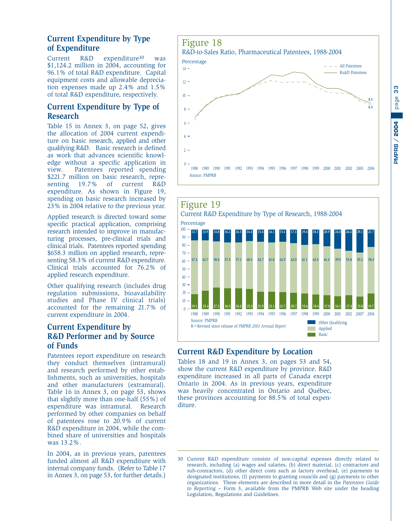#### <span id="page-34-0"></span>**Current Expenditure by Type of Expenditure**

Current R&D expenditure30 was \$1,124.2 million in 2004, accounting for 96.1% of total R&D expenditure. Capital equipment costs and allowable depreciation expenses made up 2.4% and 1.5% of total R&D expenditure, respectively.

#### **Current Expenditure by Type of Research**

Table 15 in Annex 3, on page 52, gives the allocation of 2004 current expenditure on basic research, applied and other qualifying R&D. Basic research is defined as work that advances scientific knowledge without a specific application in view. Patentees reported spending \$221.7 million on basic research, representing 19.7% of current R&D expenditure. As shown in Figure 19, spending on basic research increased by 23% in 2004 relative to the previous year.

Applied research is directed toward some specific practical application, comprising research intended to improve in manufacturing processes, pre-clinical trials and clinical trials. Patentees reported spending \$658.3 million on applied research, representing 58.3% of current R&D expenditure. Clinical trials accounted for 76.2% of applied research expenditure.

Other qualifying research (includes drug regulation submissions, bioavailability studies and Phase IV clinical trials) accounted for the remaining 21.7% of current expenditure in 2004.

#### **Current Expenditure by R&D Performer and by Source of Funds**

Patentees report expenditure on research they conduct themselves (intramural) and research performed by other establishments, such as universities, hospitals and other manufacturers (extramural). Table 16 in Annex 3, on page 53, shows that slightly more than one-half (55%) of expenditure was intramural. Research performed by other companies on behalf of patentees rose to 20.9% of current R&D expenditure in 2004, while the combined share of universities and hospitals was 13.2%.

In 2004, as in previous years, patentees funded almost all R&D expenditure with internal company funds. (Refer to Table 17 in Annex 3, on page 53, for further details.)





#### **Current R&D Expenditure by Location**

Tables 18 and 19 in Annex 3, on pages 53 and 54, show the current R&D expenditure by province. R&D expenditure increased in all parts of Canada except Ontario in 2004. As in previous years, expenditure was heavily concentrated in Ontario and Québec, these provinces accounting for 88.5% of total expenditure.

<sup>30</sup> Current R&D expenditure consists of non-capital expenses directly related to research, including (a) wages and salaries, (b) direct material, (c) contractors and sub-contractors, (d) other direct costs such as factory overhead, (e) payments to designated institutions, (f) payments to granting councils and (g) payments to other organizations. These elements are described in more detail in the *Patentees Guide to Reporting* – Form 3, available from the PMPRB Web site under the heading Legislation, Regulations and Guidelines.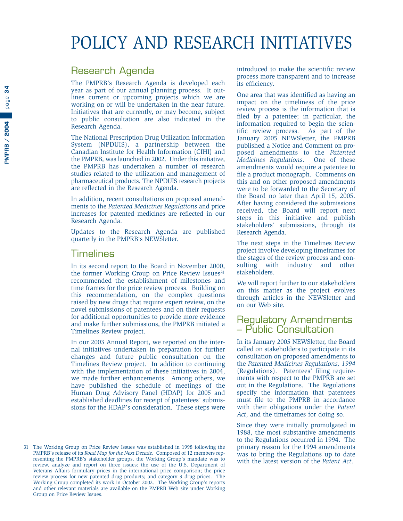## <span id="page-35-0"></span>POLICY AND RESEARCH INITIATIVES

#### Research Agenda

The PMPRB's Research Agenda is developed each year as part of our annual planning process. It outlines current or upcoming projects which we are working on or will be undertaken in the near future. Initiatives that are currently, or may become, subject to public consultation are also indicated in the Research Agenda.

The National Prescription Drug Utilization Information System (NPDUIS), a partnership between the Canadian Institute for Health Information (CIHI) and the PMPRB, was launched in 2002. Under this initiative, the PMPRB has undertaken a number of research studies related to the utilization and management of pharmaceutical products. The NPDUIS research projects are reflected in the Research Agenda.

In addition, recent consultations on proposed amendments to the *Patented Medicines Regulations* and price increases for patented medicines are reflected in our Research Agenda.

Updates to the Research Agenda are published quarterly in the PMPRB's NEWSletter.

#### **Timelines**

In its second report to the Board in November 2000, the former Working Group on Price Review Issues<sup>31</sup> recommended the establishment of milestones and time frames for the price review process. Building on this recommendation, on the complex questions raised by new drugs that require expert review, on the novel submissions of patentees and on their requests for additional opportunities to provide more evidence and make further submissions, the PMPRB initiated a Timelines Review project.

In our 2003 Annual Report, we reported on the internal initiatives undertaken in preparation for further changes and future public consultation on the Timelines Review project. In addition to continuing with the implementation of these initiatives in 2004, we made further enhancements. Among others, we have published the schedule of meetings of the Human Drug Advisory Panel (HDAP) for 2005 and established deadlines for receipt of patentees' submissions for the HDAP's consideration. These steps were

introduced to make the scientific review process more transparent and to increase its efficiency.

One area that was identified as having an impact on the timeliness of the price review process is the information that is filed by a patentee; in particular, the information required to begin the scientific review process. As part of the January 2005 NEWSletter, the PMPRB published a Notice and Comment on proposed amendments to the *Patented Medicines Regulations*. One of these amendments would require a patentee to file a product monograph. Comments on this and on other proposed amendments were to be forwarded to the Secretary of the Board no later than April 15, 2005. After having considered the submissions received, the Board will report next steps in this initiative and publish stakeholders' submissions, through its Research Agenda.

The next steps in the Timelines Review project involve developing timeframes for the stages of the review process and consulting with industry and other stakeholders.

We will report further to our stakeholders on this matter as the project evolves through articles in the NEWSletter and on our Web site.

#### Regulatory Amendments – Public Consultation

In its January 2005 NEWSletter, the Board called on stakeholders to participate in its consultation on proposed amendments to the *Patented Medicines Regulations, 1994* (Regulations). Patentees' filing requirements with respect to the PMPRB are set out in the Regulations. The Regulations specify the information that patentees must file to the PMPRB in accordance with their obligations under the *Patent Act*, and the timeframes for doing so.

Since they were initially promulgated in 1988, the most substantive amendments to the Regulations occurred in 1994. The primary reason for the 1994 amendments was to bring the Regulations up to date with the latest version of the *Patent Act*.

<sup>31</sup> The Working Group on Price Review Issues was established in 1998 following the PMPRB's release of its *Road Map for the Next Decade*. Composed of 12 members representing the PMPRB's stakeholder groups, the Working Group's mandate was to review, analyze and report on three issues: the use of the U.S. Department of Veterans Affairs formulary prices in the international price comparison; the price review process for new patented drug products; and category 3 drug prices. The Working Group completed its work in October 2002. The Working Group's reports and other relevant materials are available on the PMPRB Web site under Working Group on Price Review Issues.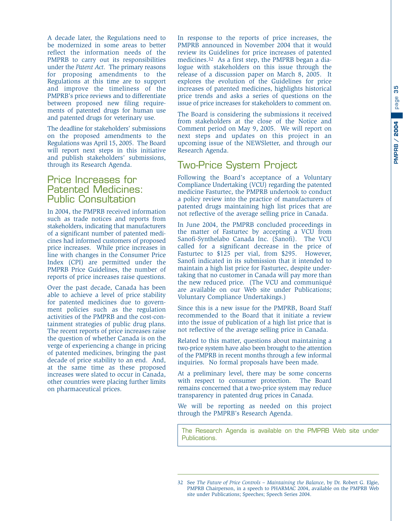<span id="page-36-0"></span>A decade later, the Regulations need to be modernized in some areas to better reflect the information needs of the PMPRB to carry out its responsibilities under the *Patent Act*. The primary reasons for proposing amendments to the Regulations at this time are to support and improve the timeliness of the PMPRB's price reviews and to differentiate between proposed new filing requirements of patented drugs for human use and patented drugs for veterinary use.

The deadline for stakeholders' submissions on the proposed amendments to the Regulations was April 15, 2005. The Board will report next steps in this initiative and publish stakeholders' submissions, through its Research Agenda.

#### Price Increases for Patented Medicines: Public Consultation

In 2004, the PMPRB received information such as trade notices and reports from stakeholders, indicating that manufacturers of a significant number of patented medicines had informed customers of proposed price increases. While price increases in line with changes in the Consumer Price Index (CPI) are permitted under the PMPRB Price Guidelines, the number of reports of price increases raise questions.

Over the past decade, Canada has been able to achieve a level of price stability for patented medicines due to government policies such as the regulation activities of the PMPRB and the cost-containment strategies of public drug plans. The recent reports of price increases raise the question of whether Canada is on the verge of experiencing a change in pricing of patented medicines, bringing the past decade of price stability to an end. And, at the same time as these proposed increases were slated to occur in Canada, other countries were placing further limits on pharmaceutical prices.

In response to the reports of price increases, the PMPRB announced in November 2004 that it would review its Guidelines for price increases of patented medicines.32 As a first step, the PMPRB began a dialogue with stakeholders on this issue through the release of a discussion paper on March 8, 2005. It explores the evolution of the Guidelines for price increases of patented medicines, highlights historical price trends and asks a series of questions on the issue of price increases for stakeholders to comment on.

The Board is considering the submissions it received from stakeholders at the close of the Notice and Comment period on May 9, 2005. We will report on next steps and updates on this project in an upcoming issue of the NEWSletter, and through our Research Agenda.

#### Two-Price System Project

Following the Board's acceptance of a Voluntary Compliance Undertaking (VCU) regarding the patented medicine Fasturtec, the PMPRB undertook to conduct a policy review into the practice of manufacturers of patented drugs maintaining high list prices that are not reflective of the average selling price in Canada.

In June 2004, the PMPRB concluded proceedings in the matter of Fasturtec by accepting a VCU from Sanofi-Synthelabo Canada Inc. (Sanofi). The VCU called for a significant decrease in the price of Fasturtec to \$125 per vial, from \$295. However, Sanofi indicated in its submission that it intended to maintain a high list price for Fasturtec, despite undertaking that no customer in Canada will pay more than the new reduced price. (The VCU and communiqué are available on our Web site under Publications; Voluntary Compliance Undertakings.)

Since this is a new issue for the PMPRB, Board Staff recommended to the Board that it initiate a review into the issue of publication of a high list price that is not reflective of the average selling price in Canada.

Related to this matter, questions about maintaining a two-price system have also been brought to the attention of the PMPRB in recent months through a few informal inquiries. No formal proposals have been made.

At a preliminary level, there may be some concerns with respect to consumer protection. The Board remains concerned that a two-price system may reduce transparency in patented drug prices in Canada.

We will be reporting as needed on this project through the PMPRB's Research Agenda.

The Research Agenda is available on the PMPRB Web site under Publications.

<sup>32</sup> See *The Future of Price Controls – Maintaining the Balance*, by Dr. Robert G. Elgie, PMPRB Chairperson, in a speech to PHARMAC 2004, available on the PMPRB Web site under Publications; Speeches; Speech Series 2004.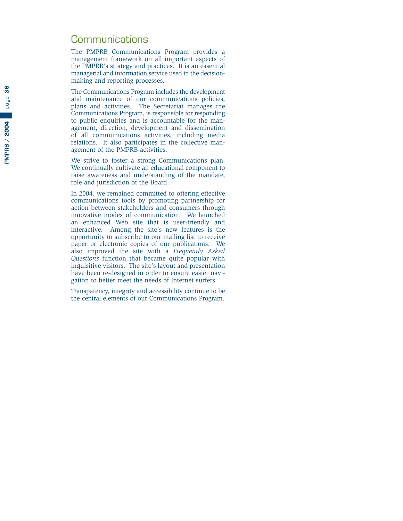#### <span id="page-37-0"></span>**Communications**

The PMPRB Communications Program provides a management framework on all important aspects of the PMPRB's strategy and practices. It is an essential managerial and information service used in the decisionmaking and reporting processes.

The Communications Program includes the development and maintenance of our communications policies, plans and activities. The Secretariat manages the Communications Program, is responsible for responding to public enquiries and is accountable for the management, direction, development and dissemination of all communications activities, including media relations. It also participates in the collective management of the PMPRB activities.

We strive to foster a strong Communications plan. We continually cultivate an educational component to raise awareness and understanding of the mandate, role and jurisdiction of the Board.

In 2004, we remained committed to offering effective communications tools by promoting partnership for action between stakeholders and consumers through innovative modes of communication. We launched an enhanced Web site that is user-friendly and interactive. Among the site's new features is the opportunity to subscribe to our mailing list to receive paper or electronic copies of our publications. We also improved the site with a *Frequently Asked Questions* function that became quite popular with inquisitive visitors. The site's layout and presentation have been re-designed in order to ensure easier navigation to better meet the needs of Internet surfers.

Transparency, integrity and accessibility continue to be the central elements of our Communications Program.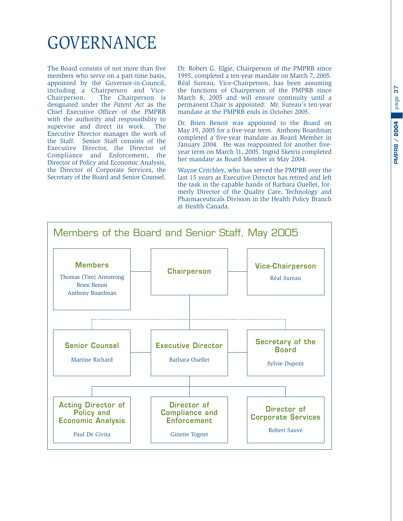# <span id="page-38-0"></span>GOVERNANCE

The Board consists of not more than five members who serve on a part-time basis, appointed by the Governor-in-Council, including a Chairperson and Vice-<br>Chairperson. The Chairperson is The Chairperson is designated under the *Patent Act* as the Chief Executive Officer of the PMPRB with the authority and responsibility to supervise and direct its work. The Executive Director manages the work of the Staff. Senior Staff consists of the Executive Director, the Director of Compliance and Enforcement, the Director of Policy and Economic Analysis, the Director of Corporate Services, the Secretary of the Board and Senior Counsel.

Dr. Robert G. Elgie, Chairperson of the PMPRB since 1995, completed a ten-year mandate on March 7, 2005. Réal Sureau, Vice-Chairperson, has been assuming the functions of Chairperson of the PMPRB since March 8, 2005 and will ensure continuity until a permanent Chair is appointed. Mr. Sureau's ten-year mandate at the PMPRB ends in October 2005.

Dr. Brien Benoit was appointed to the Board on May 19, 2005 for a five-year term. Anthony Boardman completed a five-year mandate as Board Member in January 2004. He was reappointed for another fiveyear term on March 11, 2005. Ingrid Sketris completed her mandate as Board Member in May 2004.

Wayne Critchley, who has served the PMPRB over the last 15 years as Executive Director has retired and left the task in the capable hands of Barbara Ouellet, formerly Director of the Quality Care, Technology and Pharmaceuticals Division in the Health Policy Branch at Health Canada.

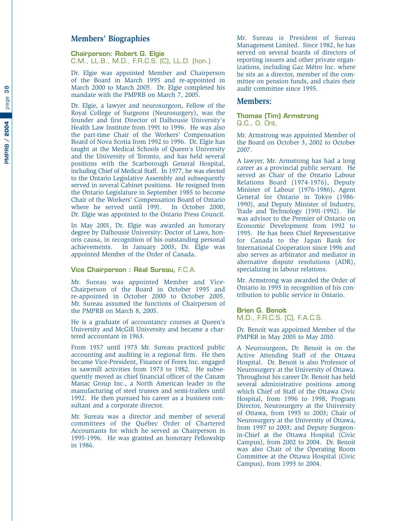#### **Members' Biographies**

**Chairperson: Robert G. Elgie** C.M., LL.B., M.D., F.R.C.S. (C), LL.D. (hon.)

Dr. Elgie was appointed Member and Chairperson of the Board in March 1995 and re-appointed in March 2000 to March 2005. Dr. Elgie completed his mandate with the PMPRB on March 7, 2005.

Dr. Elgie, a lawyer and neurosurgeon, Fellow of the Royal College of Surgeons (Neurosurgery), was the founder and first Director of Dalhousie University's Health Law Institute from 1991 to 1996. He was also the part-time Chair of the Workers' Compensation Board of Nova Scotia from 1992 to 1996. Dr. Elgie has taught at the Medical Schools of Queen's University and the University of Toronto, and has held several positions with the Scarborough General Hospital, including Chief of Medical Staff. In 1977, he was elected to the Ontario Legislative Assembly and subsequently served in several Cabinet positions. He resigned from the Ontario Legislature in September 1985 to become Chair of the Workers' Compensation Board of Ontario where he served until 1991. In October 2000, Dr. Elgie was appointed to the Ontario Press Council.

In May 2001, Dr. Elgie was awarded an honorary degree by Dalhousie University: Doctor of Laws, honoris causa, in recognition of his outstanding personal achievements. In January 2003, Dr. Elgie was appointed Member of the Order of Canada.

#### **Vice Chairperson : Réal Sureau,** F.C.A.

Mr. Sureau was appointed Member and Vice-Chairperson of the Board in October 1995 and re-appointed in October 2000 to October 2005. Mr. Sureau assumed the functions of Chairperson of the PMPRB on March 8, 2005.

He is a graduate of accountancy courses at Queen's University and McGill University and became a chartered accountant in 1963.

From 1957 until 1973 Mr. Sureau practiced public accounting and auditing in a regional firm. He then became Vice-President, Finance of Forex Inc. engaged in sawmill activities from 1973 to 1982. He subsequently moved as chief financial officer of the Canam Manac Group Inc., a North American leader in the manufacturing of steel trusses and semi-trailers until 1992. He then pursued his career as a business consultant and a corporate director.

Mr. Sureau was a director and member of several committees of the Québec Order of Chartered Accountants for which he served as Chairperson in 1995-1996. He was granted an honorary Fellowship in 1986.

Mr. Sureau is President of Sureau Management Limited. Since 1982, he has served on several boards of directors of reporting issuers and other private organizations, including Gaz Métro Inc. where he sits as a director, member of the committee on pension funds, and chairs their audit committee since 1995.

#### **Members:**

#### **Thomas (Tim) Armstrong** Q.C., O. Ont.

Mr. Armstrong was appointed Member of the Board on October 3, 2002 to October 2007.

A lawyer, Mr. Armstrong has had a long career as a provincial public servant. He served as Chair of the Ontario Labour Relations Board (1974-1976), Deputy Minister of Labour (1976-1986), Agent General for Ontario in Tokyo (1986- 1990), and Deputy Minister of Industry, Trade and Technology (1991-1992). He was advisor to the Premier of Ontario on Economic Development from 1992 to 1995. He has been Chief Representative for Canada to the Japan Bank for International Cooperation since 1996 and also serves as arbitrator and mediator in alternative dispute resolutions (ADR), specializing in labour relations.

Mr. Armstrong was awarded the Order of Ontario in 1995 in recognition of his contribution to public service in Ontario.

#### **Brien G. Benoit**

M.D., F.R.C.S. (C), F.A.C.S.

Dr. Benoit was appointed Member of the PMPRB in May 2005 to May 2010.

A Neurosurgeon, Dr. Benoit is on the Active Attending Staff of the Ottawa Hospital. Dr. Benoit is also Professor of Neurosurgery at the University of Ottawa. Throughout his career Dr. Benoit has held several administrative positions among which Chief of Staff of the Ottawa Civic Hospital, from 1996 to 1998; Program Director, Neurosurgery at the University of Ottawa, from 1995 to 2003; Chair of Neurosurgery at the University of Ottawa, from 1997 to 2003; and Deputy Surgeonin-Chief at the Ottawa Hospital (Civic Campus), from 2002 to 2004. Dr. Benoit was also Chair of the Operating Room Committee at the Ottawa Hospital (Civic Campus), from 1993 to 2004.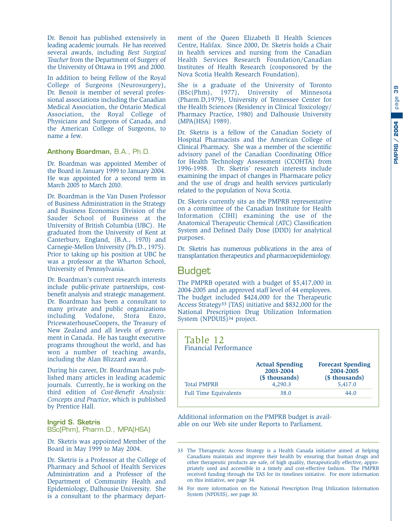<span id="page-40-0"></span>Dr. Benoit has published extensively in leading academic journals. He has received several awards, including *Best Surgical Teacher* from the Department of Surgery of the University of Ottawa in 1991 and 2000.

In addition to being Fellow of the Royal College of Surgeons (Neurosurgery), Dr. Benoit is member of several professional associations including the Canadian Medical Association, the Ontario Medical Association, the Royal College of Physicians and Surgeons of Canada, and the American College of Surgeons, to name a few.

#### **Anthony Boardman,** B.A., Ph.D.

Dr. Boardman was appointed Member of the Board in January 1999 to January 2004. He was appointed for a second term in March 2005 to March 2010.

Dr. Boardman is the Van Dusen Professor of Business Administration in the Strategy and Business Economics Division of the Sauder School of Business at the University of British Columbia (UBC). He graduated from the University of Kent at Canterbury, England, (B.A., 1970) and Carnegie-Mellon University (Ph.D., 1975). Prior to taking up his position at UBC he was a professor at the Wharton School, University of Pennsylvania.

Dr. Boardman's current research interests include public-private partnerships, costbenefit analysis and strategic management. Dr. Boardman has been a consultant to many private and public organizations including Vodafone, Stora Enzo, PricewaterhouseCoopers, the Treasury of New Zealand and all levels of government in Canada. He has taught executive programs throughout the world, and has won a number of teaching awards, including the Alan Blizzard award.

During his career, Dr. Boardman has published many articles in leading academic journals. Currently, he is working on the third edition of *Cost-Benefit Analysis: Concepts and Practice*, which is published by Prentice Hall.

#### **Ingrid S. Sketris** BSc(Phm), Pharm.D., MPA(HSA)

Dr. Sketris was appointed Member of the Board in May 1999 to May 2004.

Dr. Sketris is a Professor at the College of Pharmacy and School of Health Services Administration and a Professor of the Department of Community Health and Epidemiology, Dalhousie University. She is a consultant to the pharmacy depart-

ment of the Queen Elizabeth II Health Sciences Centre, Halifax. Since 2000, Dr. Sketris holds a Chair in health services and nursing from the Canadian Health Services Research Foundation/Canadian Institutes of Health Research (cosponsored by the Nova Scotia Health Research Foundation).

She is a graduate of the University of Toronto (BSc(Phm), 1977), University of Minnesota (Pharm.D,1979), University of Tennessee Center for the Health Sciences (Residency in Clinical Toxicology/ Pharmacy Practice, 1980) and Dalhousie University (MPA(HSA) 1989).

Dr. Sketris is a fellow of the Canadian Society of Hospital Pharmacists and the American College of Clinical Pharmacy. She was a member of the scientific advisory panel of the Canadian Coordinating Office for Health Technology Assessment (CCOHTA) from 1996-1998. Dr. Sketris' research interests include examining the impact of changes in Pharmacare policy and the use of drugs and health services particularly related to the population of Nova Scotia.

Dr. Sketris currently sits as the PMPRB representative on a committee of the Canadian Institute for Health Information (CIHI) examining the use of the Anatomical Therapeutic Chemical (ATC) Classification System and Defined Daily Dose (DDD) for analytical purposes.

Dr. Sketris has numerous publications in the area of transplantation therapeutics and pharmacoepidemiology.

#### **Budget**

The PMPRB operated with a budget of \$5,417,000 in 2004-2005 and an approved staff level of 44 employees. The budget included \$424,000 for the Therapeutic Access Strategy33 (TAS) initiative and \$832,000 for the National Prescription Drug Utilization Information System (NPDUIS)34 project.

| Table 12<br><b>Financial Performance</b> |                                                                  |                                                                    |
|------------------------------------------|------------------------------------------------------------------|--------------------------------------------------------------------|
| <b>Total PMPRB</b>                       | <b>Actual Spending</b><br>2003-2004<br>(\$ thousands)<br>4,290.3 | <b>Forecast Spending</b><br>2004-2005<br>(\$ thousands)<br>5,417.0 |
| <b>Full Time Equivalents</b>             | 38.0                                                             | 44.0                                                               |

Additional information on the PMPRB budget is available on our Web site under Reports to Parliament.

<sup>33</sup> The Therapeutic Access Strategy is a Health Canada initiative aimed at helping Canadians maintain and improve their health by ensuring that human drugs and other therapeutic products are safe, of high quality, therapeutically effective, appropriately used and accessible in a timely and cost-effective fashion. The PMPRB received funding through the TAS for its timelines initiative. For more information on this initiative, see page 34.

<sup>34</sup> For more information on the National Prescription Drug Utilization Information System (NPDUIS), see page 30.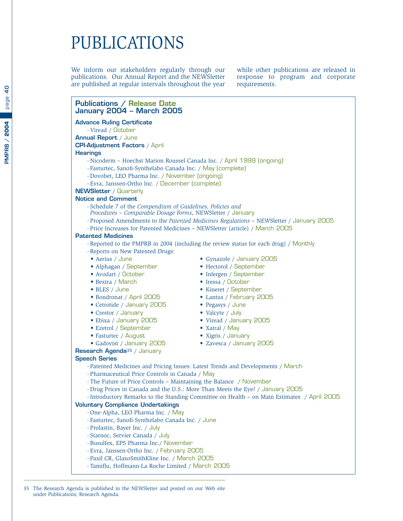# <span id="page-41-0"></span>PUBLICATIONS

We inform our stakeholders regularly through our publications. Our Annual Report and the NEWSletter are published at regular intervals throughout the year

while other publications are released in response to program and corporate requirements.

#### **Publications / Release Date January 2004 – March 2005**

**Advance Ruling Certificate**

- Viread / October **Annual Report** / June

**CPI-Adjustment Factors** / April

#### **Hearings**

- Nicoderm Hoechst Marion Roussel Canada Inc. / April 1999 (ongoing)
- Fasturtec, Sanofi-Synthelabo Canada Inc. / May (complete)
- Dovobet, LEO Pharma Inc. / November (ongoing)
- Evra, Janssen-Ortho Inc. / December (complete)

#### **NEWSletter** / Quarterly

#### **Notice and Comment**

- Schedule 7 of the *Compendium of Guidelines, Policies and*
- *Procedures Comparable Dosage Forms*, NEWSletter / January
- Proposed Amendments to the *Patented Medicines Regulations* NEWSletter / January 2005
- Price Increases for Patented Medicines NEWSletter (article) / March 2005

#### **Patented Medicines**

- Reported to the PMPRB in 2004 (including the review status for each drug) / Monthly
- Reports on New Patented Drugs:
- Aerius / June Gynazole / January 2005
- 
- 
- 
- 
- Bondronat / April 2005 Lantus / February 2005
- Cetrotide / January 2005 Pegasys / June
- 
- 
- 
- 
- 
- Alphagan / September Hectorol / September
- Avodart / October Infergen / September
- Bextra / March Iressa / October
- BLES / June Kineret / September
	-
	-
- Crestor / January Valcyte / July
- Ebixa / January 2005 Viread / January 2005
- Ezetrol / September Xatral / May
- Fasturtec / August Xigris / January
- Gadovist / January 2005 Zavesca / January 2005

**Research Agenda**<sup>35</sup> / January

#### **Speech Series**

- Patented Medicines and Pricing Issues: Latest Trends and Developments / March
- Pharmaceutical Price Controls in Canada / May
- The Future of Price Controls Maintaining the Balance / November
- Drug Prices in Canada and the U.S.: More Than Meets the Eye? / January 2005
- Introductory Remarks to the Standing Committee on Health on Main Estimates / April 2005

#### **Voluntary Compliance Undertakings**

- One-Alpha, LEO Pharma Inc. / May
- Fasturtec, Sanofi-Synthelabo Canada Inc. / June
- Prolastin, Bayer Inc. / July
- Starnoc, Servier Canada / July
- Busulfex, EPS Pharma Inc./ November
- Evra, Janssen-Ortho Inc. / February 2005
- Paxil CR, GlaxoSmithKline Inc. / March 2005
- Tamiflu, Hoffmann-La Roche Limited / March 2005

#### 35 The Research Agenda is published in the NEWSletter and posted on our Web site under Publications; Research Agenda.

9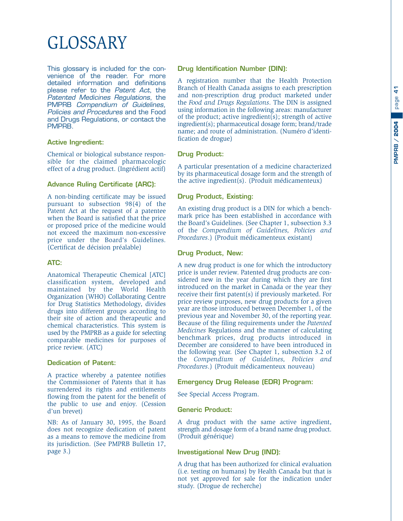# <span id="page-42-0"></span>GLOSSARY

This glossary is included for the convenience of the reader. For more detailed information and definitions please refer to the Patent Act, the Patented Medicines Regulations, the PMPRB Compendium of Guidelines, Policies and Procedures and the Food and Drugs Regulations, or contact the PMPRB.

#### **Active Ingredient:**

Chemical or biological substance responsible for the claimed pharmacologic effect of a drug product. (Ingrédient actif)

#### **Advance Ruling Certificate (ARC):**

A non-binding certificate may be issued pursuant to subsection 98(4) of the Patent Act at the request of a patentee when the Board is satisfied that the price or proposed price of the medicine would not exceed the maximum non-excessive price under the Board's Guidelines. (Certificat de décision préalable)

#### **ATC:**

Anatomical Therapeutic Chemical [ATC] classification system, developed and maintained by the World Health Organization (WHO) Collaborating Centre for Drug Statistics Methodology, divides drugs into different groups according to their site of action and therapeutic and chemical characteristics. This system is used by the PMPRB as a guide for selecting comparable medicines for purposes of price review. (ATC)

#### **Dedication of Patent:**

A practice whereby a patentee notifies the Commissioner of Patents that it has surrendered its rights and entitlements flowing from the patent for the benefit of the public to use and enjoy. (Cession d'un brevet)

NB: As of January 30, 1995, the Board does not recognize dedication of patent as a means to remove the medicine from its jurisdiction. (See PMPRB Bulletin 17, page 3.)

#### **Drug Identification Number (DIN):**

A registration number that the Health Protection Branch of Health Canada assigns to each prescription and non-prescription drug product marketed under the *Food and Drugs Regulations*. The DIN is assigned using information in the following areas: manufacturer of the product; active ingredient(s); strength of active ingredient(s); pharmaceutical dosage form; brand/trade name; and route of administration. (Numéro d'identification de drogue)

#### **Drug Product:**

A particular presentation of a medicine characterized by its pharmaceutical dosage form and the strength of the active ingredient(s). (Produit médicamenteux)

#### **Drug Product, Existing:**

An existing drug product is a DIN for which a benchmark price has been established in accordance with the Board's Guidelines. (See Chapter 1, subsection 3.3 of the *Compendium of Guidelines, Policies and Procedures*.) (Produit médicamenteux existant)

#### **Drug Product, New:**

A new drug product is one for which the introductory price is under review. Patented drug products are considered new in the year during which they are first introduced on the market in Canada or the year they receive their first patent(s) if previously marketed. For price review purposes, new drug products for a given year are those introduced between December 1, of the previous year and November 30, of the reporting year. Because of the filing requirements under the *Patented Medicines* Regulations and the manner of calculating benchmark prices, drug products introduced in December are considered to have been introduced in the following year. (See Chapter 1, subsection 3.2 of the *Compendium of Guidelines, Policies and Procedures*.) (Produit médicamenteux nouveau)

#### **Emergency Drug Release (EDR) Program:**

See Special Access Program.

#### **Generic Product:**

A drug product with the same active ingredient, strength and dosage form of a brand name drug product. (Produit générique)

#### **Investigational New Drug (IND):**

A drug that has been authorized for clinical evaluation (i.e. testing on humans) by Health Canada but that is not yet approved for sale for the indication under study. (Drogue de recherche)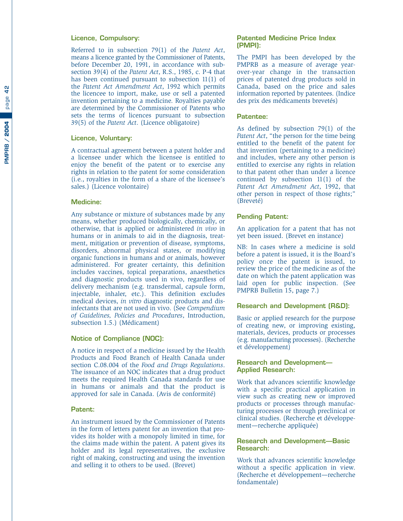#### **Licence, Compulsory:**

Referred to in subsection 79(1) of the *Patent Act* , means a licence granted by the Commissioner of Patents, before December 20, 1991, in accordance with subsection 39(4) of the *Patent Act*, R.S., 1985, c. P-4 that has been continued pursuant to subsection 11(1) of the *Patent Act Amendment Act*, 1992 which permits the licencee to import, make, use or sell a patented invention pertaining to a medicine. Royalties payable are determined by the Commissioner of Patents who sets the terms of licences pursuant to subsection 39(5) of the *Patent Act*. (Licence obligatoire)

#### **Licence, Voluntary:**

A contractual agreement between a patent holder and a licensee under which the licensee is entitled to enjoy the benefit of the patent or to exercise any rights in relation to the patent for some consideration (i.e., royalties in the form of a share of the licensee's sales.) (Licence volontaire)

#### **Medicine:**

Any substance or mixture of substances made by any means, whether produced biologically, chemically, or otherwise, that is applied or administered *in vivo* in humans or in animals to aid in the diagnosis, treatment, mitigation or prevention of disease, symptoms, disorders, abnormal physical states, or modifying organic functions in humans and or animals, however administered. For greater certainty, this definition includes vaccines, topical preparations, anaesthetics and diagnostic products used in vivo, regardless of delivery mechanism (e.g. transdermal, capsule form, injectable, inhaler, etc.). This definition excludes medical devices, *in vitro* diagnostic products and disinfectants that are not used in vivo. (See *Compendium of Guidelines, Policies and Procedures*, Introduction, subsection 1.5.) (Médicament)

#### **Notice of Compliance (NOC):**

A notice in respect of a medicine issued by the Health Products and Food Branch of Health Canada under section C.08.004 of the *Food and Drugs Regulations* . The issuance of an NOC indicates that a drug product meets the required Health Canada standards for use in humans or animals and that the product is approved for sale in Canada. (Avis de conformité)

#### **Patent:**

An instrument issued by the Commissioner of Patents in the form of letters patent for an invention that provides its holder with a monopoly limited in time, for the claims made within the patent. A patent gives its holder and its legal representatives, the exclusive right of making, constructing and using the invention and selling it to others to be used. (Brevet)

#### **Patented Medicine Price Index (PMPI):**

The PMPI has been developed by the PMPRB as a measure of average yearover-year change in the transaction prices of patented drug products sold in Canada, based on the price and sales information reported by patentees. (Indice des prix des médicaments brevetés)

#### **Patentee:**

As defined by subsection 79(1) of the *Patent Act*, "the person for the time being entitled to the benefit of the patent for that invention (pertaining to a medicine) and includes, where any other person is entitled to exercise any rights in relation to that patent other than under a licence continued by subsection 11(1) of the *Patent Act Amendment Act*, 1992, that other person in respect of those rights;" (Breveté)

#### **Pending Patent:**

An application for a patent that has not yet been issued. (Brevet en instance)

NB: In cases where a medicine is sold before a patent is issued, it is the Board's policy once the patent is issued, to review the price of the medicine as of the date on which the patent application was laid open for public inspection. (See PMPRB Bulletin 15, page 7.)

#### **Research and Development (R&D):**

Basic or applied research for the purpose of creating new, or improving existing, materials, devices, products or processes (e.g. manufacturing processes). (Recherche et développement)

#### **Research and Development— Applied Research:**

Work that advances scientific knowledge with a specific practical application in view such as creating new or improved products or processes through manufacturing processes or through preclinical or clinical studies. (Recherche et développement—recherche appliquée)

#### **Research and Development—Basic Research:**

Work that advances scientific knowledge without a specific application in view. (Recherche et développement—recherche fondamentale)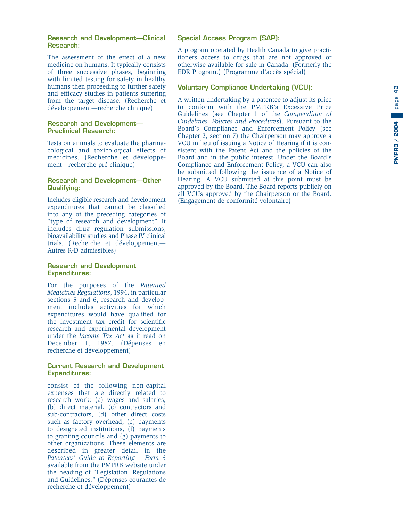#### **Research and Development—Clinical Research:**

The assessment of the effect of a new medicine on humans. It typically consists of three successive phases, beginning with limited testing for safety in healthy humans then proceeding to further safety and efficacy studies in patients suffering from the target disease. (Recherche et développement—recherche clinique)

#### **Research and Development— Preclinical Research:**

Tests on animals to evaluate the pharmacological and toxicological effects of medicines. (Recherche et développement—recherche pré-clinique)

#### **Research and Development—Other Qualifying:**

Includes eligible research and development expenditures that cannot be classified into any of the preceding categories of "type of research and development". It includes drug regulation submissions, bioavailability studies and Phase IV clinical trials. (Recherche et développement— Autres R-D admissibles)

#### **Research and Development Expenditures:**

For the purposes of the *Patented Medicines Regulations*, 1994, in particular sections 5 and 6, research and development includes activities for which expenditures would have qualified for the investment tax credit for scientific research and experimental development under the *Income Tax Act* as it read on December 1, 1987. (Dépenses en recherche et développement)

#### **Current Research and Development Expenditures:**

consist of the following non-capital expenses that are directly related to research work: (a) wages and salaries, (b) direct material, (c) contractors and sub-contractors, (d) other direct costs such as factory overhead, (e) payments to designated institutions, (f) payments to granting councils and (g) payments to other organizations. These elements are described in greater detail in the *Patentees' Guide to Reporting – Form 3* available from the PMPRB website under the heading of "Legislation, Regulations and Guidelines." (Dépenses courantes de recherche et développement)

#### **Special Access Program (SAP):**

A program operated by Health Canada to give practitioners access to drugs that are not approved or otherwise available for sale in Canada. (Formerly the EDR Program.) (Programme d'accès spécial)

#### **Voluntary Compliance Undertaking (VCU):**

A written undertaking by a patentee to adjust its price to conform with the PMPRB's Excessive Price Guidelines (see Chapter 1 of the *Compendium of Guidelines, Policies and Procedures*). Pursuant to the Board's Compliance and Enforcement Policy (see Chapter 2, section 7) the Chairperson may approve a VCU in lieu of issuing a Notice of Hearing if it is consistent with the Patent Act and the policies of the Board and in the public interest. Under the Board's Compliance and Enforcement Policy, a VCU can also be submitted following the issuance of a Notice of Hearing. A VCU submitted at this point must be approved by the Board. The Board reports publicly on all VCUs approved by the Chairperson or the Board. (Engagement de conformité volontaire)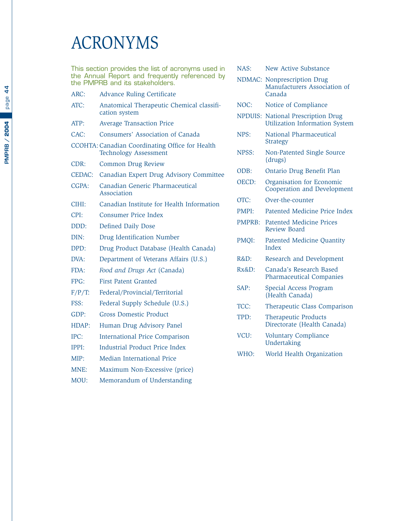# <span id="page-45-0"></span>ACRONYMS

This section provides the list of acronyms used in the Annual Report and frequently referenced by the PMPRB and its stakeholders.

- ARC: Advance Ruling Certificate ATC: Anatomical Therapeutic Chemical classification system ATP: Average Transaction Price CAC: Consumers' Association of Canada CCOHTA: Canadian Coordinating Office for Health Technology Assessment CDR: Common Drug Review CEDAC: Canadian Expert Drug Advisory Committee CGPA: Canadian Generic Pharmaceutical Association CIHI: Canadian Institute for Health Information CPI: Consumer Price Index DDD: Defined Daily Dose DIN: Drug Identification Number DPD: Drug Product Database (Health Canada) DVA: Department of Veterans Affairs (U.S.) FDA: *Food and Drugs Act* (Canada) FPG: First Patent Granted F/P/T: Federal/Provincial/Territorial FSS: Federal Supply Schedule (U.S.) GDP: Gross Domestic Product HDAP: Human Drug Advisory Panel IPC: International Price Comparison IPPI: Industrial Product Price Index
- MIP: Median International Price MNE: Maximum Non-Excessive (price)
- MOU: Memorandum of Understanding

| NAS:          | <b>New Active Substance</b>                                         |
|---------------|---------------------------------------------------------------------|
| NDMAC:        | Nonprescription Drug<br>Manufacturers Association of<br>Canada      |
| NOC:          | Notice of Compliance                                                |
| NPDUIS:       | National Prescription Drug<br><b>Utilization Information System</b> |
| NPS:          | National Pharmaceutical<br>Strategy                                 |
| NPSS:         | Non-Patented Single Source<br>(drugs)                               |
| ODB:          | Ontario Drug Benefit Plan                                           |
| OECD:         | Organisation for Economic<br>Cooperation and Development            |
| OTC:          | Over-the-counter                                                    |
| PMPI:         | Patented Medicine Price Index                                       |
| <b>PMPRB:</b> | <b>Patented Medicine Prices</b><br>Review Board                     |
| PMQI:         | <b>Patented Medicine Quantity</b><br>Index                          |
| R&D:          | Research and Development                                            |
| $Rx&D$ :      | Canada's Research Based<br><b>Pharmaceutical Companies</b>          |
| SAP:          | Special Access Program<br>(Health Canada)                           |
| TCC:          | Therapeutic Class Comparison                                        |
| TPD:          | <b>Therapeutic Products</b><br>Directorate (Health Canada)          |
| VCU:          | <b>Voluntary Compliance</b><br>Undertaking                          |

WHO: World Health Organization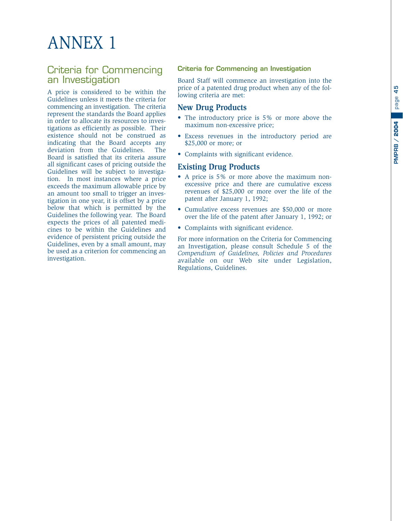# <span id="page-46-0"></span>ANNEX 1

#### Criteria for Commencing an Investigation

A price is considered to be within the Guidelines unless it meets the criteria for commencing an investigation. The criteria represent the standards the Board applies in order to allocate its resources to investigations as efficiently as possible. Their existence should not be construed as indicating that the Board accepts any deviation from the Guidelines. The Board is satisfied that its criteria assure all significant cases of pricing outside the Guidelines will be subject to investigation. In most instances where a price exceeds the maximum allowable price by an amount too small to trigger an investigation in one year, it is offset by a price below that which is permitted by the Guidelines the following year. The Board expects the prices of all patented medicines to be within the Guidelines and evidence of persistent pricing outside the Guidelines, even by a small amount, may be used as a criterion for commencing an investigation.

#### **Criteria for Commencing an Investigation**

Board Staff will commence an investigation into the price of a patented drug product when any of the following criteria are met:

#### **New Drug Products**

- The introductory price is 5% or more above the maximum non-excessive price;
- Excess revenues in the introductory period are \$25,000 or more; or
- Complaints with significant evidence.

#### **Existing Drug Products**

- A price is 5% or more above the maximum nonexcessive price and there are cumulative excess revenues of \$25,000 or more over the life of the patent after January 1, 1992;
- Cumulative excess revenues are \$50,000 or more over the life of the patent after January 1, 1992; or
- Complaints with significant evidence.

For more information on the Criteria for Commencing an Investigation, please consult Schedule 5 of the *Compendium of Guidelines, Policies and Procedures* available on our Web site under Legislation, Regulations, Guidelines.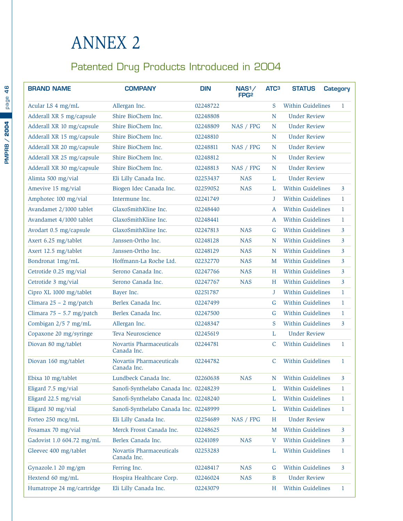## <span id="page-47-0"></span>ANNEX 2

### Patented Drug Products Introduced in 2004

| <b>BRAND NAME</b>           | <b>COMPANY</b>                          | <b>DIN</b> | NAS <sup>1</sup><br>FPG <sub>2</sub> | ATC <sub>3</sub> | <b>STATUS</b>       | <b>Category</b> |
|-----------------------------|-----------------------------------------|------------|--------------------------------------|------------------|---------------------|-----------------|
| Acular LS 4 mg/mL           | Allergan Inc.                           | 02248722   |                                      | S                | Within Guidelines   | 1               |
| Adderall XR 5 mg/capsule    | Shire BioChem Inc.                      | 02248808   |                                      | N                | <b>Under Review</b> |                 |
| Adderall XR 10 mg/capsule   | Shire BioChem Inc.                      | 02248809   | NAS / FPG                            | N                | <b>Under Review</b> |                 |
| Adderall XR 15 mg/capsule   | Shire BioChem Inc.                      | 02248810   |                                      | $\mathbf N$      | <b>Under Review</b> |                 |
| Adderall XR 20 mg/capsule   | Shire BioChem Inc.                      | 02248811   | NAS / FPG                            | N                | <b>Under Review</b> |                 |
| Adderall XR 25 mg/capsule   | Shire BioChem Inc.                      | 02248812   |                                      | N                | <b>Under Review</b> |                 |
| Adderall XR 30 mg/capsule   | Shire BioChem Inc.                      | 02248813   | NAS / FPG                            | N                | <b>Under Review</b> |                 |
| Alimta 500 mg/vial          | Eli Lilly Canada Inc.                   | 02253437   | <b>NAS</b>                           | L                | <b>Under Review</b> |                 |
| Amevive 15 mg/vial          | Biogen Idec Canada Inc.                 | 02259052   | <b>NAS</b>                           | L                | Within Guidelines   | $\mathbf{3}$    |
| Amphotec 100 mg/vial        | Intermune Inc.                          | 02241749   |                                      | J                | Within Guidelines   | $\mathbf{1}$    |
| Avandamet 2/1000 tablet     | GlaxoSmithKline Inc.                    | 02248440   |                                      | $\boldsymbol{A}$ | Within Guidelines   | $\mathbf{1}$    |
| Avandamet 4/1000 tablet     | GlaxoSmithKline Inc.                    | 02248441   |                                      | A                | Within Guidelines   | $\mathbf{1}$    |
| Avodart 0.5 mg/capsule      | GlaxoSmithKline Inc.                    | 02247813   | <b>NAS</b>                           | G                | Within Guidelines   | $\mathbf{3}$    |
| Axert 6.25 mg/tablet        | Janssen-Ortho Inc.                      | 02248128   | <b>NAS</b>                           | N                | Within Guidelines   | $\mathbf{3}$    |
| Axert 12.5 mg/tablet        | Janssen-Ortho Inc.                      | 02248129   | <b>NAS</b>                           | N                | Within Guidelines   | $\overline{3}$  |
| Bondronat 1mg/mL            | Hoffmann-La Roche Ltd.                  | 02232770   | <b>NAS</b>                           | M                | Within Guidelines   | $\mathbf{3}$    |
| Cetrotide 0.25 mg/vial      | Serono Canada Inc.                      | 02247766   | <b>NAS</b>                           | Н                | Within Guidelines   | $\overline{3}$  |
| Cetrotide 3 mg/vial         | Serono Canada Inc.                      | 02247767   | <b>NAS</b>                           | H                | Within Guidelines   | $\mathbf{3}$    |
| Cipro XL 1000 mg/tablet     | Bayer Inc.                              | 02251787   |                                      | J                | Within Guidelines   | $\mathbf{1}$    |
| Climara $25 - 2$ mg/patch   | Berlex Canada Inc.                      | 02247499   |                                      | G                | Within Guidelines   | $\mathbf{1}$    |
| Climara $75 - 5.7$ mg/patch | Berlex Canada Inc.                      | 02247500   |                                      | G                | Within Guidelines   | $\mathbf{1}$    |
| Combigan 2/5 7 mg/mL        | Allergan Inc.                           | 02248347   |                                      | S                | Within Guidelines   | $\mathbf{3}$    |
| Copaxone 20 mg/syringe      | Teva Neuroscience                       | 02245619   |                                      | L                | <b>Under Review</b> |                 |
| Diovan 80 mg/tablet         | Novartis Pharmaceuticals<br>Canada Inc. | 02244781   |                                      | C                | Within Guidelines   | $\mathbf{1}$    |
| Diovan 160 mg/tablet        | Novartis Pharmaceuticals<br>Canada Inc. | 02244782   |                                      | $\mathsf{C}$     | Within Guidelines   | $\mathbf{1}$    |
| Ebixa 10 mg/tablet          | Lundbeck Canada Inc.                    | 02260638   | <b>NAS</b>                           | N                | Within Guidelines   | 3               |
| Eligard 7.5 mg/vial         | Sanofi-Synthelabo Canada Inc. 02248239  |            |                                      | L                | Within Guidelines   | $\mathbf{1}$    |
| Eligard 22.5 mg/vial        | Sanofi-Synthelabo Canada Inc. 02248240  |            |                                      | L                | Within Guidelines   | $\mathbf{1}$    |
| Eligard 30 mg/vial          | Sanofi-Synthelabo Canada Inc. 02248999  |            |                                      | L                | Within Guidelines   | $\mathbf{1}$    |
| Forteo 250 mcg/mL           | Eli Lilly Canada Inc.                   | 02254689   | NAS / FPG                            | H                | <b>Under Review</b> |                 |
| Fosamax 70 mg/vial          | Merck Frosst Canada Inc.                | 02248625   |                                      | M                | Within Guidelines   | 3               |
| Gadovist 1.0 604.72 mg/mL   | Berlex Canada Inc.                      | 02241089   | <b>NAS</b>                           | V                | Within Guidelines   | 3               |
| Gleevec 400 mg/tablet       | Novartis Pharmaceuticals<br>Canada Inc. | 02253283   |                                      | L                | Within Guidelines   | $\mathbf{1}$    |
| Gynazole.1 20 mg/gm         | Ferring Inc.                            | 02248417   | <b>NAS</b>                           | G                | Within Guidelines   | 3               |
| Hextend 60 mg/mL            | Hospira Healthcare Corp.                | 02246024   | <b>NAS</b>                           | B                | <b>Under Review</b> |                 |
| Humatrope 24 mg/cartridge   | Eli Lilly Canada Inc.                   | 02243079   |                                      | Н                | Within Guidelines   | $\mathbf{1}$    |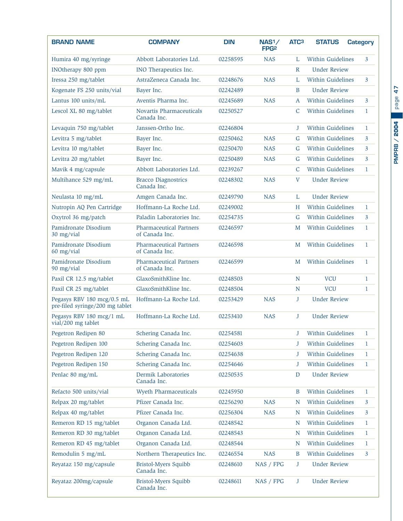| <b>BRAND NAME</b>                                             | <b>COMPANY</b>                                   | <b>DIN</b> | NAS <sup>1</sup><br>FPG <sub>2</sub> | ATC <sub>3</sub> | <b>STATUS</b>            | <b>Category</b> |  |
|---------------------------------------------------------------|--------------------------------------------------|------------|--------------------------------------|------------------|--------------------------|-----------------|--|
| Humira 40 mg/syringe                                          | Abbott Laboratories Ltd.                         | 02258595   | <b>NAS</b>                           | L                | <b>Within Guidelines</b> | 3               |  |
| INOtherapy 800 ppm                                            | INO Therapeutics Inc.                            |            |                                      | $\mathsf{R}$     | <b>Under Review</b>      |                 |  |
| Iressa 250 mg/tablet                                          | AstraZeneca Canada Inc.                          | 02248676   | <b>NAS</b>                           | L                | <b>Within Guidelines</b> | $\overline{3}$  |  |
| Kogenate FS 250 units/vial                                    | Bayer Inc.                                       | 02242489   |                                      | B                | <b>Under Review</b>      |                 |  |
| Lantus 100 units/mL                                           | Aventis Pharma Inc.                              | 02245689   | <b>NAS</b>                           | A                | Within Guidelines        | $\overline{3}$  |  |
| Lescol XL 80 mg/tablet                                        | Novartis Pharmaceuticals<br>Canada Inc.          | 02250527   |                                      | C                | Within Guidelines        | 1               |  |
| Levaquin 750 mg/tablet                                        | Janssen-Ortho Inc.                               | 02246804   |                                      | J                | <b>Within Guidelines</b> | $\mathbf{1}$    |  |
| Levitra 5 mg/tablet                                           | Bayer Inc.                                       | 02250462   | <b>NAS</b>                           | G                | <b>Within Guidelines</b> | 3               |  |
| Levitra 10 mg/tablet                                          | Bayer Inc.                                       | 02250470   | <b>NAS</b>                           | G                | <b>Within Guidelines</b> | 3               |  |
| Levitra 20 mg/tablet                                          | Bayer Inc.                                       | 02250489   | <b>NAS</b>                           | G                | <b>Within Guidelines</b> | 3               |  |
| Mavik 4 mg/capsule                                            | Abbott Laboratories Ltd.                         | 02239267   |                                      | $\mathsf{C}$     | <b>Within Guidelines</b> | $\mathbf{1}$    |  |
| Multihance 529 mg/mL                                          | <b>Bracco Diagnostrics</b><br>Canada Inc.        | 02248302   | <b>NAS</b>                           | $\mathbf{V}$     | <b>Under Review</b>      |                 |  |
| Neulasta 10 mg/mL                                             | Amgen Canada Inc.                                | 02249790   | <b>NAS</b>                           | L                | <b>Under Review</b>      |                 |  |
| Nutropin AQ Pen Cartridge                                     | Hoffmann-La Roche Ltd.                           | 02249002   |                                      | H                | Within Guidelines        | $\mathbf{1}$    |  |
| Oxytrol 36 mg/patch                                           | Paladin Laboratories Inc.                        | 02254735   |                                      | G                | <b>Within Guidelines</b> | 3               |  |
| Pamidronate Disodium<br>30 mg/vial                            | <b>Pharmaceutical Partners</b><br>of Canada Inc. | 02246597   |                                      | M                | Within Guidelines        | $\mathbf{1}$    |  |
| Pamidronate Disodium<br>60 mg/vial                            | <b>Pharmaceutical Partners</b><br>of Canada Inc. | 02246598   |                                      | M                | <b>Within Guidelines</b> | 1               |  |
| Pamidronate Disodium<br>90 mg/vial                            | <b>Pharmaceutical Partners</b><br>of Canada Inc. | 02246599   |                                      | M                | <b>Within Guidelines</b> | $\mathbf{1}$    |  |
| Paxil CR 12.5 mg/tablet                                       | GlaxoSmithKline Inc.                             | 02248503   |                                      | N                | <b>VCU</b>               | 1               |  |
| Paxil CR 25 mg/tablet                                         | GlaxoSmithKline Inc.                             | 02248504   |                                      | N                | <b>VCU</b>               | $\mathbf{1}$    |  |
| Pegasys RBV 180 mcg/0.5 mL<br>pre-filed syringe/200 mg tablet | Hoffmann-La Roche Ltd.                           | 02253429   | <b>NAS</b>                           | J                | <b>Under Review</b>      |                 |  |
| Pegasys RBV 180 mcg/1 mL<br>vial/200 mg tablet                | Hoffmann-La Roche Ltd.                           | 02253410   | <b>NAS</b>                           | J                | <b>Under Review</b>      |                 |  |
| Pegetron Redipen 80                                           | Schering Canada Inc.                             | 02254581   |                                      | J                | Within Guidelines        | 1               |  |
| Pegetron Redipen 100                                          | Schering Canada Inc.                             | 02254603   |                                      | J                | Within Guidelines        | 1               |  |
| Pegetron Redipen 120                                          | Schering Canada Inc.                             | 02254638   |                                      | J                | Within Guidelines        | $\mathbf{1}$    |  |
| Pegetron Redipen 150                                          | Schering Canada Inc.                             | 02254646   |                                      | J                | Within Guidelines        | $\mathbf{1}$    |  |
| Penlac 80 mg/mL                                               | Dermik Laboratories<br>Canada Inc.               | 02250535   |                                      | D                | <b>Under Review</b>      |                 |  |
| Refacto 500 units/vial                                        | <b>Wyeth Pharmaceuticals</b>                     | 02245950   |                                      | B                | Within Guidelines        | $\mathbf{1}$    |  |
| Relpax 20 mg/tablet                                           | Pfizer Canada Inc.                               | 02256290   | <b>NAS</b>                           | N                | Within Guidelines        | 3               |  |
| Relpax 40 mg/tablet                                           | Pfizer Canada Inc.                               | 02256304   | <b>NAS</b>                           | N                | Within Guidelines        | 3               |  |
| Remeron RD 15 mg/tablet                                       | Organon Canada Ltd.                              | 02248542   |                                      | N                | Within Guidelines        | 1               |  |
| Remeron RD 30 mg/tablet                                       | Organon Canada Ltd.                              | 02248543   |                                      | N                | Within Guidelines        | $\mathbf{1}$    |  |
| Remeron RD 45 mg/tablet                                       | Organon Canada Ltd.                              | 02248544   |                                      | N                | Within Guidelines        | $\mathbf{1}$    |  |
| Remodulin 5 mg/mL                                             | Northern Therapeutics Inc.                       | 02246554   | <b>NAS</b>                           | B                | Within Guidelines        | 3               |  |
| Reyataz 150 mg/capsule                                        | Bristol-Myers Squibb<br>Canada Inc.              | 02248610   | NAS / FPG                            | J                | <b>Under Review</b>      |                 |  |
| Reyataz 200mg/capsule                                         | Bristol-Myers Squibb<br>Canada Inc.              | 02248611   | NAS / FPG                            | J                | <b>Under Review</b>      |                 |  |

**PMPRB / 2004 PMPRB / 2004**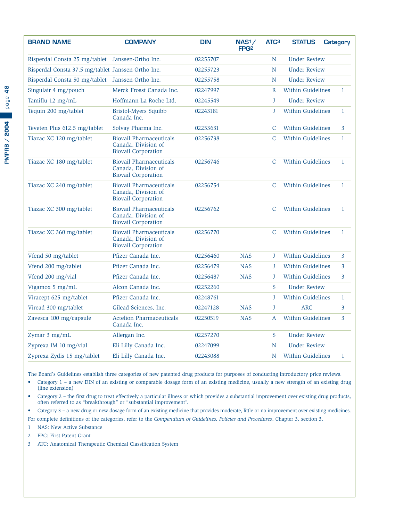| <b>BRAND NAME</b>                                  | <b>COMPANY</b>                                                                      | <b>DIN</b> | NAS <sub>1</sub> /<br>FPG <sub>2</sub> | ATC <sub>3</sub> | <b>STATUS</b>            | Category       |
|----------------------------------------------------|-------------------------------------------------------------------------------------|------------|----------------------------------------|------------------|--------------------------|----------------|
| Risperdal Consta 25 mg/tablet Janssen-Ortho Inc.   |                                                                                     | 02255707   |                                        | N                | <b>Under Review</b>      |                |
| Risperdal Consta 37.5 mg/tablet Janssen-Ortho Inc. |                                                                                     | 02255723   |                                        | N                | <b>Under Review</b>      |                |
| Risperdal Consta 50 mg/tablet Janssen-Ortho Inc.   |                                                                                     | 02255758   |                                        | N                | <b>Under Review</b>      |                |
| Singulair 4 mg/pouch                               | Merck Frosst Canada Inc.                                                            | 02247997   |                                        | $\mathbb{R}$     | <b>Within Guidelines</b> | $\mathbf{1}$   |
| Tamiflu 12 mg/mL                                   | Hoffmann-La Roche Ltd.                                                              | 02245549   |                                        | J                | <b>Under Review</b>      |                |
| Tequin 200 mg/tablet                               | <b>Bristol-Myers Squibb</b><br>Canada Inc.                                          | 02243181   |                                        | J                | Within Guidelines        | $\mathbf{1}$   |
| Teveten Plus 612.5 mg/tablet                       | Solvay Pharma Inc.                                                                  | 02253631   |                                        | C                | Within Guidelines        | 3              |
| Tiazac XC 120 mg/tablet                            | <b>Biovail Pharmaceuticals</b><br>Canada, Division of<br><b>Biovail Corporation</b> | 02256738   |                                        | $\mathsf{C}$     | <b>Within Guidelines</b> | $\mathbf{1}$   |
| Tiazac XC 180 mg/tablet                            | <b>Biovail Pharmaceuticals</b><br>Canada, Division of<br><b>Biovail Corporation</b> | 02256746   |                                        | $\mathcal{C}$    | <b>Within Guidelines</b> | $\mathbf{1}$   |
| Tiazac XC 240 mg/tablet                            | <b>Biovail Pharmaceuticals</b><br>Canada, Division of<br><b>Biovail Corporation</b> | 02256754   |                                        | $\mathcal{C}$    | <b>Within Guidelines</b> | $\mathbf{1}$   |
| Tiazac XC 300 mg/tablet                            | <b>Biovail Pharmaceuticals</b><br>Canada, Division of<br><b>Biovail Corporation</b> | 02256762   |                                        | C                | <b>Within Guidelines</b> | $\mathbf{1}$   |
| Tiazac XC 360 mg/tablet                            | <b>Biovail Pharmaceuticals</b><br>Canada, Division of<br><b>Biovail Corporation</b> | 02256770   |                                        | $\mathsf{C}$     | Within Guidelines        | $\mathbf{1}$   |
| Vfend 50 mg/tablet                                 | Pfizer Canada Inc.                                                                  | 02256460   | <b>NAS</b>                             | J                | <b>Within Guidelines</b> | $\overline{3}$ |
| Vfend 200 mg/tablet                                | Pfizer Canada Inc.                                                                  | 02256479   | <b>NAS</b>                             | J                | <b>Within Guidelines</b> | 3              |
| Vfend 200 mg/vial                                  | Pfizer Canada Inc.                                                                  | 02256487   | <b>NAS</b>                             | J                | Within Guidelines        | 3              |
| Vigamox 5 mg/mL                                    | Alcon Canada Inc.                                                                   | 02252260   |                                        | S                | <b>Under Review</b>      |                |
| Viracept 625 mg/tablet                             | Pfizer Canada Inc.                                                                  | 02248761   |                                        | J                | Within Guidelines        | $\mathbf{1}$   |
| Viread 300 mg/tablet                               | Gilead Sciences, Inc.                                                               | 02247128   | <b>NAS</b>                             | $\mathbf{J}$     | <b>ARC</b>               | $\overline{3}$ |
| Zavesca 100 mg/capsule                             | <b>Actelion Pharmaceuticals</b><br>Canada Inc.                                      | 02250519   | <b>NAS</b>                             | A                | <b>Within Guidelines</b> | $\overline{3}$ |
| Zymar 3 mg/mL                                      | Allergan Inc.                                                                       | 02257270   |                                        | S                | <b>Under Review</b>      |                |
| Zyprexa IM 10 mg/vial                              | Eli Lilly Canada Inc.                                                               | 02247099   |                                        | N                | <b>Under Review</b>      |                |
| Zyprexa Zydis 15 mg/tablet                         | Eli Lilly Canada Inc.                                                               | 02243088   |                                        | N                | <b>Within Guidelines</b> | $\mathbf{1}$   |

The Board's Guidelines establish three categories of new patented drug products for purposes of conducting introductory price reviews.

• Category 1 – a new DIN of an existing or comparable dosage form of an existing medicine, usually a new strength of an existing drug (line extension)

• Category 2 – the first drug to treat effectively a particular illness or which provides a substantial improvement over existing drug products, often referred to as "breakthrough" or "substantial improvement".

• Category 3 – a new drug or new dosage form of an existing medicine that provides moderate, little or no improvement over existing medicines. For complete definitions of the categories, refer to the *Compendium of Guidelines, Policies and Procedures*, Chapter 3, section 3.

- 1 NAS: New Active Substance
- 2 FPG: First Patent Grant
- 3 ATC: Anatomical Therapeutic Chemical Classification System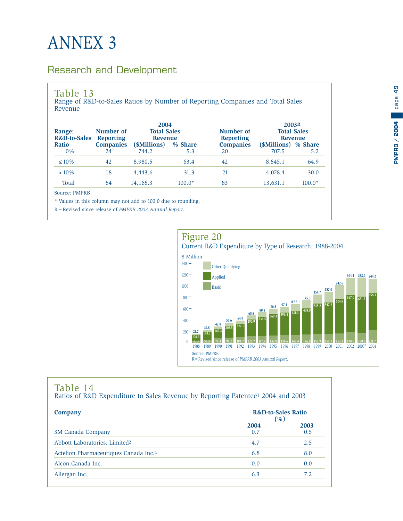# <span id="page-50-0"></span>ANNEX 3

#### Research and Development

#### Table 13

Range of R&D-to-Sales Ratios by Number of Reporting Companies and Total Sales Revenue

| Range:<br><b>R&amp;D-to-Sales</b> | 2004<br><b>Total Sales</b><br>Number of<br><b>Reporting</b><br><b>Revenue</b> |              |          | Number of<br><b>Reporting</b> | 2003R<br><b>Total Sales</b><br><b>Revenue</b> |          |  |
|-----------------------------------|-------------------------------------------------------------------------------|--------------|----------|-------------------------------|-----------------------------------------------|----------|--|
| <b>Ratio</b>                      | <b>Companies</b>                                                              | (\$Millions) | % Share  | <b>Companies</b>              | (\$Millions) % Share                          |          |  |
| $0\%$                             | 24                                                                            | 744.2        | 5.3      | 20                            | 707.5                                         | 5.2      |  |
| $\leq 10\%$                       | 42                                                                            | 8,980.5      | 63.4     | 42                            | 8.845.1                                       | 64.9     |  |
| $>10\%$                           | 18                                                                            | 4,443.6      | 31.3     | 21                            | 4,078.4                                       | 30.0     |  |
| Total                             | 84                                                                            | 14,168.3     | $100.0*$ | 83                            | 13,631.1                                      | $100.0*$ |  |

Source: PMPRB

\* Values in this column may not add to 100.0 due to rounding.

R=Revised since release of *PMPRB 2003 Annual Report*.



#### Table 14

Ratios of R&D Expenditure to Sales Revenue by Reporting Patentee1 2004 and 2003

| Company                                           | <b>R&amp;D-to-Sales Ratio</b><br>( %) |             |
|---------------------------------------------------|---------------------------------------|-------------|
| 3M Canada Company                                 | 2004<br>0.7                           | 2003<br>0.5 |
| Abbott Laboratories, Limited <sup>2</sup>         | 4.7                                   | 2.5         |
| Actelion Pharmaceutiques Canada Inc. <sup>2</sup> | 6.8                                   | 8.0         |
| Alcon Canada Inc.                                 | 0.0                                   | 0.0         |
| Allergan Inc.                                     | 6.3                                   | 7.2         |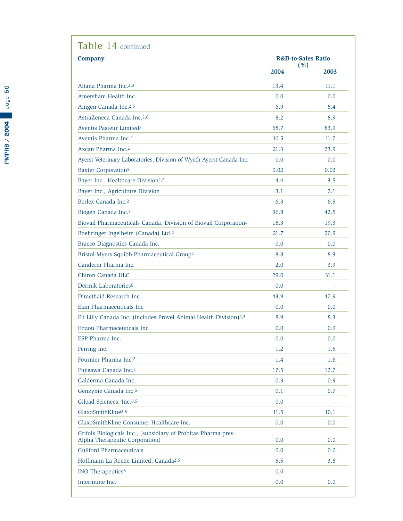| Table 14 continued                                                                               |                                       |      |  |
|--------------------------------------------------------------------------------------------------|---------------------------------------|------|--|
| <b>Company</b>                                                                                   | <b>R&amp;D-to-Sales Ratio</b><br>(% ) |      |  |
|                                                                                                  | 2004                                  | 2003 |  |
| Altana Pharma Inc. <sup>2,3</sup>                                                                | 13.4                                  | 11.1 |  |
| Amersham Health Inc.                                                                             | 0.0                                   | 0.0  |  |
| Amgen Canada Inc.2,5                                                                             | 6.9                                   | 8.4  |  |
| AstraZeneca Canada Inc.2,6                                                                       | 8.2                                   | 8.9  |  |
| Aventis Pasteur Limited <sup>5</sup>                                                             | 68.7                                  | 83.9 |  |
| Aventis Pharma Inc. <sup>2</sup>                                                                 | 10.5                                  | 11.7 |  |
| Axcan Pharma Inc. <sup>2</sup>                                                                   | 21.3                                  | 23.9 |  |
| Ayerst Veterinary Laboratories, Division of Wyeth-Ayerst Canada Inc.                             | 0.0                                   | 0.0  |  |
| <b>Baxter Corporation5</b>                                                                       | 0.02                                  | 0.02 |  |
| Bayer Inc., Healthcare Division <sup>2,5</sup>                                                   | 4.4                                   | 3.5  |  |
| Bayer Inc., Agriculture Division                                                                 | 3.1                                   | 2.1  |  |
| Berlex Canada Inc. <sup>2</sup>                                                                  | 6.3                                   | 6.5  |  |
| Biogen Canada Inc. <sup>5</sup>                                                                  | 36.8                                  | 42.5 |  |
| Biovail Pharmaceuticals Canada, Division of Biovail Corporation <sup>5</sup>                     | 18.3                                  | 19.3 |  |
| Boehringer Ingelheim (Canada) Ltd. <sup>2</sup>                                                  | 21.7                                  | 20.9 |  |
| Bracco Diagnostics Canada Inc.                                                                   | 0.0                                   | 0.0  |  |
| Bristol-Myers Squibb Pharmaceutical Group <sup>2</sup>                                           | 8.8                                   | 8.3  |  |
| Canderm Pharma Inc.                                                                              | 2.0                                   | 3.9  |  |
| Chiron Canada ULC                                                                                | 29.0                                  | 31.1 |  |
| Dermik Laboratories <sup>6</sup>                                                                 | 0.0                                   |      |  |
| Dimethaid Research Inc.                                                                          | 43.9                                  | 47.9 |  |
| Elan Pharmaceuticals Inc.                                                                        | 0.0                                   | 0.0  |  |
| Eli Lilly Canada Inc. (includes Provel Animal Health Division) <sup>2,5</sup>                    | 8.9                                   | 8.3  |  |
| Enzon Pharmaceuticals Inc.                                                                       | 0.0                                   | 0.9  |  |
| ESP Pharma Inc.                                                                                  | 0.0                                   | 0.0  |  |
| Ferring Inc.                                                                                     | 1.2                                   | 1.5  |  |
| Fournier Pharma Inc. <sup>2</sup>                                                                | 1.4                                   | 1.6  |  |
| Fujisawa Canada Inc. <sup>2</sup>                                                                | 17.5                                  | 12.7 |  |
| Galderma Canada Inc.                                                                             | 0.3                                   | 0.9  |  |
| Genzyme Canada Inc. <sup>5</sup>                                                                 | 0.1                                   | 0.7  |  |
| Gilead Sciences, Inc.6,5                                                                         | 0.0                                   |      |  |
| GlaxoSmithKline <sup>2,5</sup>                                                                   | 11.5                                  | 10.1 |  |
| GlaxoSmithKline Consumer Healthcare Inc.                                                         | 0.0                                   | 0.0  |  |
| Grifols Biologicals Inc., (subsidiary of Probitas Pharma prev.<br>Alpha Therapeutic Corporation) | 0.0                                   | 0.0  |  |
| <b>Guilford Pharmaceuticals</b>                                                                  | 0.0                                   | 0.0  |  |
| Hoffmann-La Roche Limited, Canada <sup>2,5</sup>                                                 | 5.5                                   | 3.8  |  |
| INO Therapeutics <sup>6</sup>                                                                    | 0.0                                   |      |  |
| Intermune Inc.                                                                                   | 0.0                                   | 0.0  |  |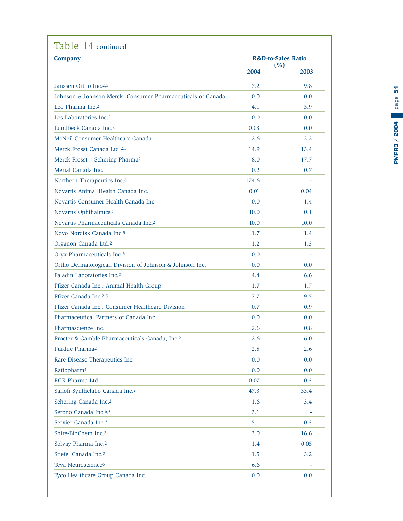| Table 14 continued                                          |        |                                       |  |  |  |
|-------------------------------------------------------------|--------|---------------------------------------|--|--|--|
| <b>Company</b>                                              |        | <b>R&amp;D-to-Sales Ratio</b><br>(% ) |  |  |  |
|                                                             | 2004   | 2003                                  |  |  |  |
| Janssen-Ortho Inc. <sup>2,5</sup>                           | 7.2    | 9.8                                   |  |  |  |
| Johnson & Johnson Merck, Consumer Pharmaceuticals of Canada | 0.0    | 0.0                                   |  |  |  |
| Leo Pharma Inc. <sup>2</sup>                                | 4.1    | 5.9                                   |  |  |  |
| Les Laboratories Inc. <sup>7</sup>                          | 0.0    | 0.0                                   |  |  |  |
| Lundbeck Canada Inc. <sup>2</sup>                           | 0.03   | 0.0                                   |  |  |  |
| McNeil Consumer Healthcare Canada                           | 2.6    | 2.2                                   |  |  |  |
| Merck Frosst Canada Ltd. <sup>2,5</sup>                     | 14.9   | 13.4                                  |  |  |  |
| Merck Frosst - Schering Pharma <sup>2</sup>                 | 8.0    | 17.7                                  |  |  |  |
| Merial Canada Inc.                                          | 0.2    | 0.7                                   |  |  |  |
| Northern Therapeutics Inc. <sup>6</sup>                     | 1174.6 |                                       |  |  |  |
| Novartis Animal Health Canada Inc.                          | 0.01   | 0.04                                  |  |  |  |
| Novartis Consumer Health Canada Inc.                        | 0.0    | 1.4                                   |  |  |  |
| Novartis Ophthalmics <sup>2</sup>                           | 10.0   | 10.1                                  |  |  |  |
| Novartis Pharmaceuticals Canada Inc. <sup>2</sup>           | 10.0   | 10.0                                  |  |  |  |
| Novo Nordisk Canada Inc. <sup>5</sup>                       | 1.7    | 1.4                                   |  |  |  |
| Organon Canada Ltd. <sup>2</sup>                            | 1.2    | 1.3                                   |  |  |  |
| Oryx Pharmaceuticals Inc.6                                  | 0.0    |                                       |  |  |  |
| Ortho Dermatological, Division of Johnson & Johnson Inc.    | 0.0    | 0.0                                   |  |  |  |
| Paladin Laboratories Inc. <sup>2</sup>                      | 4.4    | 6.6                                   |  |  |  |
| Pfizer Canada Inc., Animal Health Group                     | 1.7    | 1.7                                   |  |  |  |
| Pfizer Canada Inc.2,5                                       | 7.7    | 9.5                                   |  |  |  |
| Pfizer Canada Inc., Consumer Healthcare Division            | 0.7    | 0.9                                   |  |  |  |
| Pharmaceutical Partners of Canada Inc.                      | 0.0    | 0.0                                   |  |  |  |
| Pharmascience Inc.                                          | 12.6   | 10.8                                  |  |  |  |
| Procter & Gamble Pharmaceuticals Canada, Inc.2              | 2.6    | 6.0                                   |  |  |  |
| Purdue Pharma <sup>2</sup>                                  | 2.5    | 2.6                                   |  |  |  |
| Rare Disease Therapeutics Inc.                              | 0.0    | 0.0                                   |  |  |  |
| Ratiopharm <sup>4</sup>                                     | 0.0    | 0.0                                   |  |  |  |
| RGR Pharma Ltd.                                             | 0.07   | 0.3                                   |  |  |  |
| Sanofi-Synthelabo Canada Inc.2                              | 47.3   | 53.4                                  |  |  |  |
| Schering Canada Inc. <sup>2</sup>                           | 1.6    | 3.4                                   |  |  |  |
| Serono Canada Inc.6,5                                       | 3.1    |                                       |  |  |  |
| Servier Canada Inc. <sup>2</sup>                            | 5.1    | 10.3                                  |  |  |  |
| Shire-BioChem Inc. <sup>2</sup>                             | 3.0    | 16.6                                  |  |  |  |
| Solvay Pharma Inc. <sup>2</sup>                             | 1.4    | 0.05                                  |  |  |  |
| Stiefel Canada Inc. <sup>2</sup>                            | 1.5    | 3.2                                   |  |  |  |
| Teva Neuroscience <sup>6</sup>                              | 6.6    |                                       |  |  |  |
| Tyco Healthcare Group Canada Inc.                           | 0.0    | 0.0                                   |  |  |  |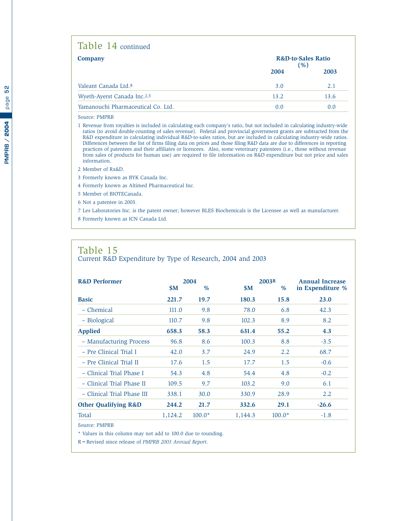#### <span id="page-53-0"></span>Table 14 continued

| <b>Company</b>                          | <b>R&amp;D-to-Sales Ratio</b><br>( %) |      |
|-----------------------------------------|---------------------------------------|------|
|                                         | 2004                                  | 2003 |
| Valeant Canada Ltd. <sup>8</sup>        | 3.0                                   | 2.1  |
| Wyeth-Ayerst Canada Inc. <sup>2,5</sup> | 13.2                                  | 13.6 |
| Yamanouchi Pharmaceutical Co. Ltd.      | 0.0                                   | 0.0  |

#### Source: PMPRB

1 Revenue from royalties is included in calculating each company's ratio, but not included in calculating industry-wide ratios (to avoid double-counting of sales revenue). Federal and provincial government grants are subtracted from the R&D expenditure in calculating individual R&D-to-sales ratios, but are included in calculating industry-wide ratios. Differences between the list of firms filing data on prices and those filing R&D data are due to differences in reporting practices of patentees and their affiliates or licencees. Also, some veterinary patentees (i.e., those without revenue from sales of products for human use) are required to file information on R&D expenditure but not price and sales information.

2 Member of Rx&D.

3 Formerly known as BYK Canada Inc.

4 Formerly known as Altimed Pharmaceutical Inc.

5 Member of BIOTECanada.

6 Not a patentee in 2003.

7 Les Laboratories Inc. is the patent owner; however BLES Biochemicals is the Licensee as well as manufacturer. 8 Formerly known as ICN Canada Ltd.

#### Table 15 Current R&D Expenditure by Type of Research, 2004 and 2003

| <b>R&amp;D Performer</b>        | <b>SM</b> | 2004<br>$\%$ | <b>SM</b> | 2003R<br>$\%$ | <b>Annual Increase</b><br>in Expenditure % |
|---------------------------------|-----------|--------------|-----------|---------------|--------------------------------------------|
| <b>Basic</b>                    | 221.7     | 19.7         | 180.3     | 15.8          | 23.0                                       |
| - Chemical                      | 111.0     | 9.8          | 78.0      | 6.8           | 42.3                                       |
| - Biological                    | 110.7     | 9.8          | 102.3     | 8.9           | 8.2                                        |
| <b>Applied</b>                  | 658.3     | 58.3         | 631.4     | 55.2          | 4.3                                        |
| - Manufacturing Process         | 96.8      | 8.6          | 100.3     | 8.8           | $-3.5$                                     |
| - Pre Clinical Trial I          | 42.0      | 3.7          | 24.9      | 2.2           | 68.7                                       |
| - Pre Clinical Trial II         | 17.6      | 1.5          | 17.7      | 1.5           | $-0.6$                                     |
| - Clinical Trial Phase I        | 54.3      | 4.8          | 54.4      | 4.8           | $-0.2$                                     |
| - Clinical Trial Phase II       | 109.5     | 9.7          | 103.2     | 9.0           | 6.1                                        |
| - Clinical Trial Phase III      | 338.1     | 30.0         | 330.9     | 28.9          | 2.2                                        |
| <b>Other Qualifying R&amp;D</b> | 244.2     | 21.7         | 332.6     | 29.1          | $-26.6$                                    |
| Total                           | 1,124.2   | $100.0*$     | 1,144.3   | $100.0*$      | $-1.8$                                     |

Source: PMPRB

\* Values in this column may not add to 100.0 due to rounding.

R=Revised since release of *PMPRB 2003 Annual Report*.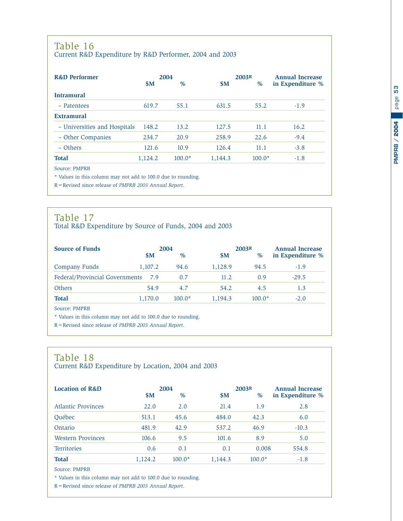#### <span id="page-54-0"></span>Table 16 Current R&D Expenditure by R&D Performer, 2004 and 2003

| <b>R&amp;D Performer</b>     | 2004    |          |         | 2003R    | <b>Annual Increase</b> |  |
|------------------------------|---------|----------|---------|----------|------------------------|--|
|                              | \$M\$   | $\%$     | \$M     | $\%$     | in Expenditure %       |  |
| <b>Intramural</b>            |         |          |         |          |                        |  |
| - Patentees                  | 619.7   | 55.1     | 631.5   | 55.2     | $-1.9$                 |  |
| <b>Extramural</b>            |         |          |         |          |                        |  |
| - Universities and Hospitals | 148.2   | 13.2     | 127.5   | 11.1     | 16.2                   |  |
| - Other Companies            | 234.7   | 20.9     | 258.9   | 22.6     | $-9.4$                 |  |
| $-$ Others                   | 121.6   | 10.9     | 126.4   | 11.1     | $-3.8$                 |  |
| <b>Total</b>                 | 1,124.2 | $100.0*$ | 1,144.3 | $100.0*$ | $-1.8$                 |  |
| Source: PMPRB                |         |          |         |          |                        |  |

\* Values in this column may not add to 100.0 due to rounding.

R=Revised since release of *PMPRB 2003 Annual Report*.

### Table 17

Total R&D Expenditure by Source of Funds, 2004 and 2003

| <b>Source of Funds</b>         | 2004    |           |          |         | 2003R    | <b>Annual Increase</b> |  |
|--------------------------------|---------|-----------|----------|---------|----------|------------------------|--|
|                                |         | <b>SM</b> | $\%$     | \$M     | $\%$     | in Expenditure %       |  |
| Company Funds                  | 1,107.2 |           | 94.6     | 1,128.9 | 94.5     | $-1.9$                 |  |
| Federal/Provincial Governments |         | 7.9       | 0.7      | 11.2    | 0.9      | $-29.5$                |  |
| Others                         |         | 54.9      | 4.7      | 54.2    | 4.5      | 1.3                    |  |
| <b>Total</b>                   | 1,170.0 |           | $100.0*$ | 1.194.3 | $100.0*$ | $-2.0$                 |  |

Source: PMPRB

\* Values in this column may not add to 100.0 due to rounding.

R=Revised since release of *PMPRB 2003 Annual Report*.

### Table 18

Current R&D Expenditure by Location, 2004 and 2003

| <b>Location of R&amp;D</b> | 2004<br>$\%$<br><b>SM</b> |          | \$M     | 2003R<br>$\%$ | <b>Annual Increase</b><br>in Expenditure % |  |
|----------------------------|---------------------------|----------|---------|---------------|--------------------------------------------|--|
| <b>Atlantic Provinces</b>  | 22.0                      | 2.0      | 21.4    | 1.9           | 2.8                                        |  |
| <b>Ouébec</b>              | 513.1                     | 45.6     | 484.0   | 42.3          | 6.0                                        |  |
| Ontario                    | 481.9                     | 42.9     | 537.2   | 46.9          | $-10.3$                                    |  |
| <b>Western Provinces</b>   | 106.6                     | 9.5      | 101.6   | 8.9           | 5.0                                        |  |
| <b>Territories</b>         | 0.6                       | 0.1      | 0.1     | 0.008         | 554.8                                      |  |
| <b>Total</b>               | 1,124.2                   | $100.0*$ | 1,144.3 | $100.0*$      | $-1.8$                                     |  |

Source: PMPRB

\* Values in this column may not add to 100.0 due to rounding.

R=Revised since release of *PMPRB 2003 Annual Report*.